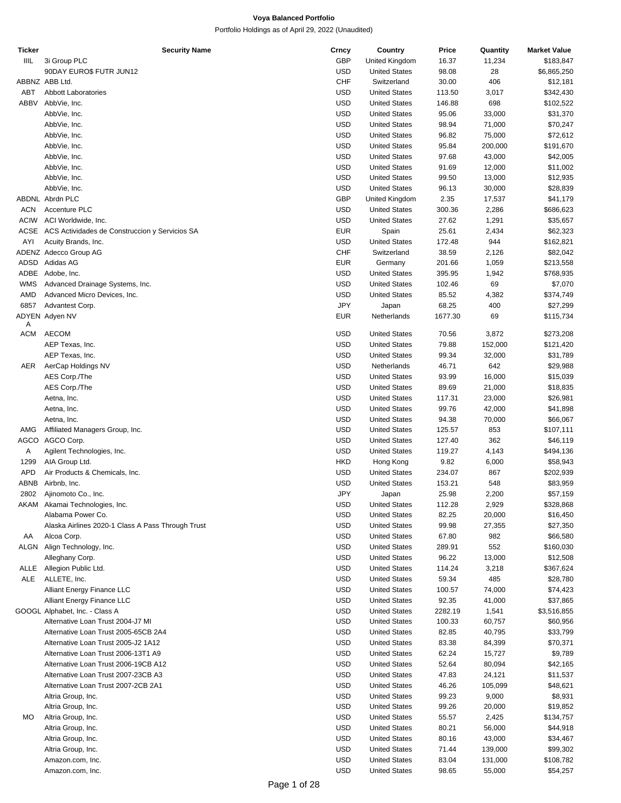| Ticker      | <b>Security Name</b>                              | Crncy      | Country              | Price   | Quantity | <b>Market Value</b> |
|-------------|---------------------------------------------------|------------|----------------------|---------|----------|---------------------|
| IIIL        | 3i Group PLC                                      | <b>GBP</b> | United Kingdom       | 16.37   | 11,234   | \$183,847           |
|             |                                                   | <b>USD</b> |                      |         |          |                     |
|             | 90DAY EURO\$ FUTR JUN12                           |            | <b>United States</b> | 98.08   | 28       | \$6,865,250         |
|             | ABBNZ ABB Ltd.                                    | <b>CHF</b> | Switzerland          | 30.00   | 406      | \$12,181            |
| ABT         | Abbott Laboratories                               | <b>USD</b> | <b>United States</b> | 113.50  | 3,017    | \$342,430           |
| ABBV        | AbbVie, Inc.                                      | <b>USD</b> | <b>United States</b> | 146.88  | 698      |                     |
|             |                                                   |            |                      |         |          | \$102,522           |
|             | AbbVie, Inc.                                      | <b>USD</b> | <b>United States</b> | 95.06   | 33,000   | \$31,370            |
|             | AbbVie, Inc.                                      | <b>USD</b> | <b>United States</b> | 98.94   | 71,000   | \$70,247            |
|             |                                                   | <b>USD</b> |                      |         |          |                     |
|             | AbbVie, Inc.                                      |            | <b>United States</b> | 96.82   | 75,000   | \$72,612            |
|             | AbbVie, Inc.                                      | <b>USD</b> | <b>United States</b> | 95.84   | 200,000  | \$191,670           |
|             | AbbVie, Inc.                                      | <b>USD</b> | <b>United States</b> | 97.68   | 43,000   | \$42,005            |
|             |                                                   |            |                      |         |          |                     |
|             | AbbVie, Inc.                                      | <b>USD</b> | <b>United States</b> | 91.69   | 12,000   | \$11,002            |
|             | AbbVie, Inc.                                      | <b>USD</b> | <b>United States</b> | 99.50   | 13,000   | \$12,935            |
|             | AbbVie, Inc.                                      | <b>USD</b> | <b>United States</b> | 96.13   | 30,000   | \$28,839            |
|             |                                                   |            |                      |         |          |                     |
|             | ABDNL Abrdn PLC                                   | <b>GBP</b> | United Kingdom       | 2.35    | 17,537   | \$41,179            |
| <b>ACN</b>  | Accenture PLC                                     | <b>USD</b> | <b>United States</b> | 300.36  | 2,286    | \$686,623           |
| <b>ACIW</b> | ACI Worldwide, Inc.                               | <b>USD</b> | <b>United States</b> | 27.62   | 1,291    | \$35,657            |
|             |                                                   |            |                      |         |          |                     |
| ACSE        | ACS Actividades de Construccion y Servicios SA    | <b>EUR</b> | Spain                | 25.61   | 2,434    | \$62,323            |
| AYI         | Acuity Brands, Inc.                               | <b>USD</b> | <b>United States</b> | 172.48  | 944      | \$162,821           |
|             |                                                   | <b>CHF</b> |                      |         |          |                     |
|             | ADENZ Adecco Group AG                             |            | Switzerland          | 38.59   | 2,126    | \$82,042            |
| ADSD        | Adidas AG                                         | <b>EUR</b> | Germany              | 201.66  | 1,059    | \$213,558           |
| ADBE        | Adobe, Inc.                                       | <b>USD</b> | <b>United States</b> | 395.95  | 1,942    | \$768,935           |
|             |                                                   |            |                      |         |          |                     |
| <b>WMS</b>  | Advanced Drainage Systems, Inc.                   | <b>USD</b> | <b>United States</b> | 102.46  | 69       | \$7,070             |
| AMD         | Advanced Micro Devices, Inc.                      | <b>USD</b> | <b>United States</b> | 85.52   | 4,382    | \$374,749           |
| 6857        | Advantest Corp.                                   | <b>JPY</b> | Japan                | 68.25   | 400      | \$27,299            |
|             |                                                   |            |                      |         |          |                     |
|             | ADYEN Adyen NV                                    | <b>EUR</b> | Netherlands          | 1677.30 | 69       | \$115,734           |
| A           |                                                   |            |                      |         |          |                     |
| ACM         | AECOM                                             | <b>USD</b> | <b>United States</b> | 70.56   | 3,872    | \$273,208           |
|             | AEP Texas, Inc.                                   | <b>USD</b> | <b>United States</b> | 79.88   | 152,000  | \$121,420           |
|             |                                                   |            |                      |         |          |                     |
|             | AEP Texas, Inc.                                   | <b>USD</b> | <b>United States</b> | 99.34   | 32,000   | \$31,789            |
| AER         | AerCap Holdings NV                                | <b>USD</b> | Netherlands          | 46.71   | 642      | \$29,988            |
|             | AES Corp./The                                     | <b>USD</b> | <b>United States</b> | 93.99   | 16,000   | \$15,039            |
|             |                                                   |            |                      |         |          |                     |
|             | AES Corp./The                                     | <b>USD</b> | <b>United States</b> | 89.69   | 21,000   | \$18,835            |
|             | Aetna, Inc.                                       | <b>USD</b> | <b>United States</b> | 117.31  | 23,000   | \$26,981            |
|             | Aetna, Inc.                                       | <b>USD</b> | <b>United States</b> | 99.76   | 42,000   | \$41,898            |
|             |                                                   |            |                      |         |          |                     |
|             | Aetna, Inc.                                       | <b>USD</b> | <b>United States</b> | 94.38   | 70,000   | \$66,067            |
| AMG         | Affiliated Managers Group, Inc.                   | <b>USD</b> | <b>United States</b> | 125.57  | 853      | \$107,111           |
| AGCO        | AGCO Corp.                                        | <b>USD</b> | <b>United States</b> | 127.40  | 362      | \$46,119            |
|             |                                                   |            |                      |         |          |                     |
| Α           | Agilent Technologies, Inc.                        | <b>USD</b> | <b>United States</b> | 119.27  | 4,143    | \$494,136           |
| 1299        | AIA Group Ltd.                                    | <b>HKD</b> | Hong Kong            | 9.82    | 6,000    | \$58,943            |
|             |                                                   |            |                      |         |          |                     |
| <b>APD</b>  | Air Products & Chemicals, Inc.                    | <b>USD</b> | <b>United States</b> | 234.07  | 867      | \$202,939           |
| ABNB        | Airbnb, Inc.                                      | <b>USD</b> | <b>United States</b> | 153.21  | 548      | \$83,959            |
| 2802        | Ajinomoto Co., Inc.                               | JPY        | Japan                | 25.98   | 2,200    | \$57,159            |
|             |                                                   |            |                      |         |          |                     |
|             | AKAM Akamai Technologies, Inc.                    | USD        | <b>United States</b> | 112.28  | 2,929    | \$328,868           |
|             | Alabama Power Co.                                 | USD        | <b>United States</b> | 82.25   | 20,000   | \$16,450            |
|             | Alaska Airlines 2020-1 Class A Pass Through Trust | <b>USD</b> | <b>United States</b> | 99.98   | 27,355   | \$27,350            |
|             |                                                   |            |                      |         |          |                     |
| AA          | Alcoa Corp.                                       | <b>USD</b> | <b>United States</b> | 67.80   | 982      | \$66,580            |
|             | ALGN Align Technology, Inc.                       | <b>USD</b> | <b>United States</b> | 289.91  | 552      | \$160,030           |
|             | Alleghany Corp.                                   | <b>USD</b> | <b>United States</b> | 96.22   | 13,000   | \$12,508            |
|             |                                                   |            |                      |         |          |                     |
|             | ALLE Allegion Public Ltd.                         | <b>USD</b> | <b>United States</b> | 114.24  | 3,218    | \$367,624           |
| ALE         | ALLETE, Inc.                                      | USD        | <b>United States</b> | 59.34   | 485      | \$28,780            |
|             |                                                   | <b>USD</b> |                      |         |          |                     |
|             | Alliant Energy Finance LLC                        |            | <b>United States</b> | 100.57  | 74,000   | \$74,423            |
|             | Alliant Energy Finance LLC                        | <b>USD</b> | <b>United States</b> | 92.35   | 41,000   | \$37,865            |
|             | GOOGL Alphabet, Inc. - Class A                    | <b>USD</b> | <b>United States</b> | 2282.19 | 1,541    | \$3,516,855         |
|             |                                                   |            |                      |         |          |                     |
|             | Alternative Loan Trust 2004-J7 MI                 | <b>USD</b> | <b>United States</b> | 100.33  | 60,757   | \$60,956            |
|             | Alternative Loan Trust 2005-65CB 2A4              | <b>USD</b> | <b>United States</b> | 82.85   | 40,795   | \$33,799            |
|             | Alternative Loan Trust 2005-J2 1A12               | <b>USD</b> | <b>United States</b> | 83.38   | 84,399   | \$70,371            |
|             |                                                   |            |                      |         |          |                     |
|             | Alternative Loan Trust 2006-13T1 A9               | <b>USD</b> | <b>United States</b> | 62.24   | 15,727   | \$9,789             |
|             | Alternative Loan Trust 2006-19CB A12              | <b>USD</b> | <b>United States</b> | 52.64   | 80,094   | \$42,165            |
|             | Alternative Loan Trust 2007-23CB A3               | <b>USD</b> | <b>United States</b> | 47.83   | 24,121   | \$11,537            |
|             |                                                   |            |                      |         |          |                     |
|             | Alternative Loan Trust 2007-2CB 2A1               | <b>USD</b> | <b>United States</b> | 46.26   | 105,099  | \$48,621            |
|             | Altria Group, Inc.                                | <b>USD</b> | <b>United States</b> | 99.23   | 9,000    | \$8,931             |
|             | Altria Group, Inc.                                | USD        | <b>United States</b> | 99.26   | 20,000   | \$19,852            |
|             |                                                   |            |                      |         |          |                     |
| МO          | Altria Group, Inc.                                | <b>USD</b> | <b>United States</b> | 55.57   | 2,425    | \$134,757           |
|             | Altria Group, Inc.                                | <b>USD</b> | <b>United States</b> | 80.21   | 56,000   | \$44,918            |
|             |                                                   |            |                      |         |          |                     |
|             | Altria Group, Inc.                                | <b>USD</b> | <b>United States</b> | 80.16   | 43,000   | \$34,467            |
|             | Altria Group, Inc.                                | <b>USD</b> | <b>United States</b> | 71.44   | 139,000  | \$99,302            |
|             | Amazon.com, Inc.                                  | <b>USD</b> | <b>United States</b> | 83.04   | 131,000  | \$108,782           |
|             |                                                   |            |                      |         |          |                     |
|             | Amazon.com, Inc.                                  | <b>USD</b> | <b>United States</b> | 98.65   | 55,000   | \$54,257            |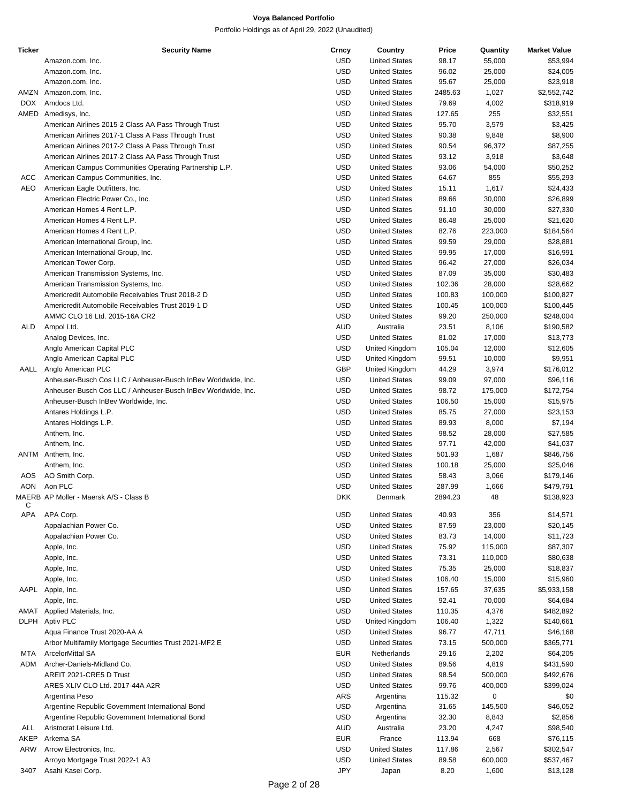| <b>Ticker</b> | <b>Security Name</b>                                          | Crncy      | Country              | Price   | Quantity | <b>Market Value</b> |
|---------------|---------------------------------------------------------------|------------|----------------------|---------|----------|---------------------|
|               | Amazon.com, Inc.                                              | USD        | <b>United States</b> | 98.17   | 55,000   | \$53,994            |
|               | Amazon.com, Inc.                                              | <b>USD</b> | <b>United States</b> | 96.02   | 25,000   | \$24,005            |
|               | Amazon.com, Inc.                                              | <b>USD</b> | <b>United States</b> | 95.67   | 25,000   | \$23,918            |
|               |                                                               | <b>USD</b> |                      |         |          |                     |
|               | AMZN Amazon.com, Inc.                                         |            | <b>United States</b> | 2485.63 | 1,027    | \$2,552,742         |
| DOX.          | Amdocs Ltd.                                                   | <b>USD</b> | <b>United States</b> | 79.69   | 4,002    | \$318,919           |
| AMED          | Amedisys, Inc.                                                | <b>USD</b> | <b>United States</b> | 127.65  | 255      | \$32,551            |
|               | American Airlines 2015-2 Class AA Pass Through Trust          | USD        | <b>United States</b> | 95.70   | 3,579    | \$3,425             |
|               | American Airlines 2017-1 Class A Pass Through Trust           | <b>USD</b> | <b>United States</b> | 90.38   | 9,848    | \$8,900             |
|               | American Airlines 2017-2 Class A Pass Through Trust           | <b>USD</b> | <b>United States</b> | 90.54   | 96,372   | \$87,255            |
|               | American Airlines 2017-2 Class AA Pass Through Trust          | USD        | <b>United States</b> | 93.12   | 3,918    | \$3,648             |
|               | American Campus Communities Operating Partnership L.P.        | USD        | <b>United States</b> | 93.06   |          |                     |
|               |                                                               |            |                      |         | 54,000   | \$50,252            |
| ACC           | American Campus Communities, Inc.                             | <b>USD</b> | <b>United States</b> | 64.67   | 855      | \$55,293            |
| AEO           | American Eagle Outfitters, Inc.                               | <b>USD</b> | <b>United States</b> | 15.11   | 1,617    | \$24,433            |
|               | American Electric Power Co., Inc.                             | USD        | <b>United States</b> | 89.66   | 30,000   | \$26,899            |
|               | American Homes 4 Rent L.P.                                    | <b>USD</b> | <b>United States</b> | 91.10   | 30,000   | \$27,330            |
|               | American Homes 4 Rent L.P.                                    | <b>USD</b> | <b>United States</b> | 86.48   | 25,000   | \$21,620            |
|               | American Homes 4 Rent L.P.                                    | <b>USD</b> | <b>United States</b> | 82.76   | 223,000  | \$184,564           |
|               |                                                               |            |                      |         |          |                     |
|               | American International Group, Inc.                            | USD        | <b>United States</b> | 99.59   | 29,000   | \$28,881            |
|               | American International Group, Inc.                            | <b>USD</b> | <b>United States</b> | 99.95   | 17,000   | \$16,991            |
|               | American Tower Corp.                                          | <b>USD</b> | <b>United States</b> | 96.42   | 27,000   | \$26,034            |
|               | American Transmission Systems, Inc.                           | <b>USD</b> | <b>United States</b> | 87.09   | 35,000   | \$30,483            |
|               | American Transmission Systems, Inc.                           | USD        | <b>United States</b> | 102.36  | 28,000   | \$28,662            |
|               | Americredit Automobile Receivables Trust 2018-2 D             | USD        | <b>United States</b> | 100.83  | 100,000  | \$100,827           |
|               | Americredit Automobile Receivables Trust 2019-1 D             | <b>USD</b> | <b>United States</b> | 100.45  | 100,000  | \$100,445           |
|               |                                                               |            |                      |         |          |                     |
|               | AMMC CLO 16 Ltd. 2015-16A CR2                                 | <b>USD</b> | <b>United States</b> | 99.20   | 250,000  | \$248,004           |
| ALD           | Ampol Ltd.                                                    | <b>AUD</b> | Australia            | 23.51   | 8,106    | \$190,582           |
|               | Analog Devices, Inc.                                          | USD        | <b>United States</b> | 81.02   | 17,000   | \$13,773            |
|               | Anglo American Capital PLC                                    | <b>USD</b> | United Kingdom       | 105.04  | 12,000   | \$12,605            |
|               | Anglo American Capital PLC                                    | <b>USD</b> | United Kingdom       | 99.51   | 10,000   | \$9,951             |
| AALL          | Anglo American PLC                                            | <b>GBP</b> | United Kingdom       | 44.29   | 3,974    | \$176,012           |
|               |                                                               |            |                      |         |          |                     |
|               | Anheuser-Busch Cos LLC / Anheuser-Busch InBev Worldwide, Inc. | USD        | <b>United States</b> | 99.09   | 97,000   | \$96,116            |
|               | Anheuser-Busch Cos LLC / Anheuser-Busch InBev Worldwide, Inc. | <b>USD</b> | <b>United States</b> | 98.72   | 175,000  | \$172,754           |
|               | Anheuser-Busch InBev Worldwide, Inc.                          | <b>USD</b> | <b>United States</b> | 106.50  | 15,000   | \$15,975            |
|               | Antares Holdings L.P.                                         | USD        | <b>United States</b> | 85.75   | 27,000   | \$23,153            |
|               | Antares Holdings L.P.                                         | <b>USD</b> | <b>United States</b> | 89.93   | 8,000    | \$7,194             |
|               | Anthem, Inc.                                                  | <b>USD</b> | <b>United States</b> | 98.52   | 28,000   | \$27,585            |
|               | Anthem, Inc.                                                  | <b>USD</b> | <b>United States</b> | 97.71   | 42,000   | \$41,037            |
|               |                                                               |            |                      |         |          |                     |
|               | ANTM Anthem, Inc.                                             | USD        | <b>United States</b> | 501.93  | 1,687    | \$846,756           |
|               | Anthem, Inc.                                                  | USD        | <b>United States</b> | 100.18  | 25,000   | \$25,046            |
| AOS           | AO Smith Corp.                                                | <b>USD</b> | <b>United States</b> | 58.43   | 3,066    | \$179,146           |
| <b>AON</b>    | Aon PLC                                                       | <b>USD</b> | <b>United States</b> | 287.99  | 1,666    | \$479,791           |
|               | MAERB AP Moller - Maersk A/S - Class B                        | <b>DKK</b> | Denmark              | 2894.23 | 48       | \$138,923           |
| С             |                                                               |            |                      |         |          |                     |
| APA           | APA Corp.                                                     | <b>USD</b> | <b>United States</b> | 40.93   | 356      | \$14,571            |
|               | Appalachian Power Co.                                         | USD        | <b>United States</b> | 87.59   | 23,000   | \$20,145            |
|               | Appalachian Power Co.                                         | <b>USD</b> | <b>United States</b> | 83.73   | 14,000   | \$11,723            |
|               |                                                               | <b>USD</b> | <b>United States</b> | 75.92   | 115,000  | \$87,307            |
|               | Apple, Inc.                                                   |            |                      |         |          |                     |
|               | Apple, Inc.                                                   | USD        | <b>United States</b> | 73.31   | 110,000  | \$80,638            |
|               | Apple, Inc.                                                   | <b>USD</b> | <b>United States</b> | 75.35   | 25,000   | \$18,837            |
|               | Apple, Inc.                                                   | <b>USD</b> | <b>United States</b> | 106.40  | 15,000   | \$15,960            |
|               | AAPL Apple, Inc.                                              | USD        | <b>United States</b> | 157.65  | 37,635   | \$5,933,158         |
|               | Apple, Inc.                                                   | USD        | <b>United States</b> | 92.41   | 70,000   | \$64,684            |
|               | AMAT Applied Materials, Inc.                                  | USD        | <b>United States</b> | 110.35  | 4,376    | \$482,892           |
|               |                                                               |            |                      |         |          |                     |
| DLPH          | Aptiv PLC                                                     | USD        | United Kingdom       | 106.40  | 1,322    | \$140,661           |
|               | Aqua Finance Trust 2020-AA A                                  | <b>USD</b> | <b>United States</b> | 96.77   | 47,711   | \$46,168            |
|               | Arbor Multifamily Mortgage Securities Trust 2021-MF2 E        | <b>USD</b> | <b>United States</b> | 73.15   | 500,000  | \$365,771           |
| MTA           | ArcelorMittal SA                                              | <b>EUR</b> | Netherlands          | 29.16   | 2,202    | \$64,205            |
| ADM           | Archer-Daniels-Midland Co.                                    | USD        | <b>United States</b> | 89.56   | 4,819    | \$431,590           |
|               | AREIT 2021-CRE5 D Trust                                       | USD        | <b>United States</b> | 98.54   | 500,000  | \$492,676           |
|               |                                                               |            |                      |         |          |                     |
|               | ARES XLIV CLO Ltd. 2017-44A A2R                               | USD        | <b>United States</b> | 99.76   | 400,000  | \$399,024           |
|               | Argentina Peso                                                | <b>ARS</b> | Argentina            | 115.32  | 0        | \$0                 |
|               | Argentine Republic Government International Bond              | USD        | Argentina            | 31.65   | 145,500  | \$46,052            |
|               | Argentine Republic Government International Bond              | USD        | Argentina            | 32.30   | 8,843    | \$2,856             |
| ALL           | Aristocrat Leisure Ltd.                                       | <b>AUD</b> | Australia            | 23.20   | 4,247    | \$98,540            |
| AKEP          | Arkema SA                                                     | <b>EUR</b> | France               | 113.94  | 668      | \$76,115            |
| ARW           | Arrow Electronics, Inc.                                       | USD        | <b>United States</b> | 117.86  | 2,567    | \$302,547           |
|               |                                                               |            | <b>United States</b> |         |          |                     |
|               | Arroyo Mortgage Trust 2022-1 A3                               | USD        |                      | 89.58   | 600,000  | \$537,467           |
| 3407          | Asahi Kasei Corp.                                             | <b>JPY</b> | Japan                | 8.20    | 1,600    | \$13,128            |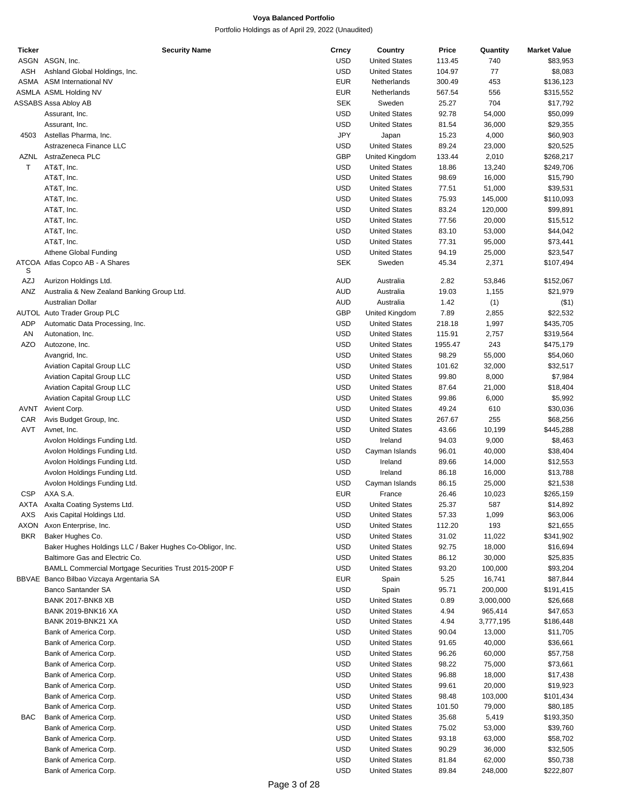| <b>Ticker</b> | <b>Security Name</b>                                      | Crncy      | Country              | Price   | Quantity  | <b>Market Value</b> |
|---------------|-----------------------------------------------------------|------------|----------------------|---------|-----------|---------------------|
|               | ASGN ASGN, Inc.                                           | <b>USD</b> | <b>United States</b> | 113.45  | 740       | \$83,953            |
| ASH           | Ashland Global Holdings, Inc.                             | <b>USD</b> | <b>United States</b> | 104.97  | 77        | \$8,083             |
|               | ASMA ASM International NV                                 | <b>EUR</b> | Netherlands          | 300.49  | 453       | \$136,123           |
|               | ASMLA ASML Holding NV                                     | <b>EUR</b> | Netherlands          | 567.54  | 556       | \$315,552           |
|               |                                                           | <b>SEK</b> | Sweden               |         | 704       |                     |
|               | ASSABS Assa Abloy AB                                      |            |                      | 25.27   |           | \$17,792            |
|               | Assurant, Inc.                                            | <b>USD</b> | <b>United States</b> | 92.78   | 54,000    | \$50,099            |
|               | Assurant, Inc.                                            | <b>USD</b> | <b>United States</b> | 81.54   | 36,000    | \$29,355            |
| 4503          | Astellas Pharma, Inc.                                     | JPY        | Japan                | 15.23   | 4,000     | \$60,903            |
|               | Astrazeneca Finance LLC                                   | <b>USD</b> | <b>United States</b> | 89.24   | 23,000    | \$20,525            |
|               | AZNL AstraZeneca PLC                                      | <b>GBP</b> | United Kingdom       | 133.44  | 2,010     | \$268,217           |
| Τ             | AT&T, Inc.                                                | <b>USD</b> | <b>United States</b> | 18.86   | 13,240    | \$249,706           |
|               | AT&T, Inc.                                                | <b>USD</b> | <b>United States</b> | 98.69   | 16,000    | \$15,790            |
|               |                                                           |            |                      |         |           |                     |
|               | AT&T, Inc.                                                | <b>USD</b> | <b>United States</b> | 77.51   | 51,000    | \$39,531            |
|               | AT&T, Inc.                                                | <b>USD</b> | <b>United States</b> | 75.93   | 145,000   | \$110,093           |
|               | AT&T, Inc.                                                | <b>USD</b> | <b>United States</b> | 83.24   | 120,000   | \$99,891            |
|               | AT&T, Inc.                                                | <b>USD</b> | <b>United States</b> | 77.56   | 20,000    | \$15,512            |
|               | AT&T, Inc.                                                | <b>USD</b> | <b>United States</b> | 83.10   | 53,000    | \$44,042            |
|               | AT&T, Inc.                                                | <b>USD</b> | <b>United States</b> | 77.31   | 95,000    | \$73,441            |
|               | Athene Global Funding                                     | <b>USD</b> | <b>United States</b> |         |           |                     |
|               |                                                           |            |                      | 94.19   | 25,000    | \$23,547            |
| S             | ATCOA Atlas Copco AB - A Shares                           | <b>SEK</b> | Sweden               | 45.34   | 2,371     | \$107,494           |
| AZJ           | Aurizon Holdings Ltd.                                     | <b>AUD</b> | Australia            | 2.82    | 53,846    | \$152,067           |
| ANZ           | Australia & New Zealand Banking Group Ltd.                | <b>AUD</b> | Australia            | 19.03   | 1,155     | \$21,979            |
|               | Australian Dollar                                         | <b>AUD</b> | Australia            | 1.42    | (1)       | $($ \$1)            |
|               | AUTOL Auto Trader Group PLC                               | <b>GBP</b> | United Kingdom       | 7.89    | 2,855     | \$22,532            |
|               |                                                           |            |                      |         |           |                     |
| <b>ADP</b>    | Automatic Data Processing, Inc.                           | <b>USD</b> | <b>United States</b> | 218.18  | 1,997     | \$435,705           |
| AN            | Autonation, Inc.                                          | <b>USD</b> | <b>United States</b> | 115.91  | 2,757     | \$319,564           |
| <b>AZO</b>    | Autozone, Inc.                                            | <b>USD</b> | <b>United States</b> | 1955.47 | 243       | \$475,179           |
|               | Avangrid, Inc.                                            | <b>USD</b> | <b>United States</b> | 98.29   | 55,000    | \$54,060            |
|               | <b>Aviation Capital Group LLC</b>                         | <b>USD</b> | <b>United States</b> | 101.62  | 32,000    | \$32,517            |
|               | <b>Aviation Capital Group LLC</b>                         | <b>USD</b> | <b>United States</b> | 99.80   | 8,000     | \$7,984             |
|               | <b>Aviation Capital Group LLC</b>                         | <b>USD</b> | <b>United States</b> | 87.64   | 21,000    | \$18,404            |
|               |                                                           | <b>USD</b> |                      |         |           |                     |
|               | <b>Aviation Capital Group LLC</b>                         |            | <b>United States</b> | 99.86   | 6,000     | \$5,992             |
| AVNT          | Avient Corp.                                              | <b>USD</b> | <b>United States</b> | 49.24   | 610       | \$30,036            |
| CAR           | Avis Budget Group, Inc.                                   | <b>USD</b> | <b>United States</b> | 267.67  | 255       | \$68,256            |
| AVT           | Avnet, Inc.                                               | <b>USD</b> | <b>United States</b> | 43.66   | 10,199    | \$445,288           |
|               | Avolon Holdings Funding Ltd.                              | <b>USD</b> | Ireland              | 94.03   | 9,000     | \$8,463             |
|               | Avolon Holdings Funding Ltd.                              | <b>USD</b> | Cayman Islands       | 96.01   | 40,000    | \$38,404            |
|               | Avolon Holdings Funding Ltd.                              | <b>USD</b> | Ireland              | 89.66   | 14,000    | \$12,553            |
|               |                                                           | <b>USD</b> |                      |         |           |                     |
|               | Avolon Holdings Funding Ltd.                              |            | Ireland              | 86.18   | 16,000    | \$13,788            |
|               | Avolon Holdings Funding Ltd.                              | <b>USD</b> | Cayman Islands       | 86.15   | 25,000    | \$21,538            |
| <b>CSP</b>    | AXA S.A.                                                  | <b>EUR</b> | France               | 26.46   | 10,023    | \$265,159           |
| AXTA          | Axalta Coating Systems Ltd.                               | USD        | <b>United States</b> | 25.37   | 587       | \$14,892            |
| AXS           | Axis Capital Holdings Ltd.                                | <b>USD</b> | <b>United States</b> | 57.33   | 1,099     | \$63,006            |
| AXON          | Axon Enterprise, Inc.                                     | <b>USD</b> | <b>United States</b> | 112.20  | 193       | \$21,655            |
| <b>BKR</b>    | Baker Hughes Co.                                          | <b>USD</b> | <b>United States</b> | 31.02   | 11,022    | \$341,902           |
|               |                                                           |            |                      |         |           |                     |
|               | Baker Hughes Holdings LLC / Baker Hughes Co-Obligor, Inc. | <b>USD</b> | <b>United States</b> | 92.75   | 18,000    | \$16,694            |
|               | Baltimore Gas and Electric Co.                            | <b>USD</b> | <b>United States</b> | 86.12   | 30,000    | \$25,835            |
|               | BAMLL Commercial Mortgage Securities Trust 2015-200P F    | <b>USD</b> | <b>United States</b> | 93.20   | 100,000   | \$93,204            |
|               | BBVAE Banco Bilbao Vizcaya Argentaria SA                  | <b>EUR</b> | Spain                | 5.25    | 16,741    | \$87,844            |
|               | <b>Banco Santander SA</b>                                 | <b>USD</b> | Spain                | 95.71   | 200,000   | \$191,415           |
|               | BANK 2017-BNK8 XB                                         | <b>USD</b> | <b>United States</b> | 0.89    | 3,000,000 | \$26,668            |
|               | <b>BANK 2019-BNK16 XA</b>                                 | <b>USD</b> | <b>United States</b> | 4.94    | 965,414   | \$47,653            |
|               |                                                           |            |                      |         |           |                     |
|               | <b>BANK 2019-BNK21 XA</b>                                 | <b>USD</b> | <b>United States</b> | 4.94    | 3,777,195 | \$186,448           |
|               | Bank of America Corp.                                     | <b>USD</b> | <b>United States</b> | 90.04   | 13,000    | \$11,705            |
|               | Bank of America Corp.                                     | <b>USD</b> | <b>United States</b> | 91.65   | 40,000    | \$36,661            |
|               | Bank of America Corp.                                     | <b>USD</b> | <b>United States</b> | 96.26   | 60,000    | \$57,758            |
|               | Bank of America Corp.                                     | <b>USD</b> | <b>United States</b> | 98.22   | 75,000    | \$73,661            |
|               | Bank of America Corp.                                     | <b>USD</b> | <b>United States</b> | 96.88   | 18,000    | \$17,438            |
|               | Bank of America Corp.                                     | <b>USD</b> | <b>United States</b> | 99.61   | 20,000    | \$19,923            |
|               |                                                           |            |                      |         |           |                     |
|               | Bank of America Corp.                                     | <b>USD</b> | <b>United States</b> | 98.48   | 103,000   | \$101,434           |
|               | Bank of America Corp.                                     | <b>USD</b> | <b>United States</b> | 101.50  | 79,000    | \$80,185            |
| BAC           | Bank of America Corp.                                     | <b>USD</b> | <b>United States</b> | 35.68   | 5,419     | \$193,350           |
|               | Bank of America Corp.                                     | <b>USD</b> | <b>United States</b> | 75.02   | 53,000    | \$39,760            |
|               | Bank of America Corp.                                     | <b>USD</b> | <b>United States</b> | 93.18   | 63,000    | \$58,702            |
|               | Bank of America Corp.                                     | <b>USD</b> | <b>United States</b> | 90.29   | 36,000    | \$32,505            |
|               | Bank of America Corp.                                     | <b>USD</b> | <b>United States</b> | 81.84   | 62,000    | \$50,738            |
|               |                                                           |            |                      |         |           |                     |
|               | Bank of America Corp.                                     | <b>USD</b> | <b>United States</b> | 89.84   | 248,000   | \$222,807           |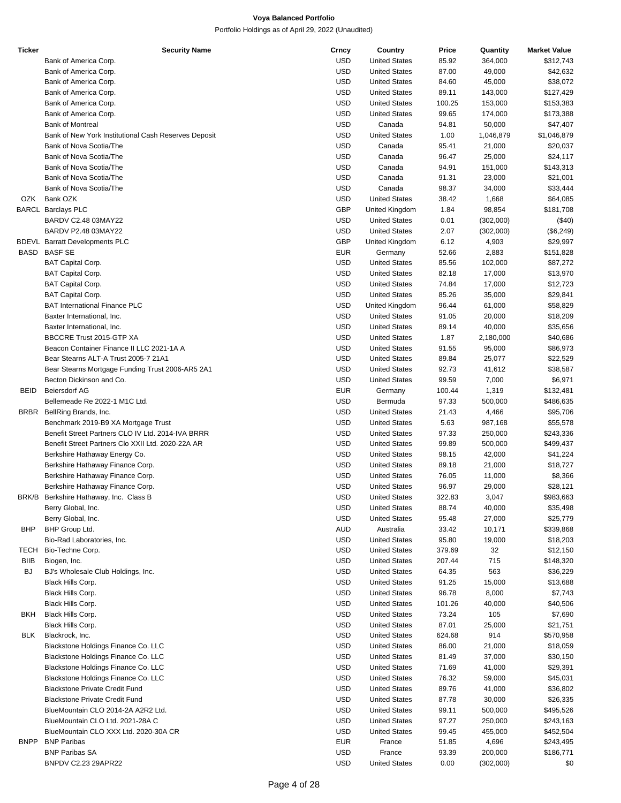| <b>Ticker</b> | <b>Security Name</b>                                 | Crncy      | Country              | Price  | Quantity  | <b>Market Value</b> |
|---------------|------------------------------------------------------|------------|----------------------|--------|-----------|---------------------|
|               | Bank of America Corp.                                | <b>USD</b> | <b>United States</b> | 85.92  | 364,000   | \$312,743           |
|               | Bank of America Corp.                                | <b>USD</b> | <b>United States</b> | 87.00  | 49,000    | \$42,632            |
|               | Bank of America Corp.                                | <b>USD</b> | <b>United States</b> | 84.60  | 45,000    | \$38,072            |
|               | Bank of America Corp.                                | <b>USD</b> | <b>United States</b> | 89.11  | 143,000   | \$127,429           |
|               | Bank of America Corp.                                | <b>USD</b> | <b>United States</b> | 100.25 | 153,000   | \$153,383           |
|               | Bank of America Corp.                                | <b>USD</b> | <b>United States</b> | 99.65  | 174,000   | \$173,388           |
|               | <b>Bank of Montreal</b>                              | <b>USD</b> | Canada               | 94.81  | 50,000    | \$47,407            |
|               | Bank of New York Institutional Cash Reserves Deposit | <b>USD</b> | <b>United States</b> | 1.00   | 1,046,879 | \$1,046,879         |
|               | Bank of Nova Scotia/The                              | <b>USD</b> | Canada               | 95.41  | 21,000    | \$20,037            |
|               |                                                      |            |                      |        |           |                     |
|               | Bank of Nova Scotia/The                              | <b>USD</b> | Canada               | 96.47  | 25,000    | \$24,117            |
|               | Bank of Nova Scotia/The                              | <b>USD</b> | Canada               | 94.91  | 151,000   | \$143,313           |
|               | Bank of Nova Scotia/The                              | <b>USD</b> | Canada               | 91.31  | 23,000    | \$21,001            |
|               | Bank of Nova Scotia/The                              | <b>USD</b> | Canada               | 98.37  | 34,000    | \$33,444            |
| OZK           | Bank OZK                                             | <b>USD</b> | <b>United States</b> | 38.42  | 1,668     | \$64,085            |
|               | <b>BARCL Barclays PLC</b>                            | GBP        | United Kingdom       | 1.84   | 98,854    | \$181,708           |
|               | BARDV C2.48 03MAY22                                  | <b>USD</b> | <b>United States</b> | 0.01   | (302,000) | (\$40)              |
|               | BARDV P2.48 03MAY22                                  | <b>USD</b> | <b>United States</b> | 2.07   | (302,000) | (\$6,249)           |
|               | <b>BDEVL</b> Barratt Developments PLC                | GBP        | United Kingdom       | 6.12   | 4,903     | \$29,997            |
|               | BASD BASF SE                                         | <b>EUR</b> | Germany              | 52.66  | 2,883     | \$151,828           |
|               | <b>BAT Capital Corp.</b>                             | <b>USD</b> | <b>United States</b> | 85.56  | 102,000   | \$87,272            |
|               | <b>BAT Capital Corp.</b>                             | <b>USD</b> | <b>United States</b> | 82.18  | 17,000    | \$13,970            |
|               | <b>BAT Capital Corp.</b>                             | <b>USD</b> | <b>United States</b> | 74.84  | 17,000    | \$12,723            |
|               | <b>BAT Capital Corp.</b>                             | <b>USD</b> | <b>United States</b> | 85.26  | 35,000    | \$29,841            |
|               | <b>BAT International Finance PLC</b>                 | <b>USD</b> | United Kingdom       | 96.44  | 61,000    | \$58,829            |
|               | Baxter International, Inc.                           | <b>USD</b> | <b>United States</b> | 91.05  | 20,000    | \$18,209            |
|               | Baxter International, Inc.                           | <b>USD</b> | <b>United States</b> |        |           |                     |
|               |                                                      |            |                      | 89.14  | 40,000    | \$35,656            |
|               | BBCCRE Trust 2015-GTP XA                             | <b>USD</b> | <b>United States</b> | 1.87   | 2,180,000 | \$40,686            |
|               | Beacon Container Finance II LLC 2021-1A A            | <b>USD</b> | <b>United States</b> | 91.55  | 95,000    | \$86,973            |
|               | Bear Stearns ALT-A Trust 2005-7 21A1                 | <b>USD</b> | <b>United States</b> | 89.84  | 25,077    | \$22,529            |
|               | Bear Stearns Mortgage Funding Trust 2006-AR5 2A1     | <b>USD</b> | <b>United States</b> | 92.73  | 41,612    | \$38,587            |
|               | Becton Dickinson and Co.                             | <b>USD</b> | <b>United States</b> | 99.59  | 7,000     | \$6,971             |
| <b>BEID</b>   | <b>Beiersdorf AG</b>                                 | <b>EUR</b> | Germany              | 100.44 | 1,319     | \$132,481           |
|               | Bellemeade Re 2022-1 M1C Ltd.                        | <b>USD</b> | Bermuda              | 97.33  | 500,000   | \$486,635           |
| <b>BRBR</b>   | BellRing Brands, Inc.                                | <b>USD</b> | <b>United States</b> | 21.43  | 4,466     | \$95,706            |
|               | Benchmark 2019-B9 XA Mortgage Trust                  | <b>USD</b> | <b>United States</b> | 5.63   | 987,168   | \$55,578            |
|               | Benefit Street Partners CLO IV Ltd. 2014-IVA BRRR    | <b>USD</b> | <b>United States</b> | 97.33  | 250,000   | \$243,336           |
|               | Benefit Street Partners Clo XXII Ltd. 2020-22A AR    | <b>USD</b> | <b>United States</b> | 99.89  | 500,000   | \$499,437           |
|               | Berkshire Hathaway Energy Co.                        | <b>USD</b> | <b>United States</b> | 98.15  | 42,000    | \$41,224            |
|               | Berkshire Hathaway Finance Corp.                     | <b>USD</b> | <b>United States</b> | 89.18  | 21,000    | \$18,727            |
|               | Berkshire Hathaway Finance Corp.                     | <b>USD</b> | <b>United States</b> | 76.05  | 11,000    | \$8,366             |
|               | Berkshire Hathaway Finance Corp.                     | <b>USD</b> | <b>United States</b> | 96.97  | 29,000    | \$28,121            |
|               | BRK/B Berkshire Hathaway, Inc. Class B               | <b>USD</b> | <b>United States</b> | 322.83 | 3,047     | \$983,663           |
|               |                                                      | <b>USD</b> | <b>United States</b> | 88.74  | 40,000    |                     |
|               | Berry Global, Inc.                                   |            |                      |        |           | \$35,498            |
|               | Berry Global, Inc.                                   | <b>USD</b> | <b>United States</b> | 95.48  | 27,000    | \$25,779            |
| BHP           | BHP Group Ltd.                                       | AUD        | Australia            | 33.42  | 10,171    | \$339,868           |
|               | Bio-Rad Laboratories, Inc.                           | <b>USD</b> | <b>United States</b> | 95.80  | 19,000    | \$18,203            |
| TECH          | Bio-Techne Corp.                                     | <b>USD</b> | <b>United States</b> | 379.69 | 32        | \$12,150            |
| <b>BIIB</b>   | Biogen, Inc.                                         | <b>USD</b> | <b>United States</b> | 207.44 | 715       | \$148,320           |
| BJ.           | BJ's Wholesale Club Holdings, Inc.                   | USD        | <b>United States</b> | 64.35  | 563       | \$36,229            |
|               | Black Hills Corp.                                    | <b>USD</b> | <b>United States</b> | 91.25  | 15,000    | \$13,688            |
|               | Black Hills Corp.                                    | <b>USD</b> | <b>United States</b> | 96.78  | 8,000     | \$7,743             |
|               | Black Hills Corp.                                    | <b>USD</b> | <b>United States</b> | 101.26 | 40,000    | \$40,506            |
| BKH           | Black Hills Corp.                                    | <b>USD</b> | <b>United States</b> | 73.24  | 105       | \$7,690             |
|               | Black Hills Corp.                                    | <b>USD</b> | <b>United States</b> | 87.01  | 25,000    | \$21,751            |
| <b>BLK</b>    | Blackrock, Inc.                                      | <b>USD</b> | <b>United States</b> | 624.68 | 914       | \$570,958           |
|               | Blackstone Holdings Finance Co. LLC                  | <b>USD</b> | <b>United States</b> | 86.00  | 21,000    | \$18,059            |
|               | Blackstone Holdings Finance Co. LLC                  | <b>USD</b> | <b>United States</b> | 81.49  | 37,000    | \$30,150            |
|               | Blackstone Holdings Finance Co. LLC                  | <b>USD</b> | <b>United States</b> | 71.69  | 41,000    | \$29,391            |
|               |                                                      |            |                      |        |           |                     |
|               | Blackstone Holdings Finance Co. LLC                  | <b>USD</b> | <b>United States</b> | 76.32  | 59,000    | \$45,031            |
|               | <b>Blackstone Private Credit Fund</b>                | <b>USD</b> | <b>United States</b> | 89.76  | 41,000    | \$36,802            |
|               | <b>Blackstone Private Credit Fund</b>                | USD        | <b>United States</b> | 87.78  | 30,000    | \$26,335            |
|               | BlueMountain CLO 2014-2A A2R2 Ltd.                   | <b>USD</b> | <b>United States</b> | 99.11  | 500,000   | \$495,526           |
|               | BlueMountain CLO Ltd. 2021-28A C                     | <b>USD</b> | <b>United States</b> | 97.27  | 250,000   | \$243,163           |
|               | BlueMountain CLO XXX Ltd. 2020-30A CR                | <b>USD</b> | <b>United States</b> | 99.45  | 455,000   | \$452,504           |
| <b>BNPP</b>   | <b>BNP Paribas</b>                                   | EUR        | France               | 51.85  | 4,696     | \$243,495           |
|               | <b>BNP Paribas SA</b>                                | <b>USD</b> | France               | 93.39  | 200,000   | \$186,771           |
|               | BNPDV C2.23 29APR22                                  | <b>USD</b> | <b>United States</b> | 0.00   | (302,000) | \$0                 |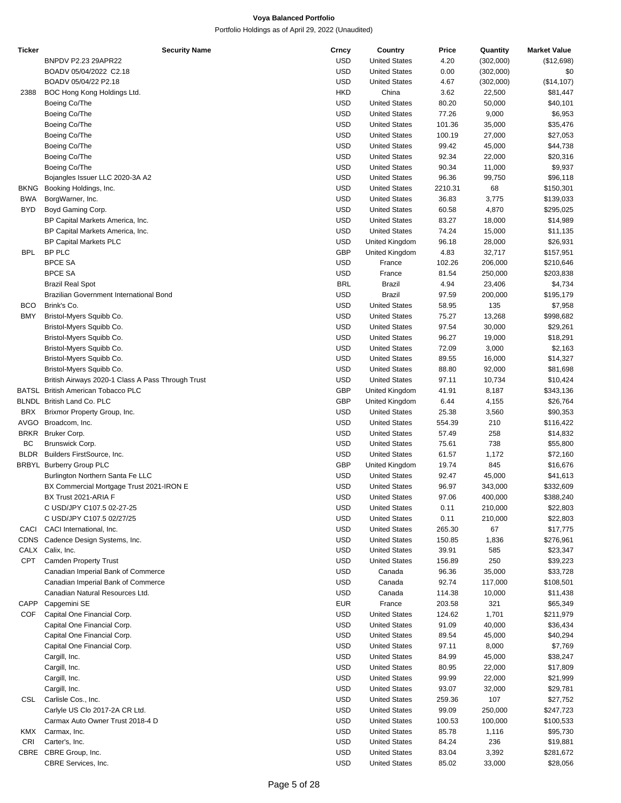| <b>Ticker</b> | <b>Security Name</b>                              | Crncy      | Country              | Price   | Quantity  | <b>Market Value</b> |
|---------------|---------------------------------------------------|------------|----------------------|---------|-----------|---------------------|
|               | BNPDV P2.23 29APR22                               | <b>USD</b> | <b>United States</b> | 4.20    | (302,000) | (\$12,698)          |
|               | BOADV 05/04/2022 C2.18                            | <b>USD</b> | <b>United States</b> | 0.00    | (302,000) | \$0                 |
|               | BOADV 05/04/22 P2.18                              | <b>USD</b> | <b>United States</b> | 4.67    | (302,000) | (\$14, 107)         |
| 2388          | BOC Hong Kong Holdings Ltd.                       | <b>HKD</b> | China                | 3.62    | 22,500    | \$81,447            |
|               | Boeing Co/The                                     | <b>USD</b> | <b>United States</b> | 80.20   | 50,000    | \$40,101            |
|               |                                                   |            |                      |         |           |                     |
|               | Boeing Co/The                                     | <b>USD</b> | <b>United States</b> | 77.26   | 9,000     | \$6,953             |
|               | Boeing Co/The                                     | <b>USD</b> | <b>United States</b> | 101.36  | 35,000    | \$35,476            |
|               | Boeing Co/The                                     | <b>USD</b> | <b>United States</b> | 100.19  | 27,000    | \$27,053            |
|               | Boeing Co/The                                     | <b>USD</b> | <b>United States</b> | 99.42   | 45,000    | \$44,738            |
|               | Boeing Co/The                                     | <b>USD</b> | <b>United States</b> | 92.34   | 22,000    | \$20,316            |
|               | Boeing Co/The                                     | <b>USD</b> | <b>United States</b> | 90.34   | 11,000    | \$9,937             |
|               | Bojangles Issuer LLC 2020-3A A2                   | <b>USD</b> | <b>United States</b> | 96.36   | 99,750    | \$96,118            |
| <b>BKNG</b>   | Booking Holdings, Inc.                            | <b>USD</b> | <b>United States</b> | 2210.31 | 68        | \$150,301           |
| <b>BWA</b>    | BorgWarner, Inc.                                  | <b>USD</b> | <b>United States</b> | 36.83   |           |                     |
|               |                                                   |            |                      |         | 3,775     | \$139,033           |
| BYD           | Boyd Gaming Corp.                                 | <b>USD</b> | <b>United States</b> | 60.58   | 4,870     | \$295,025           |
|               | BP Capital Markets America, Inc.                  | <b>USD</b> | <b>United States</b> | 83.27   | 18,000    | \$14,989            |
|               | BP Capital Markets America, Inc.                  | <b>USD</b> | <b>United States</b> | 74.24   | 15,000    | \$11,135            |
|               | <b>BP Capital Markets PLC</b>                     | <b>USD</b> | United Kingdom       | 96.18   | 28,000    | \$26,931            |
| <b>BPL</b>    | BP PLC                                            | GBP        | United Kingdom       | 4.83    | 32,717    | \$157,951           |
|               | <b>BPCE SA</b>                                    | <b>USD</b> | France               | 102.26  | 206,000   | \$210,646           |
|               | <b>BPCE SA</b>                                    | <b>USD</b> | France               | 81.54   | 250,000   | \$203,838           |
|               | <b>Brazil Real Spot</b>                           | <b>BRL</b> | Brazil               | 4.94    | 23,406    | \$4,734             |
|               |                                                   |            |                      |         |           |                     |
|               | Brazilian Government International Bond           | <b>USD</b> | <b>Brazil</b>        | 97.59   | 200,000   | \$195,179           |
| <b>BCO</b>    | Brink's Co.                                       | <b>USD</b> | <b>United States</b> | 58.95   | 135       | \$7,958             |
| <b>BMY</b>    | Bristol-Myers Squibb Co.                          | <b>USD</b> | <b>United States</b> | 75.27   | 13,268    | \$998,682           |
|               | Bristol-Myers Squibb Co.                          | <b>USD</b> | <b>United States</b> | 97.54   | 30,000    | \$29,261            |
|               | Bristol-Myers Squibb Co.                          | <b>USD</b> | <b>United States</b> | 96.27   | 19,000    | \$18,291            |
|               | Bristol-Myers Squibb Co.                          | <b>USD</b> | <b>United States</b> | 72.09   | 3,000     | \$2,163             |
|               | Bristol-Myers Squibb Co.                          | <b>USD</b> | <b>United States</b> | 89.55   | 16,000    | \$14,327            |
|               | Bristol-Myers Squibb Co.                          | <b>USD</b> | <b>United States</b> | 88.80   | 92,000    | \$81,698            |
|               |                                                   |            |                      |         |           |                     |
|               | British Airways 2020-1 Class A Pass Through Trust | <b>USD</b> | <b>United States</b> | 97.11   | 10,734    | \$10,424            |
|               | BATSL British American Tobacco PLC                | GBP        | United Kingdom       | 41.91   | 8,187     | \$343,136           |
|               | BLNDL British Land Co. PLC                        | GBP        | United Kingdom       | 6.44    | 4,155     | \$26,764            |
| <b>BRX</b>    | Brixmor Property Group, Inc.                      | <b>USD</b> | <b>United States</b> | 25.38   | 3,560     | \$90,353            |
| AVGO          | Broadcom, Inc.                                    | <b>USD</b> | <b>United States</b> | 554.39  | 210       | \$116,422           |
| <b>BRKR</b>   | Bruker Corp.                                      | <b>USD</b> | <b>United States</b> | 57.49   | 258       | \$14,832            |
| BС            | Brunswick Corp.                                   | <b>USD</b> | <b>United States</b> | 75.61   | 738       | \$55,800            |
| BLDR          | Builders FirstSource, Inc.                        | <b>USD</b> | <b>United States</b> | 61.57   | 1,172     | \$72,160            |
|               | <b>BRBYL Burberry Group PLC</b>                   | GBP        | United Kingdom       | 19.74   | 845       | \$16,676            |
|               |                                                   |            |                      |         |           |                     |
|               | Burlington Northern Santa Fe LLC                  | <b>USD</b> | <b>United States</b> | 92.47   | 45,000    | \$41,613            |
|               | BX Commercial Mortgage Trust 2021-IRON E          | <b>USD</b> | <b>United States</b> | 96.97   | 343,000   | \$332,609           |
|               | BX Trust 2021-ARIA F                              | <b>USD</b> | <b>United States</b> | 97.06   | 400.000   | \$388,240           |
|               | C USD/JPY C107.5 02-27-25                         | <b>USD</b> | <b>United States</b> | 0.11    | 210,000   | \$22,803            |
|               | C USD/JPY C107.5 02/27/25                         | <b>USD</b> | <b>United States</b> | 0.11    | 210,000   | \$22,803            |
| CACI          | CACI International, Inc.                          | <b>USD</b> | <b>United States</b> | 265.30  | 67        | \$17,775            |
| CDNS          | Cadence Design Systems, Inc.                      | <b>USD</b> | <b>United States</b> | 150.85  | 1,836     | \$276,961           |
| CALX          | Calix, Inc.                                       | <b>USD</b> | <b>United States</b> | 39.91   | 585       | \$23,347            |
| <b>CPT</b>    | <b>Camden Property Trust</b>                      | <b>USD</b> | <b>United States</b> | 156.89  | 250       | \$39,223            |
|               |                                                   |            |                      |         |           |                     |
|               | Canadian Imperial Bank of Commerce                | <b>USD</b> | Canada               | 96.36   | 35,000    | \$33,728            |
|               | Canadian Imperial Bank of Commerce                | <b>USD</b> | Canada               | 92.74   | 117,000   | \$108,501           |
|               | Canadian Natural Resources Ltd.                   | <b>USD</b> | Canada               | 114.38  | 10,000    | \$11,438            |
| CAPP          | Capgemini SE                                      | <b>EUR</b> | France               | 203.58  | 321       | \$65,349            |
| COF           | Capital One Financial Corp.                       | <b>USD</b> | <b>United States</b> | 124.62  | 1,701     | \$211,979           |
|               | Capital One Financial Corp.                       | <b>USD</b> | <b>United States</b> | 91.09   | 40,000    | \$36,434            |
|               | Capital One Financial Corp.                       | <b>USD</b> | <b>United States</b> | 89.54   | 45,000    | \$40,294            |
|               | Capital One Financial Corp.                       | <b>USD</b> | <b>United States</b> | 97.11   | 8,000     | \$7,769             |
|               |                                                   |            |                      |         |           |                     |
|               | Cargill, Inc.                                     | <b>USD</b> | <b>United States</b> | 84.99   | 45,000    | \$38,247            |
|               | Cargill, Inc.                                     | <b>USD</b> | <b>United States</b> | 80.95   | 22,000    | \$17,809            |
|               | Cargill, Inc.                                     | <b>USD</b> | <b>United States</b> | 99.99   | 22,000    | \$21,999            |
|               | Cargill, Inc.                                     | <b>USD</b> | <b>United States</b> | 93.07   | 32,000    | \$29,781            |
| CSL           | Carlisle Cos., Inc.                               | <b>USD</b> | <b>United States</b> | 259.36  | 107       | \$27,752            |
|               | Carlyle US Clo 2017-2A CR Ltd.                    | <b>USD</b> | <b>United States</b> | 99.09   | 250,000   | \$247,723           |
|               | Carmax Auto Owner Trust 2018-4 D                  | <b>USD</b> | <b>United States</b> | 100.53  | 100,000   | \$100,533           |
| KMX           | Carmax, Inc.                                      | <b>USD</b> | <b>United States</b> | 85.78   | 1,116     | \$95,730            |
| CRI           | Carter's, Inc.                                    | <b>USD</b> | <b>United States</b> | 84.24   | 236       | \$19,881            |
|               | CBRE CBRE Group, Inc.                             | <b>USD</b> | <b>United States</b> | 83.04   | 3,392     | \$281,672           |
|               |                                                   |            |                      |         |           |                     |
|               | CBRE Services, Inc.                               | <b>USD</b> | <b>United States</b> | 85.02   | 33,000    | \$28,056            |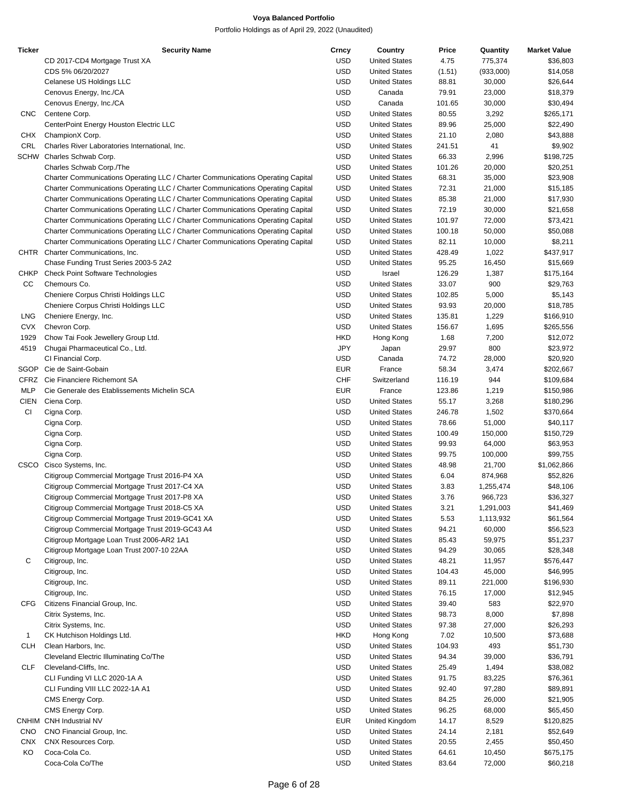| <b>Ticker</b> | <b>Security Name</b>                                                            | Crncy      | Country              | Price  | Quantity  | <b>Market Value</b> |
|---------------|---------------------------------------------------------------------------------|------------|----------------------|--------|-----------|---------------------|
|               | CD 2017-CD4 Mortgage Trust XA                                                   | <b>USD</b> | <b>United States</b> | 4.75   | 775,374   | \$36,803            |
|               | CDS 5% 06/20/2027                                                               | <b>USD</b> | <b>United States</b> | (1.51) | (933,000) | \$14,058            |
|               | Celanese US Holdings LLC                                                        | <b>USD</b> | <b>United States</b> | 88.81  | 30,000    | \$26,644            |
|               | Cenovus Energy, Inc./CA                                                         | <b>USD</b> | Canada               | 79.91  | 23,000    | \$18,379            |
|               | Cenovus Energy, Inc./CA                                                         | <b>USD</b> | Canada               | 101.65 | 30,000    | \$30,494            |
| <b>CNC</b>    | Centene Corp.                                                                   | <b>USD</b> | <b>United States</b> | 80.55  | 3,292     | \$265,171           |
|               |                                                                                 |            |                      |        |           |                     |
|               | CenterPoint Energy Houston Electric LLC                                         | <b>USD</b> | <b>United States</b> | 89.96  | 25,000    | \$22,490            |
| CHX           | ChampionX Corp.                                                                 | <b>USD</b> | <b>United States</b> | 21.10  | 2,080     | \$43,888            |
| CRL           | Charles River Laboratories International, Inc.                                  | <b>USD</b> | <b>United States</b> | 241.51 | 41        | \$9,902             |
|               | SCHW Charles Schwab Corp.                                                       | <b>USD</b> | <b>United States</b> | 66.33  | 2,996     | \$198,725           |
|               | Charles Schwab Corp./The                                                        | <b>USD</b> | <b>United States</b> | 101.26 | 20,000    | \$20,251            |
|               | Charter Communications Operating LLC / Charter Communications Operating Capital | <b>USD</b> | <b>United States</b> | 68.31  | 35,000    | \$23,908            |
|               | Charter Communications Operating LLC / Charter Communications Operating Capital | <b>USD</b> | <b>United States</b> | 72.31  | 21,000    | \$15,185            |
|               | Charter Communications Operating LLC / Charter Communications Operating Capital | <b>USD</b> | <b>United States</b> | 85.38  | 21,000    | \$17,930            |
|               | Charter Communications Operating LLC / Charter Communications Operating Capital | <b>USD</b> | <b>United States</b> | 72.19  | 30,000    | \$21,658            |
|               | Charter Communications Operating LLC / Charter Communications Operating Capital | <b>USD</b> | <b>United States</b> | 101.97 | 72,000    | \$73,421            |
|               |                                                                                 |            |                      |        |           |                     |
|               | Charter Communications Operating LLC / Charter Communications Operating Capital | <b>USD</b> | <b>United States</b> | 100.18 | 50,000    | \$50,088            |
|               | Charter Communications Operating LLC / Charter Communications Operating Capital | <b>USD</b> | <b>United States</b> | 82.11  | 10,000    | \$8,211             |
|               | CHTR Charter Communications, Inc.                                               | <b>USD</b> | <b>United States</b> | 428.49 | 1,022     | \$437,917           |
|               | Chase Funding Trust Series 2003-5 2A2                                           | <b>USD</b> | <b>United States</b> | 95.25  | 16,450    | \$15,669            |
| CHKP          | <b>Check Point Software Technologies</b>                                        | <b>USD</b> | Israel               | 126.29 | 1,387     | \$175,164           |
| CC            | Chemours Co.                                                                    | <b>USD</b> | <b>United States</b> | 33.07  | 900       | \$29,763            |
|               | Cheniere Corpus Christi Holdings LLC                                            | <b>USD</b> | <b>United States</b> | 102.85 | 5,000     | \$5,143             |
|               | Cheniere Corpus Christi Holdings LLC                                            | <b>USD</b> | <b>United States</b> | 93.93  | 20,000    | \$18,785            |
| <b>LNG</b>    | Cheniere Energy, Inc.                                                           | <b>USD</b> | <b>United States</b> | 135.81 | 1,229     | \$166,910           |
| <b>CVX</b>    | Chevron Corp.                                                                   | <b>USD</b> | <b>United States</b> | 156.67 | 1,695     | \$265,556           |
|               |                                                                                 |            |                      |        |           |                     |
| 1929          | Chow Tai Fook Jewellery Group Ltd.                                              | <b>HKD</b> | Hong Kong            | 1.68   | 7,200     | \$12,072            |
| 4519          | Chugai Pharmaceutical Co., Ltd.                                                 | <b>JPY</b> | Japan                | 29.97  | 800       | \$23,972            |
|               | CI Financial Corp.                                                              | USD        | Canada               | 74.72  | 28,000    | \$20,920            |
|               | SGOP Cie de Saint-Gobain                                                        | <b>EUR</b> | France               | 58.34  | 3,474     | \$202,667           |
|               | CFRZ Cie Financiere Richemont SA                                                | <b>CHF</b> | Switzerland          | 116.19 | 944       | \$109,684           |
| <b>MLP</b>    | Cie Generale des Etablissements Michelin SCA                                    | <b>EUR</b> | France               | 123.86 | 1,219     | \$150,986           |
| <b>CIEN</b>   | Ciena Corp.                                                                     | <b>USD</b> | <b>United States</b> | 55.17  | 3,268     | \$180,296           |
| СI            | Cigna Corp.                                                                     | <b>USD</b> | <b>United States</b> | 246.78 | 1,502     | \$370,664           |
|               | Cigna Corp.                                                                     | <b>USD</b> | <b>United States</b> | 78.66  | 51,000    | \$40,117            |
|               | Cigna Corp.                                                                     | <b>USD</b> | <b>United States</b> | 100.49 | 150,000   | \$150,729           |
|               |                                                                                 |            |                      |        |           |                     |
|               | Cigna Corp.                                                                     | <b>USD</b> | <b>United States</b> | 99.93  | 64,000    | \$63,953            |
|               | Cigna Corp.                                                                     | <b>USD</b> | <b>United States</b> | 99.75  | 100,000   | \$99,755            |
| CSCO          | Cisco Systems, Inc.                                                             | <b>USD</b> | <b>United States</b> | 48.98  | 21,700    | \$1,062,866         |
|               | Citigroup Commercial Mortgage Trust 2016-P4 XA                                  | <b>USD</b> | <b>United States</b> | 6.04   | 874,968   | \$52,826            |
|               | Citigroup Commercial Mortgage Trust 2017-C4 XA                                  | <b>USD</b> | <b>United States</b> | 3.83   | 1,255,474 | \$48,106            |
|               | Citigroup Commercial Mortgage Trust 2017-P8 XA                                  | <b>USD</b> | <b>United States</b> | 3.76   | 966,723   | \$36,327            |
|               | Citigroup Commercial Mortgage Trust 2018-C5 XA                                  | <b>USD</b> | <b>United States</b> | 3.21   | 1,291,003 | \$41,469            |
|               | Citigroup Commercial Mortgage Trust 2019-GC41 XA                                | <b>USD</b> | <b>United States</b> | 5.53   | 1,113,932 | \$61,564            |
|               | Citigroup Commercial Mortgage Trust 2019-GC43 A4                                | <b>USD</b> | <b>United States</b> | 94.21  | 60,000    | \$56,523            |
|               | Citigroup Mortgage Loan Trust 2006-AR2 1A1                                      | <b>USD</b> | <b>United States</b> | 85.43  | 59,975    | \$51,237            |
|               |                                                                                 |            | <b>United States</b> |        |           |                     |
|               | Citigroup Mortgage Loan Trust 2007-10 22AA                                      | <b>USD</b> |                      | 94.29  | 30,065    | \$28,348            |
| С             | Citigroup, Inc.                                                                 | <b>USD</b> | <b>United States</b> | 48.21  | 11,957    | \$576,447           |
|               | Citigroup, Inc.                                                                 | <b>USD</b> | <b>United States</b> | 104.43 | 45,000    | \$46,995            |
|               | Citigroup, Inc.                                                                 | <b>USD</b> | <b>United States</b> | 89.11  | 221,000   | \$196,930           |
|               | Citigroup, Inc.                                                                 | <b>USD</b> | <b>United States</b> | 76.15  | 17,000    | \$12,945            |
| CFG           | Citizens Financial Group, Inc.                                                  | <b>USD</b> | <b>United States</b> | 39.40  | 583       | \$22,970            |
|               | Citrix Systems, Inc.                                                            | <b>USD</b> | <b>United States</b> | 98.73  | 8,000     | \$7,898             |
|               | Citrix Systems, Inc.                                                            | <b>USD</b> | <b>United States</b> | 97.38  | 27,000    | \$26,293            |
| 1             | CK Hutchison Holdings Ltd.                                                      | HKD        | Hong Kong            | 7.02   | 10,500    | \$73,688            |
| <b>CLH</b>    | Clean Harbors, Inc.                                                             | <b>USD</b> | <b>United States</b> | 104.93 | 493       | \$51,730            |
|               |                                                                                 |            |                      |        |           |                     |
|               | Cleveland Electric Illuminating Co/The                                          | <b>USD</b> | <b>United States</b> | 94.34  | 39,000    | \$36,791            |
| <b>CLF</b>    | Cleveland-Cliffs, Inc.                                                          | <b>USD</b> | <b>United States</b> | 25.49  | 1,494     | \$38,082            |
|               | CLI Funding VI LLC 2020-1A A                                                    | <b>USD</b> | <b>United States</b> | 91.75  | 83,225    | \$76,361            |
|               | CLI Funding VIII LLC 2022-1A A1                                                 | <b>USD</b> | <b>United States</b> | 92.40  | 97,280    | \$89,891            |
|               | CMS Energy Corp.                                                                | <b>USD</b> | <b>United States</b> | 84.25  | 26,000    | \$21,905            |
|               | CMS Energy Corp.                                                                | <b>USD</b> | <b>United States</b> | 96.25  | 68,000    | \$65,450            |
|               | CNHIM CNH Industrial NV                                                         | <b>EUR</b> | United Kingdom       | 14.17  | 8,529     | \$120,825           |
| <b>CNO</b>    | CNO Financial Group, Inc.                                                       | <b>USD</b> | <b>United States</b> | 24.14  | 2,181     | \$52,649            |
| CNX           | CNX Resources Corp.                                                             | <b>USD</b> | <b>United States</b> | 20.55  | 2,455     | \$50,450            |
| KO            | Coca-Cola Co.                                                                   | <b>USD</b> | <b>United States</b> | 64.61  | 10,450    | \$675,175           |
|               | Coca-Cola Co/The                                                                | <b>USD</b> | <b>United States</b> | 83.64  | 72,000    | \$60,218            |
|               |                                                                                 |            |                      |        |           |                     |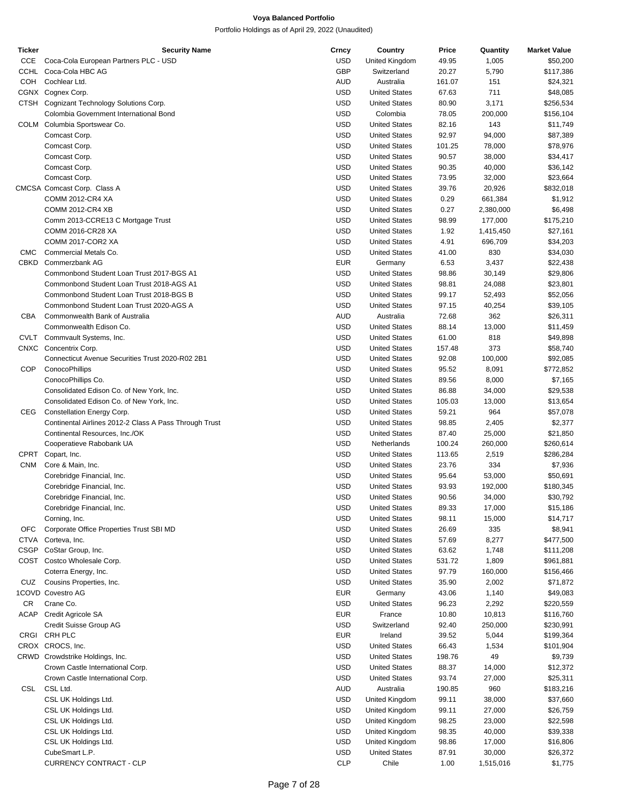| <b>Ticker</b> | <b>Security Name</b>                                   | Crncy      | Country              | Price  | Quantity  | <b>Market Value</b> |
|---------------|--------------------------------------------------------|------------|----------------------|--------|-----------|---------------------|
| CCE           | Coca-Cola European Partners PLC - USD                  | <b>USD</b> | United Kingdom       | 49.95  | 1,005     | \$50,200            |
| CCHL          | Coca-Cola HBC AG                                       | <b>GBP</b> | Switzerland          | 20.27  | 5,790     | \$117,386           |
| <b>COH</b>    | Cochlear Ltd.                                          | AUD        | Australia            | 161.07 | 151       | \$24,321            |
|               | CGNX Cognex Corp.                                      | <b>USD</b> | <b>United States</b> | 67.63  | 711       | \$48,085            |
|               |                                                        |            |                      |        |           |                     |
|               | CTSH Cognizant Technology Solutions Corp.              | <b>USD</b> | <b>United States</b> | 80.90  | 3,171     | \$256,534           |
|               | Colombia Government International Bond                 | <b>USD</b> | Colombia             | 78.05  | 200,000   | \$156,104           |
| COLM          | Columbia Sportswear Co.                                | <b>USD</b> | <b>United States</b> | 82.16  | 143       | \$11,749            |
|               | Comcast Corp.                                          | <b>USD</b> | <b>United States</b> | 92.97  | 94,000    | \$87,389            |
|               | Comcast Corp.                                          | <b>USD</b> | <b>United States</b> | 101.25 | 78,000    | \$78,976            |
|               | Comcast Corp.                                          | <b>USD</b> | <b>United States</b> | 90.57  | 38,000    | \$34,417            |
|               | Comcast Corp.                                          | <b>USD</b> | <b>United States</b> | 90.35  | 40,000    | \$36,142            |
|               |                                                        |            |                      |        |           |                     |
|               | Comcast Corp.                                          | <b>USD</b> | <b>United States</b> | 73.95  | 32,000    | \$23,664            |
|               | CMCSA Comcast Corp. Class A                            | <b>USD</b> | <b>United States</b> | 39.76  | 20,926    | \$832,018           |
|               | COMM 2012-CR4 XA                                       | <b>USD</b> | <b>United States</b> | 0.29   | 661,384   | \$1,912             |
|               | <b>COMM 2012-CR4 XB</b>                                | <b>USD</b> | <b>United States</b> | 0.27   | 2,380,000 | \$6,498             |
|               | Comm 2013-CCRE13 C Mortgage Trust                      | <b>USD</b> | <b>United States</b> | 98.99  | 177,000   | \$175,210           |
|               | COMM 2016-CR28 XA                                      | <b>USD</b> | <b>United States</b> | 1.92   | 1,415,450 | \$27,161            |
|               | COMM 2017-COR2 XA                                      | <b>USD</b> | <b>United States</b> | 4.91   | 696,709   | \$34,203            |
|               |                                                        |            |                      |        |           |                     |
| <b>CMC</b>    | Commercial Metals Co.                                  | <b>USD</b> | <b>United States</b> | 41.00  | 830       | \$34,030            |
| CBKD          | Commerzbank AG                                         | <b>EUR</b> | Germany              | 6.53   | 3,437     | \$22,438            |
|               | Commonbond Student Loan Trust 2017-BGS A1              | <b>USD</b> | <b>United States</b> | 98.86  | 30,149    | \$29,806            |
|               | Commonbond Student Loan Trust 2018-AGS A1              | <b>USD</b> | <b>United States</b> | 98.81  | 24,088    | \$23,801            |
|               | Commonbond Student Loan Trust 2018-BGS B               | <b>USD</b> | <b>United States</b> | 99.17  | 52,493    | \$52,056            |
|               | Commonbond Student Loan Trust 2020-AGS A               | <b>USD</b> | <b>United States</b> | 97.15  | 40,254    | \$39,105            |
|               | Commonwealth Bank of Australia                         |            |                      |        |           |                     |
| CBA           |                                                        | <b>AUD</b> | Australia            | 72.68  | 362       | \$26,311            |
|               | Commonwealth Edison Co.                                | <b>USD</b> | <b>United States</b> | 88.14  | 13,000    | \$11,459            |
| CVLT          | Commvault Systems, Inc.                                | <b>USD</b> | <b>United States</b> | 61.00  | 818       | \$49,898            |
| CNXC          | Concentrix Corp.                                       | <b>USD</b> | <b>United States</b> | 157.48 | 373       | \$58,740            |
|               | Connecticut Avenue Securities Trust 2020-R02 2B1       | <b>USD</b> | <b>United States</b> | 92.08  | 100,000   | \$92,085            |
| COP           | ConocoPhillips                                         | <b>USD</b> | <b>United States</b> | 95.52  | 8,091     | \$772,852           |
|               |                                                        | <b>USD</b> |                      |        |           |                     |
|               | ConocoPhillips Co.                                     |            | <b>United States</b> | 89.56  | 8,000     | \$7,165             |
|               | Consolidated Edison Co. of New York, Inc.              | <b>USD</b> | <b>United States</b> | 86.88  | 34,000    | \$29,538            |
|               | Consolidated Edison Co. of New York, Inc.              | <b>USD</b> | <b>United States</b> | 105.03 | 13,000    | \$13,654            |
| CEG           | Constellation Energy Corp.                             | <b>USD</b> | <b>United States</b> | 59.21  | 964       | \$57,078            |
|               | Continental Airlines 2012-2 Class A Pass Through Trust | <b>USD</b> | <b>United States</b> | 98.85  | 2,405     | \$2,377             |
|               | Continental Resources, Inc./OK                         | <b>USD</b> | <b>United States</b> | 87.40  | 25,000    | \$21,850            |
|               | Cooperatieve Rabobank UA                               | <b>USD</b> | Netherlands          | 100.24 | 260,000   | \$260,614           |
|               |                                                        |            |                      |        |           |                     |
| CPRT          | Copart, Inc.                                           | <b>USD</b> | <b>United States</b> | 113.65 | 2,519     | \$286,284           |
| <b>CNM</b>    | Core & Main, Inc.                                      | <b>USD</b> | <b>United States</b> | 23.76  | 334       | \$7,936             |
|               | Corebridge Financial, Inc.                             | <b>USD</b> | <b>United States</b> | 95.64  | 53,000    | \$50,691            |
|               | Corebridge Financial, Inc.                             | <b>USD</b> | <b>United States</b> | 93.93  | 192,000   | \$180,345           |
|               | Corebridge Financial, Inc.                             | <b>USD</b> | <b>United States</b> | 90.56  | 34,000    | \$30,792            |
|               | Corebridge Financial, Inc.                             | <b>USD</b> | <b>United States</b> | 89.33  | 17,000    | \$15,186            |
|               |                                                        |            |                      |        |           |                     |
|               | Corning, Inc.                                          | <b>USD</b> | <b>United States</b> | 98.11  | 15,000    | \$14,717            |
| <b>OFC</b>    | Corporate Office Properties Trust SBI MD               | <b>USD</b> | <b>United States</b> | 26.69  | 335       | \$8,941             |
| CTVA          | Corteva, Inc.                                          | <b>USD</b> | <b>United States</b> | 57.69  | 8,277     | \$477,500           |
| <b>CSGP</b>   | CoStar Group, Inc.                                     | <b>USD</b> | <b>United States</b> | 63.62  | 1,748     | \$111,208           |
| COST          | Costco Wholesale Corp.                                 | <b>USD</b> | <b>United States</b> | 531.72 | 1,809     | \$961,881           |
|               | Coterra Energy, Inc.                                   | <b>USD</b> | <b>United States</b> | 97.79  | 160,000   | \$156,466           |
|               |                                                        | <b>USD</b> |                      | 35.90  | 2,002     |                     |
| CUZ           | Cousins Properties, Inc.                               |            | <b>United States</b> |        |           | \$71,872            |
|               | 1COVD Covestro AG                                      | <b>EUR</b> | Germany              | 43.06  | 1,140     | \$49,083            |
| CR            | Crane Co.                                              | <b>USD</b> | <b>United States</b> | 96.23  | 2,292     | \$220,559           |
| ACAP          | Credit Agricole SA                                     | <b>EUR</b> | France               | 10.80  | 10,813    | \$116,760           |
|               | Credit Suisse Group AG                                 | <b>USD</b> | Switzerland          | 92.40  | 250,000   | \$230,991           |
| CRGI          | CRH PLC                                                | <b>EUR</b> | Ireland              | 39.52  | 5,044     | \$199,364           |
|               | CROX CROCS, Inc.                                       | <b>USD</b> | <b>United States</b> |        |           |                     |
|               |                                                        |            |                      | 66.43  | 1,534     | \$101,904           |
|               | CRWD Crowdstrike Holdings, Inc.                        | <b>USD</b> | <b>United States</b> | 198.76 | 49        | \$9,739             |
|               | Crown Castle International Corp.                       | <b>USD</b> | <b>United States</b> | 88.37  | 14,000    | \$12,372            |
|               | Crown Castle International Corp.                       | <b>USD</b> | <b>United States</b> | 93.74  | 27,000    | \$25,311            |
| CSL           | CSL Ltd.                                               | <b>AUD</b> | Australia            | 190.85 | 960       | \$183,216           |
|               | CSL UK Holdings Ltd.                                   | <b>USD</b> | United Kingdom       | 99.11  | 38,000    | \$37,660            |
|               |                                                        | <b>USD</b> |                      |        |           |                     |
|               | CSL UK Holdings Ltd.                                   |            | United Kingdom       | 99.11  | 27,000    | \$26,759            |
|               | CSL UK Holdings Ltd.                                   | <b>USD</b> | United Kingdom       | 98.25  | 23,000    | \$22,598            |
|               | CSL UK Holdings Ltd.                                   | <b>USD</b> | United Kingdom       | 98.35  | 40,000    | \$39,338            |
|               | CSL UK Holdings Ltd.                                   | <b>USD</b> | United Kingdom       | 98.86  | 17,000    | \$16,806            |
|               | CubeSmart L.P.                                         | <b>USD</b> | <b>United States</b> | 87.91  | 30,000    | \$26,372            |
|               | <b>CURRENCY CONTRACT - CLP</b>                         | <b>CLP</b> | Chile                | 1.00   | 1,515,016 | \$1,775             |
|               |                                                        |            |                      |        |           |                     |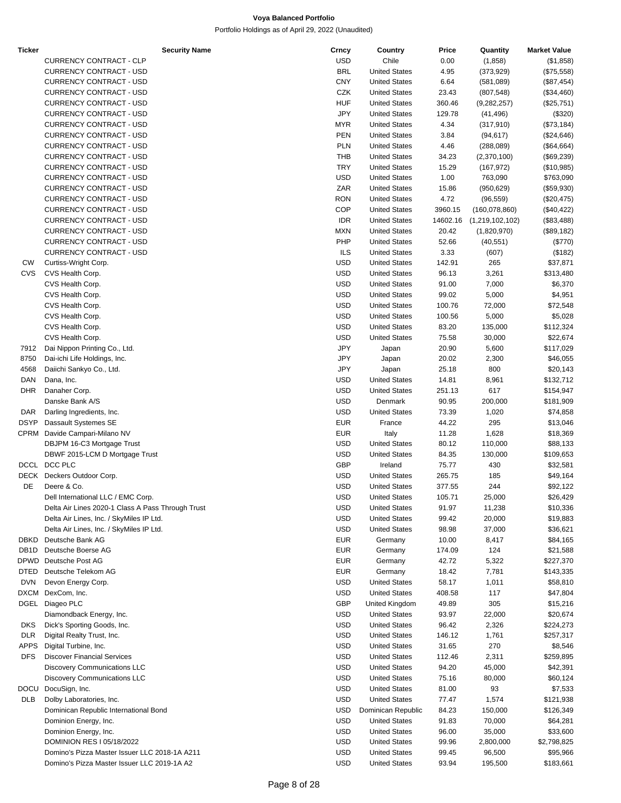| Ticker      | <b>Security Name</b>                              | Crncy      | Country              | Price    | Quantity        | <b>Market Value</b> |
|-------------|---------------------------------------------------|------------|----------------------|----------|-----------------|---------------------|
|             | CURRENCY CONTRACT - CLP                           | <b>USD</b> | Chile                | 0.00     | (1,858)         | (\$1,858)           |
|             | <b>CURRENCY CONTRACT - USD</b>                    | <b>BRL</b> | <b>United States</b> | 4.95     | (373, 929)      | (\$75,558)          |
|             | <b>CURRENCY CONTRACT - USD</b>                    | <b>CNY</b> | <b>United States</b> | 6.64     | (581,089)       | $(\$87,454)$        |
|             | <b>CURRENCY CONTRACT - USD</b>                    | CZK        | <b>United States</b> | 23.43    | (807, 548)      | $(\$34,460)$        |
|             | <b>CURRENCY CONTRACT - USD</b>                    | <b>HUF</b> | <b>United States</b> | 360.46   | (9,282,257)     | $(\$25,751)$        |
|             | <b>CURRENCY CONTRACT - USD</b>                    | <b>JPY</b> | <b>United States</b> | 129.78   | (41, 496)       | (\$320)             |
|             |                                                   |            |                      |          |                 |                     |
|             | <b>CURRENCY CONTRACT - USD</b>                    | <b>MYR</b> | <b>United States</b> | 4.34     | (317, 910)      | (\$73,184)          |
|             | <b>CURRENCY CONTRACT - USD</b>                    | <b>PEN</b> | <b>United States</b> | 3.84     | (94, 617)       | $(\$24,646)$        |
|             | <b>CURRENCY CONTRACT - USD</b>                    | <b>PLN</b> | <b>United States</b> | 4.46     | (288,089)       | $(\$64,664)$        |
|             | <b>CURRENCY CONTRACT - USD</b>                    | <b>THB</b> | <b>United States</b> | 34.23    | (2,370,100)     | (\$69,239)          |
|             | <b>CURRENCY CONTRACT - USD</b>                    | <b>TRY</b> | <b>United States</b> | 15.29    | (167, 972)      | (\$10,985)          |
|             | <b>CURRENCY CONTRACT - USD</b>                    | <b>USD</b> | <b>United States</b> | 1.00     | 763,090         | \$763,090           |
|             | <b>CURRENCY CONTRACT - USD</b>                    | ZAR        | <b>United States</b> | 15.86    | (950, 629)      | $(\$59,930)$        |
|             | <b>CURRENCY CONTRACT - USD</b>                    | <b>RON</b> | <b>United States</b> | 4.72     | (96, 559)       | (\$20,475)          |
|             | <b>CURRENCY CONTRACT - USD</b>                    | COP        | <b>United States</b> | 3960.15  | (160, 078, 860) | (\$40,422)          |
|             | <b>CURRENCY CONTRACT - USD</b>                    | <b>IDR</b> | <b>United States</b> | 14602.16 | (1,219,102,102) | (\$83,488)          |
|             |                                                   |            |                      |          |                 |                     |
|             | <b>CURRENCY CONTRACT - USD</b>                    | <b>MXN</b> | <b>United States</b> | 20.42    | (1,820,970)     | (\$89,182)          |
|             | <b>CURRENCY CONTRACT - USD</b>                    | PHP        | <b>United States</b> | 52.66    | (40, 551)       | (\$770)             |
|             | <b>CURRENCY CONTRACT - USD</b>                    | <b>ILS</b> | <b>United States</b> | 3.33     | (607)           | (\$182)             |
| <b>CW</b>   | Curtiss-Wright Corp.                              | <b>USD</b> | <b>United States</b> | 142.91   | 265             | \$37,871            |
| CVS         | CVS Health Corp.                                  | <b>USD</b> | <b>United States</b> | 96.13    | 3,261           | \$313,480           |
|             | CVS Health Corp.                                  | <b>USD</b> | <b>United States</b> | 91.00    | 7,000           | \$6,370             |
|             | CVS Health Corp.                                  | <b>USD</b> | <b>United States</b> | 99.02    | 5,000           | \$4,951             |
|             | CVS Health Corp.                                  | <b>USD</b> | <b>United States</b> | 100.76   | 72,000          | \$72,548            |
|             | CVS Health Corp.                                  | <b>USD</b> | <b>United States</b> | 100.56   | 5,000           | \$5,028             |
|             |                                                   |            |                      |          |                 |                     |
|             | CVS Health Corp.                                  | <b>USD</b> | <b>United States</b> | 83.20    | 135,000         | \$112,324           |
|             | CVS Health Corp.                                  | <b>USD</b> | <b>United States</b> | 75.58    | 30,000          | \$22,674            |
| 7912        | Dai Nippon Printing Co., Ltd.                     | <b>JPY</b> | Japan                | 20.90    | 5,600           | \$117,029           |
| 8750        | Dai-ichi Life Holdings, Inc.                      | JPY        | Japan                | 20.02    | 2,300           | \$46,055            |
| 4568        | Daiichi Sankyo Co., Ltd.                          | <b>JPY</b> | Japan                | 25.18    | 800             | \$20,143            |
| DAN         | Dana, Inc.                                        | <b>USD</b> | <b>United States</b> | 14.81    | 8,961           | \$132,712           |
| <b>DHR</b>  | Danaher Corp.                                     | <b>USD</b> | <b>United States</b> | 251.13   | 617             | \$154,947           |
|             | Danske Bank A/S                                   | <b>USD</b> | Denmark              | 90.95    | 200,000         | \$181,909           |
| DAR         | Darling Ingredients, Inc.                         | <b>USD</b> | <b>United States</b> | 73.39    | 1,020           | \$74,858            |
|             |                                                   |            |                      |          |                 |                     |
| <b>DSYP</b> | Dassault Systemes SE                              | <b>EUR</b> | France               | 44.22    | 295             | \$13,046            |
|             | CPRM Davide Campari-Milano NV                     | <b>EUR</b> | Italy                | 11.28    | 1,628           | \$18,369            |
|             | DBJPM 16-C3 Mortgage Trust                        | <b>USD</b> | <b>United States</b> | 80.12    | 110,000         | \$88,133            |
|             | DBWF 2015-LCM D Mortgage Trust                    | <b>USD</b> | <b>United States</b> | 84.35    | 130,000         | \$109,653           |
|             | DCCL DCC PLC                                      | <b>GBP</b> | Ireland              | 75.77    | 430             | \$32,581            |
|             | DECK Deckers Outdoor Corp.                        | <b>USD</b> | <b>United States</b> | 265.75   | 185             | \$49,164            |
| DE          | Deere & Co.                                       | <b>USD</b> | <b>United States</b> | 377.55   | 244             | \$92,122            |
|             | Dell International LLC / EMC Corp.                | <b>USD</b> | <b>United States</b> | 105.71   | 25,000          | \$26,429            |
|             | Delta Air Lines 2020-1 Class A Pass Through Trust | <b>USD</b> | <b>United States</b> | 91.97    | 11,238          | \$10,336            |
|             | Delta Air Lines, Inc. / SkyMiles IP Ltd.          | <b>USD</b> | <b>United States</b> | 99.42    | 20,000          | \$19,883            |
|             |                                                   | <b>USD</b> |                      |          |                 |                     |
|             | Delta Air Lines, Inc. / SkyMiles IP Ltd.          |            | <b>United States</b> | 98.98    | 37,000          | \$36,621            |
| DBKD        | Deutsche Bank AG                                  | <b>EUR</b> | Germany              | 10.00    | 8,417           | \$84,165            |
| DB1D        | Deutsche Boerse AG                                | <b>EUR</b> | Germany              | 174.09   | 124             | \$21,588            |
| DPWD        | Deutsche Post AG                                  | <b>EUR</b> | Germany              | 42.72    | 5,322           | \$227,370           |
| DTED        | Deutsche Telekom AG                               | <b>EUR</b> | Germany              | 18.42    | 7,781           | \$143,335           |
| <b>DVN</b>  | Devon Energy Corp.                                | <b>USD</b> | <b>United States</b> | 58.17    | 1,011           | \$58,810            |
| DXCM        | DexCom, Inc.                                      | <b>USD</b> | <b>United States</b> | 408.58   | 117             | \$47,804            |
| DGEL        | Diageo PLC                                        | <b>GBP</b> | United Kingdom       | 49.89    | 305             | \$15,216            |
|             | Diamondback Energy, Inc.                          | USD        | <b>United States</b> | 93.97    | 22,000          | \$20,674            |
| <b>DKS</b>  | Dick's Sporting Goods, Inc.                       | <b>USD</b> | <b>United States</b> | 96.42    | 2,326           | \$224,273           |
| DLR         | Digital Realty Trust, Inc.                        | <b>USD</b> | <b>United States</b> | 146.12   |                 |                     |
|             |                                                   |            |                      |          | 1,761           | \$257,317           |
| APPS        | Digital Turbine, Inc.                             | <b>USD</b> | <b>United States</b> | 31.65    | 270             | \$8,546             |
| DFS.        | <b>Discover Financial Services</b>                | <b>USD</b> | <b>United States</b> | 112.46   | 2,311           | \$259,895           |
|             | <b>Discovery Communications LLC</b>               | <b>USD</b> | <b>United States</b> | 94.20    | 45,000          | \$42,391            |
|             | <b>Discovery Communications LLC</b>               | <b>USD</b> | <b>United States</b> | 75.16    | 80,000          | \$60,124            |
|             | DOCU DocuSign, Inc.                               | <b>USD</b> | <b>United States</b> | 81.00    | 93              | \$7,533             |
| DLB         | Dolby Laboratories, Inc.                          | <b>USD</b> | <b>United States</b> | 77.47    | 1,574           | \$121,938           |
|             | Dominican Republic International Bond             | <b>USD</b> | Dominican Republic   | 84.23    | 150,000         | \$126,349           |
|             | Dominion Energy, Inc.                             | <b>USD</b> | <b>United States</b> | 91.83    | 70,000          | \$64,281            |
|             | Dominion Energy, Inc.                             | <b>USD</b> | <b>United States</b> | 96.00    | 35,000          | \$33,600            |
|             |                                                   | <b>USD</b> |                      |          |                 |                     |
|             | DOMINION RES I 05/18/2022                         |            | <b>United States</b> | 99.96    | 2,800,000       | \$2,798,825         |
|             | Domino's Pizza Master Issuer LLC 2018-1A A211     | <b>USD</b> | <b>United States</b> | 99.45    | 96,500          | \$95,966            |
|             | Domino's Pizza Master Issuer LLC 2019-1A A2       | <b>USD</b> | <b>United States</b> | 93.94    | 195,500         | \$183,661           |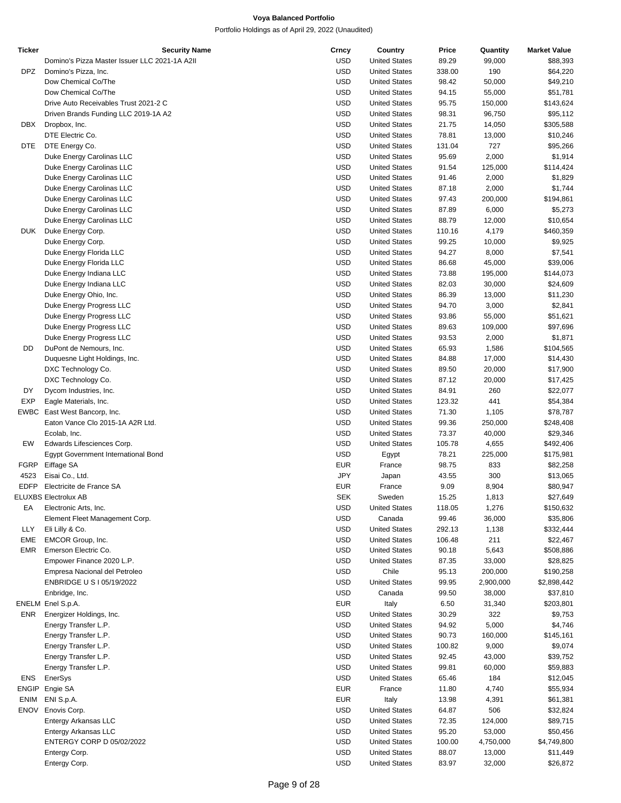| Ticker      | <b>Security Name</b>                          | Crncy      | Country              | Price  | Quantity  | <b>Market Value</b> |
|-------------|-----------------------------------------------|------------|----------------------|--------|-----------|---------------------|
|             | Domino's Pizza Master Issuer LLC 2021-1A A2II | <b>USD</b> | <b>United States</b> | 89.29  | 99,000    | \$88,393            |
| DPZ         | Domino's Pizza, Inc.                          | <b>USD</b> | <b>United States</b> | 338.00 | 190       | \$64,220            |
|             | Dow Chemical Co/The                           | <b>USD</b> | <b>United States</b> | 98.42  | 50,000    | \$49,210            |
|             |                                               |            |                      |        |           |                     |
|             | Dow Chemical Co/The                           | <b>USD</b> | <b>United States</b> | 94.15  | 55,000    | \$51,781            |
|             | Drive Auto Receivables Trust 2021-2 C         | <b>USD</b> | <b>United States</b> | 95.75  | 150,000   | \$143,624           |
|             | Driven Brands Funding LLC 2019-1A A2          | <b>USD</b> | <b>United States</b> | 98.31  | 96,750    | \$95,112            |
| DBX         | Dropbox, Inc.                                 | <b>USD</b> | <b>United States</b> | 21.75  | 14,050    | \$305,588           |
|             | DTE Electric Co.                              | <b>USD</b> | <b>United States</b> | 78.81  | 13,000    | \$10,246            |
| DTE.        | DTE Energy Co.                                | <b>USD</b> | <b>United States</b> | 131.04 | 727       | \$95,266            |
|             | Duke Energy Carolinas LLC                     | <b>USD</b> | <b>United States</b> | 95.69  | 2,000     | \$1,914             |
|             |                                               |            |                      |        |           |                     |
|             | Duke Energy Carolinas LLC                     | <b>USD</b> | <b>United States</b> | 91.54  | 125,000   | \$114,424           |
|             | Duke Energy Carolinas LLC                     | <b>USD</b> | <b>United States</b> | 91.46  | 2,000     | \$1,829             |
|             | Duke Energy Carolinas LLC                     | <b>USD</b> | <b>United States</b> | 87.18  | 2,000     | \$1,744             |
|             | Duke Energy Carolinas LLC                     | <b>USD</b> | <b>United States</b> | 97.43  | 200,000   | \$194,861           |
|             | Duke Energy Carolinas LLC                     | <b>USD</b> | <b>United States</b> | 87.89  | 6,000     | \$5,273             |
|             | Duke Energy Carolinas LLC                     | <b>USD</b> | <b>United States</b> | 88.79  | 12,000    | \$10,654            |
| <b>DUK</b>  |                                               | <b>USD</b> | <b>United States</b> | 110.16 |           |                     |
|             | Duke Energy Corp.                             |            |                      |        | 4,179     | \$460,359           |
|             | Duke Energy Corp.                             | <b>USD</b> | <b>United States</b> | 99.25  | 10,000    | \$9,925             |
|             | Duke Energy Florida LLC                       | <b>USD</b> | <b>United States</b> | 94.27  | 8,000     | \$7,541             |
|             | Duke Energy Florida LLC                       | <b>USD</b> | <b>United States</b> | 86.68  | 45,000    | \$39,006            |
|             | Duke Energy Indiana LLC                       | <b>USD</b> | <b>United States</b> | 73.88  | 195,000   | \$144,073           |
|             | Duke Energy Indiana LLC                       | <b>USD</b> | <b>United States</b> | 82.03  | 30,000    | \$24,609            |
|             | Duke Energy Ohio, Inc.                        | <b>USD</b> | <b>United States</b> | 86.39  | 13,000    | \$11,230            |
|             |                                               |            |                      |        |           |                     |
|             | Duke Energy Progress LLC                      | <b>USD</b> | <b>United States</b> | 94.70  | 3,000     | \$2,841             |
|             | Duke Energy Progress LLC                      | <b>USD</b> | <b>United States</b> | 93.86  | 55,000    | \$51,621            |
|             | Duke Energy Progress LLC                      | <b>USD</b> | <b>United States</b> | 89.63  | 109,000   | \$97,696            |
|             | Duke Energy Progress LLC                      | <b>USD</b> | <b>United States</b> | 93.53  | 2,000     | \$1,871             |
| DD          | DuPont de Nemours, Inc.                       | <b>USD</b> | <b>United States</b> | 65.93  | 1,586     | \$104,565           |
|             | Duquesne Light Holdings, Inc.                 | <b>USD</b> | <b>United States</b> | 84.88  | 17,000    | \$14,430            |
|             |                                               | <b>USD</b> | <b>United States</b> | 89.50  |           |                     |
|             | DXC Technology Co.                            |            |                      |        | 20,000    | \$17,900            |
|             | DXC Technology Co.                            | <b>USD</b> | <b>United States</b> | 87.12  | 20,000    | \$17,425            |
| DY          | Dycom Industries, Inc.                        | <b>USD</b> | <b>United States</b> | 84.91  | 260       | \$22,077            |
| <b>EXP</b>  | Eagle Materials, Inc.                         | <b>USD</b> | <b>United States</b> | 123.32 | 441       | \$54,384            |
|             | EWBC East West Bancorp, Inc.                  | <b>USD</b> | <b>United States</b> | 71.30  | 1,105     | \$78,787            |
|             | Eaton Vance Clo 2015-1A A2R Ltd.              | <b>USD</b> | <b>United States</b> | 99.36  | 250,000   | \$248,408           |
|             |                                               | <b>USD</b> | <b>United States</b> |        |           |                     |
|             | Ecolab, Inc.                                  |            |                      | 73.37  | 40,000    | \$29,346            |
| EW          | Edwards Lifesciences Corp.                    | <b>USD</b> | <b>United States</b> | 105.78 | 4,655     | \$492,406           |
|             | Egypt Government International Bond           | <b>USD</b> | Egypt                | 78.21  | 225,000   | \$175,981           |
| FGRP        | Eiffage SA                                    | <b>EUR</b> | France               | 98.75  | 833       | \$82,258            |
| 4523        | Eisai Co., Ltd.                               | JPY        | Japan                | 43.55  | 300       | \$13,065            |
| <b>EDFP</b> | Electricite de France SA                      | <b>EUR</b> | France               | 9.09   | 8,904     | \$80,947            |
|             | ELUXBS Electrolux AB                          | <b>SEK</b> | Sweden               | 15.25  | 1,813     | \$27,649            |
|             |                                               |            |                      |        |           |                     |
| EA          | Electronic Arts, Inc.                         | <b>USD</b> | <b>United States</b> | 118.05 | 1,276     | \$150,632           |
|             | Element Fleet Management Corp.                | <b>USD</b> | Canada               | 99.46  | 36,000    | \$35,806            |
| LLY         | Eli Lilly & Co.                               | <b>USD</b> | <b>United States</b> | 292.13 | 1,138     | \$332,444           |
| <b>EME</b>  | EMCOR Group, Inc.                             | <b>USD</b> | <b>United States</b> | 106.48 | 211       | \$22,467            |
| EMR         | Emerson Electric Co.                          | <b>USD</b> | <b>United States</b> | 90.18  | 5,643     | \$508,886           |
|             | Empower Finance 2020 L.P.                     | <b>USD</b> | <b>United States</b> | 87.35  | 33,000    | \$28,825            |
|             |                                               |            |                      |        |           |                     |
|             | Empresa Nacional del Petroleo                 | <b>USD</b> | Chile                | 95.13  | 200,000   | \$190,258           |
|             | ENBRIDGE U S I 05/19/2022                     | <b>USD</b> | <b>United States</b> | 99.95  | 2,900,000 | \$2,898,442         |
|             | Enbridge, Inc.                                | <b>USD</b> | Canada               | 99.50  | 38,000    | \$37,810            |
|             | ENELM Enel S.p.A.                             | <b>EUR</b> | Italy                | 6.50   | 31,340    | \$203,801           |
| ENR         | Energizer Holdings, Inc.                      | <b>USD</b> | <b>United States</b> | 30.29  | 322       | \$9,753             |
|             | Energy Transfer L.P.                          | <b>USD</b> | <b>United States</b> | 94.92  | 5,000     | \$4,746             |
|             |                                               |            |                      |        |           |                     |
|             | Energy Transfer L.P.                          | <b>USD</b> | <b>United States</b> | 90.73  | 160,000   | \$145,161           |
|             | Energy Transfer L.P.                          | <b>USD</b> | <b>United States</b> | 100.82 | 9,000     | \$9,074             |
|             | Energy Transfer L.P.                          | <b>USD</b> | <b>United States</b> | 92.45  | 43,000    | \$39,752            |
|             | Energy Transfer L.P.                          | <b>USD</b> | <b>United States</b> | 99.81  | 60,000    | \$59,883            |
| ENS         | EnerSys                                       | <b>USD</b> | <b>United States</b> | 65.46  | 184       | \$12,045            |
| ENGIP       | Engie SA                                      | <b>EUR</b> | France               | 11.80  | 4,740     | \$55,934            |
|             |                                               |            |                      |        |           |                     |
| <b>ENIM</b> | ENI S.p.A.                                    | <b>EUR</b> | Italy                | 13.98  | 4,391     | \$61,381            |
| <b>ENOV</b> | Enovis Corp.                                  | <b>USD</b> | <b>United States</b> | 64.87  | 506       | \$32,824            |
|             | Entergy Arkansas LLC                          | <b>USD</b> | <b>United States</b> | 72.35  | 124,000   | \$89,715            |
|             | Entergy Arkansas LLC                          | <b>USD</b> | <b>United States</b> | 95.20  | 53,000    | \$50,456            |
|             | ENTERGY CORP D 05/02/2022                     | <b>USD</b> | <b>United States</b> | 100.00 | 4,750,000 | \$4,749,800         |
|             | Entergy Corp.                                 | <b>USD</b> | <b>United States</b> | 88.07  | 13,000    | \$11,449            |
|             | Entergy Corp.                                 | <b>USD</b> | <b>United States</b> | 83.97  | 32,000    |                     |
|             |                                               |            |                      |        |           | \$26,872            |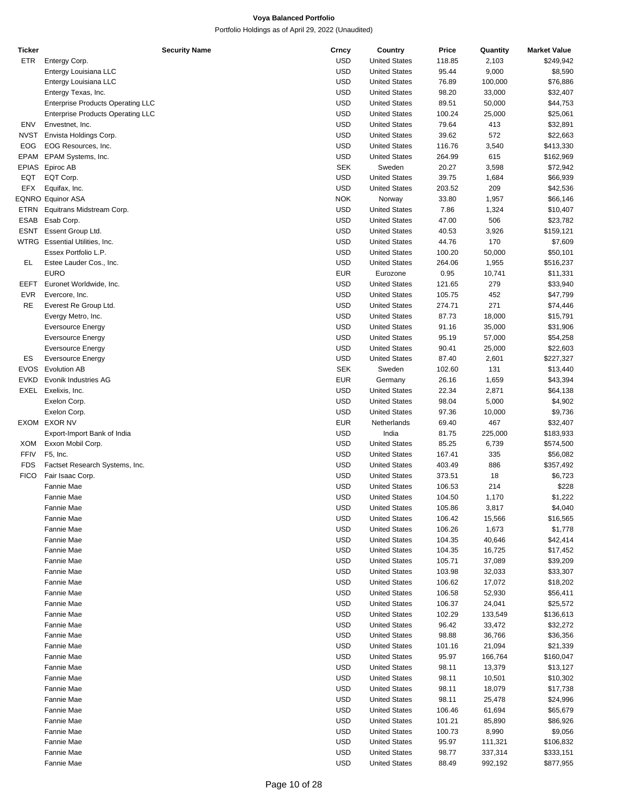| Ticker      |                                          | <b>Security Name</b> | Crncy      | Country              | Price  | Quantity | <b>Market Value</b> |
|-------------|------------------------------------------|----------------------|------------|----------------------|--------|----------|---------------------|
| ETR         | Entergy Corp.                            |                      | <b>USD</b> | <b>United States</b> | 118.85 | 2,103    | \$249,942           |
|             | Entergy Louisiana LLC                    |                      | <b>USD</b> | <b>United States</b> | 95.44  | 9,000    | \$8,590             |
|             | Entergy Louisiana LLC                    |                      | <b>USD</b> | <b>United States</b> | 76.89  | 100,000  | \$76,886            |
|             | Entergy Texas, Inc.                      |                      | <b>USD</b> | <b>United States</b> | 98.20  | 33,000   | \$32,407            |
|             |                                          |                      | <b>USD</b> | <b>United States</b> | 89.51  | 50,000   |                     |
|             | <b>Enterprise Products Operating LLC</b> |                      |            |                      |        |          | \$44,753            |
|             | <b>Enterprise Products Operating LLC</b> |                      | <b>USD</b> | <b>United States</b> | 100.24 | 25,000   | \$25,061            |
| ENV         | Envestnet, Inc.                          |                      | <b>USD</b> | <b>United States</b> | 79.64  | 413      | \$32,891            |
| NVST        | Envista Holdings Corp.                   |                      | <b>USD</b> | <b>United States</b> | 39.62  | 572      | \$22,663            |
| <b>EOG</b>  | EOG Resources, Inc.                      |                      | <b>USD</b> | <b>United States</b> | 116.76 | 3,540    | \$413,330           |
| EPAM        | EPAM Systems, Inc.                       |                      | <b>USD</b> | <b>United States</b> | 264.99 | 615      | \$162,969           |
| EPIAS       | Epiroc AB                                |                      | <b>SEK</b> | Sweden               | 20.27  | 3,598    | \$72,942            |
| EQT         | EQT Corp.                                |                      | <b>USD</b> | <b>United States</b> | 39.75  | 1,684    | \$66,939            |
|             |                                          |                      |            |                      |        |          |                     |
| EFX         | Equifax, Inc.                            |                      | <b>USD</b> | <b>United States</b> | 203.52 | 209      | \$42,536            |
|             | EQNRO Equinor ASA                        |                      | <b>NOK</b> | Norway               | 33.80  | 1,957    | \$66,146            |
|             | ETRN Equitrans Midstream Corp.           |                      | <b>USD</b> | <b>United States</b> | 7.86   | 1,324    | \$10,407            |
|             | ESAB Esab Corp.                          |                      | <b>USD</b> | <b>United States</b> | 47.00  | 506      | \$23,782            |
| ESNT        | Essent Group Ltd.                        |                      | <b>USD</b> | <b>United States</b> | 40.53  | 3,926    | \$159,121           |
|             | WTRG Essential Utilities, Inc.           |                      | <b>USD</b> | <b>United States</b> | 44.76  | 170      | \$7,609             |
|             | Essex Portfolio L.P.                     |                      | <b>USD</b> | <b>United States</b> | 100.20 | 50,000   | \$50,101            |
| EL.         | Estee Lauder Cos., Inc.                  |                      | <b>USD</b> | <b>United States</b> | 264.06 | 1,955    | \$516,237           |
|             |                                          |                      |            |                      |        |          |                     |
|             | <b>EURO</b>                              |                      | <b>EUR</b> | Eurozone             | 0.95   | 10,741   | \$11,331            |
| EEFT        | Euronet Worldwide, Inc.                  |                      | <b>USD</b> | <b>United States</b> | 121.65 | 279      | \$33,940            |
| EVR         | Evercore, Inc.                           |                      | <b>USD</b> | <b>United States</b> | 105.75 | 452      | \$47,799            |
| RE          | Everest Re Group Ltd.                    |                      | <b>USD</b> | <b>United States</b> | 274.71 | 271      | \$74,446            |
|             | Evergy Metro, Inc.                       |                      | <b>USD</b> | <b>United States</b> | 87.73  | 18,000   | \$15,791            |
|             | <b>Eversource Energy</b>                 |                      | <b>USD</b> | <b>United States</b> | 91.16  | 35,000   | \$31,906            |
|             |                                          |                      | <b>USD</b> |                      |        |          |                     |
|             | <b>Eversource Energy</b>                 |                      |            | <b>United States</b> | 95.19  | 57,000   | \$54,258            |
|             | <b>Eversource Energy</b>                 |                      | <b>USD</b> | <b>United States</b> | 90.41  | 25,000   | \$22,603            |
| ES          | <b>Eversource Energy</b>                 |                      | <b>USD</b> | <b>United States</b> | 87.40  | 2,601    | \$227,327           |
|             | EVOS Evolution AB                        |                      | <b>SEK</b> | Sweden               | 102.60 | 131      | \$13,440            |
| <b>EVKD</b> | Evonik Industries AG                     |                      | <b>EUR</b> | Germany              | 26.16  | 1,659    | \$43,394            |
| EXEL        | Exelixis, Inc.                           |                      | <b>USD</b> | <b>United States</b> | 22.34  | 2,871    | \$64,138            |
|             | Exelon Corp.                             |                      | <b>USD</b> | <b>United States</b> | 98.04  | 5,000    | \$4,902             |
|             | Exelon Corp.                             |                      | <b>USD</b> | <b>United States</b> | 97.36  | 10,000   | \$9,736             |
|             |                                          |                      |            |                      |        |          |                     |
|             | EXOM EXOR NV                             |                      | <b>EUR</b> | Netherlands          | 69.40  | 467      | \$32,407            |
|             | Export-Import Bank of India              |                      | <b>USD</b> | India                | 81.75  | 225,000  | \$183,933           |
| XOM         | Exxon Mobil Corp.                        |                      | <b>USD</b> | <b>United States</b> | 85.25  | 6,739    | \$574,500           |
| FFIV        | F5, Inc.                                 |                      | <b>USD</b> | <b>United States</b> | 167.41 | 335      | \$56,082            |
| <b>FDS</b>  | Factset Research Systems, Inc.           |                      | <b>USD</b> | <b>United States</b> | 403.49 | 886      | \$357,492           |
| <b>FICO</b> | Fair Isaac Corp.                         |                      | <b>USD</b> | <b>United States</b> | 373.51 | 18       | \$6,723             |
|             | Fannie Mae                               |                      | <b>USD</b> | <b>United States</b> | 106.53 | 214      | \$228               |
|             |                                          |                      |            |                      |        |          |                     |
|             | Fannie Mae                               |                      | <b>USD</b> | <b>United States</b> | 104.50 | 1,170    | \$1,222             |
|             | Fannie Mae                               |                      | <b>USD</b> | <b>United States</b> | 105.86 | 3,817    | \$4,040             |
|             | Fannie Mae                               |                      | <b>USD</b> | <b>United States</b> | 106.42 | 15,566   | \$16,565            |
|             | Fannie Mae                               |                      | <b>USD</b> | <b>United States</b> | 106.26 | 1,673    | \$1,778             |
|             | Fannie Mae                               |                      | <b>USD</b> | <b>United States</b> | 104.35 | 40,646   | \$42,414            |
|             | Fannie Mae                               |                      | <b>USD</b> | <b>United States</b> | 104.35 | 16,725   | \$17,452            |
|             | Fannie Mae                               |                      | <b>USD</b> | <b>United States</b> | 105.71 | 37,089   | \$39,209            |
|             | Fannie Mae                               |                      | <b>USD</b> | <b>United States</b> | 103.98 | 32,033   | \$33,307            |
|             |                                          |                      |            |                      |        |          |                     |
|             | Fannie Mae                               |                      | <b>USD</b> | <b>United States</b> | 106.62 | 17,072   | \$18,202            |
|             | Fannie Mae                               |                      | <b>USD</b> | <b>United States</b> | 106.58 | 52,930   | \$56,411            |
|             | Fannie Mae                               |                      | <b>USD</b> | <b>United States</b> | 106.37 | 24,041   | \$25,572            |
|             | Fannie Mae                               |                      | <b>USD</b> | <b>United States</b> | 102.29 | 133,549  | \$136,613           |
|             | Fannie Mae                               |                      | <b>USD</b> | <b>United States</b> | 96.42  | 33,472   | \$32,272            |
|             | Fannie Mae                               |                      | <b>USD</b> | <b>United States</b> | 98.88  | 36,766   | \$36,356            |
|             | Fannie Mae                               |                      | <b>USD</b> | <b>United States</b> | 101.16 | 21,094   | \$21,339            |
|             |                                          |                      |            |                      |        |          |                     |
|             | Fannie Mae                               |                      | <b>USD</b> | <b>United States</b> | 95.97  | 166,764  | \$160,047           |
|             | Fannie Mae                               |                      | <b>USD</b> | <b>United States</b> | 98.11  | 13,379   | \$13,127            |
|             | Fannie Mae                               |                      | <b>USD</b> | <b>United States</b> | 98.11  | 10,501   | \$10,302            |
|             | Fannie Mae                               |                      | <b>USD</b> | <b>United States</b> | 98.11  | 18,079   | \$17,738            |
|             | Fannie Mae                               |                      | <b>USD</b> | <b>United States</b> | 98.11  | 25,478   | \$24,996            |
|             | Fannie Mae                               |                      | <b>USD</b> | <b>United States</b> | 106.46 | 61,694   | \$65,679            |
|             | Fannie Mae                               |                      | <b>USD</b> | <b>United States</b> | 101.21 | 85,890   | \$86,926            |
|             |                                          |                      | <b>USD</b> |                      |        |          |                     |
|             | Fannie Mae                               |                      |            | <b>United States</b> | 100.73 | 8,990    | \$9,056             |
|             | Fannie Mae                               |                      | <b>USD</b> | <b>United States</b> | 95.97  | 111,321  | \$106,832           |
|             | Fannie Mae                               |                      | <b>USD</b> | <b>United States</b> | 98.77  | 337,314  | \$333,151           |
|             | Fannie Mae                               |                      | <b>USD</b> | <b>United States</b> | 88.49  | 992,192  | \$877,955           |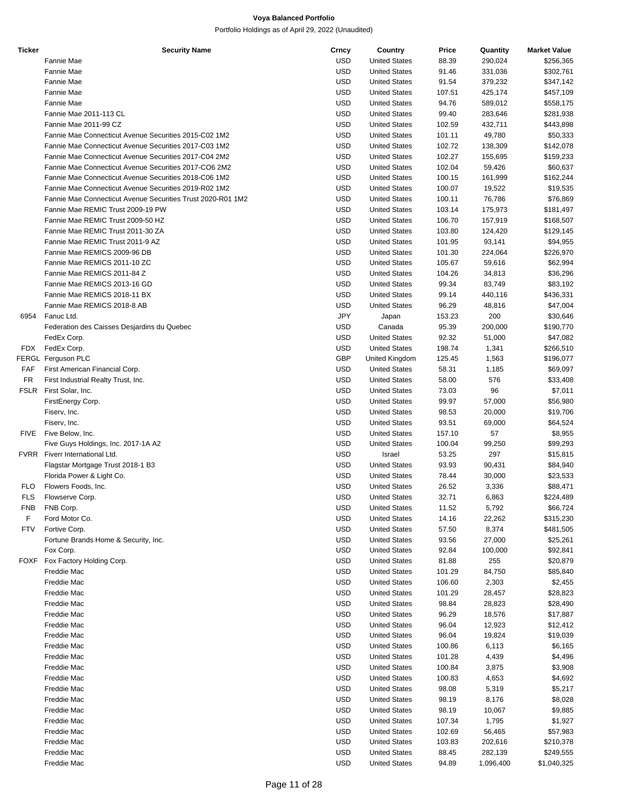| <b>Ticker</b> | <b>Security Name</b>                                        | Crncy      | Country              | Price  | Quantity  | <b>Market Value</b> |
|---------------|-------------------------------------------------------------|------------|----------------------|--------|-----------|---------------------|
|               | Fannie Mae                                                  | <b>USD</b> | <b>United States</b> | 88.39  | 290,024   | \$256,365           |
|               | Fannie Mae                                                  | <b>USD</b> | <b>United States</b> | 91.46  | 331,036   | \$302,761           |
|               | <b>Fannie Mae</b>                                           | <b>USD</b> | <b>United States</b> | 91.54  | 379,232   | \$347,142           |
|               | Fannie Mae                                                  | <b>USD</b> | <b>United States</b> | 107.51 | 425,174   | \$457,109           |
|               | <b>Fannie Mae</b>                                           | <b>USD</b> | <b>United States</b> | 94.76  | 589,012   | \$558,175           |
|               | Fannie Mae 2011-113 CL                                      | <b>USD</b> | <b>United States</b> | 99.40  | 283,646   | \$281,938           |
|               | Fannie Mae 2011-99 CZ                                       | <b>USD</b> | <b>United States</b> | 102.59 | 432,711   | \$443,898           |
|               | Fannie Mae Connecticut Avenue Securities 2015-C02 1M2       | <b>USD</b> | <b>United States</b> | 101.11 | 49,780    | \$50,333            |
|               | Fannie Mae Connecticut Avenue Securities 2017-C03 1M2       | <b>USD</b> | <b>United States</b> | 102.72 | 138,309   | \$142,078           |
|               | Fannie Mae Connecticut Avenue Securities 2017-C04 2M2       | <b>USD</b> | <b>United States</b> | 102.27 | 155,695   | \$159,233           |
|               | Fannie Mae Connecticut Avenue Securities 2017-CO6 2M2       | <b>USD</b> | <b>United States</b> |        |           |                     |
|               | Fannie Mae Connecticut Avenue Securities 2018-C06 1M2       |            |                      | 102.04 | 59,426    | \$60,637            |
|               |                                                             | <b>USD</b> | <b>United States</b> | 100.15 | 161,999   | \$162,244           |
|               | Fannie Mae Connecticut Avenue Securities 2019-R02 1M2       | <b>USD</b> | <b>United States</b> | 100.07 | 19,522    | \$19,535            |
|               | Fannie Mae Connecticut Avenue Securities Trust 2020-R01 1M2 | <b>USD</b> | <b>United States</b> | 100.11 | 76,786    | \$76,869            |
|               | Fannie Mae REMIC Trust 2009-19 PW                           | <b>USD</b> | <b>United States</b> | 103.14 | 175,973   | \$181,497           |
|               | Fannie Mae REMIC Trust 2009-50 HZ                           | <b>USD</b> | <b>United States</b> | 106.70 | 157,919   | \$168,507           |
|               | Fannie Mae REMIC Trust 2011-30 ZA                           | <b>USD</b> | <b>United States</b> | 103.80 | 124,420   | \$129,145           |
|               | Fannie Mae REMIC Trust 2011-9 AZ                            | <b>USD</b> | <b>United States</b> | 101.95 | 93,141    | \$94,955            |
|               | Fannie Mae REMICS 2009-96 DB                                | <b>USD</b> | <b>United States</b> | 101.30 | 224,064   | \$226,970           |
|               | Fannie Mae REMICS 2011-10 ZC                                | <b>USD</b> | <b>United States</b> | 105.67 | 59,616    | \$62,994            |
|               | Fannie Mae REMICS 2011-84 Z                                 | <b>USD</b> | <b>United States</b> | 104.26 | 34,813    | \$36,296            |
|               | Fannie Mae REMICS 2013-16 GD                                | <b>USD</b> | <b>United States</b> | 99.34  | 83,749    | \$83,192            |
|               | Fannie Mae REMICS 2018-11 BX                                | <b>USD</b> | <b>United States</b> | 99.14  | 440,116   | \$436,331           |
|               | Fannie Mae REMICS 2018-8 AB                                 | <b>USD</b> | <b>United States</b> | 96.29  | 48,816    | \$47,004            |
| 6954          | Fanuc Ltd.                                                  | <b>JPY</b> | Japan                | 153.23 | 200       | \$30,646            |
|               | Federation des Caisses Desjardins du Quebec                 | <b>USD</b> | Canada               | 95.39  | 200,000   | \$190,770           |
|               | FedEx Corp.                                                 | <b>USD</b> | <b>United States</b> | 92.32  | 51,000    | \$47,082            |
| FDX           | FedEx Corp.                                                 | <b>USD</b> | <b>United States</b> | 198.74 | 1,341     | \$266,510           |
|               | FERGL Ferguson PLC                                          | GBP        | United Kingdom       | 125.45 | 1,563     | \$196,077           |
| FAF           | First American Financial Corp.                              | <b>USD</b> | <b>United States</b> | 58.31  | 1,185     | \$69,097            |
| <b>FR</b>     | First Industrial Realty Trust, Inc.                         | <b>USD</b> | <b>United States</b> | 58.00  | 576       | \$33,408            |
| FSLR          | First Solar, Inc.                                           | <b>USD</b> | <b>United States</b> | 73.03  | 96        | \$7,011             |
|               | FirstEnergy Corp.                                           | <b>USD</b> | <b>United States</b> | 99.97  | 57,000    | \$56,980            |
|               |                                                             | <b>USD</b> |                      |        |           |                     |
|               | Fiserv, Inc.                                                |            | <b>United States</b> | 98.53  | 20,000    | \$19,706            |
|               | Fiserv, Inc.                                                | <b>USD</b> | <b>United States</b> | 93.51  | 69,000    | \$64,524            |
| FIVE          | Five Below, Inc.                                            | <b>USD</b> | <b>United States</b> | 157.10 | 57        | \$8,955             |
|               | Five Guys Holdings, Inc. 2017-1A A2                         | <b>USD</b> | <b>United States</b> | 100.04 | 99,250    | \$99,293            |
|               | FVRR Fiverr International Ltd.                              | <b>USD</b> | Israel               | 53.25  | 297       | \$15,815            |
|               | Flagstar Mortgage Trust 2018-1 B3                           | <b>USD</b> | <b>United States</b> | 93.93  | 90,431    | \$84,940            |
|               | Florida Power & Light Co.                                   | <b>USD</b> | <b>United States</b> | 78.44  | 30,000    | \$23,533            |
| <b>FLO</b>    | Flowers Foods, Inc.                                         | <b>USD</b> | <b>United States</b> | 26.52  | 3,336     | \$88,471            |
| <b>FLS</b>    | Flowserve Corp.                                             | <b>USD</b> | <b>United States</b> | 32.71  | 6,863     | \$224,489           |
| <b>FNB</b>    | FNB Corp.                                                   | <b>USD</b> | <b>United States</b> | 11.52  | 5,792     | \$66,724            |
| F             | Ford Motor Co.                                              | <b>USD</b> | <b>United States</b> | 14.16  | 22,262    | \$315,230           |
| <b>FTV</b>    | Fortive Corp.                                               | <b>USD</b> | <b>United States</b> | 57.50  | 8,374     | \$481,505           |
|               | Fortune Brands Home & Security, Inc.                        | <b>USD</b> | <b>United States</b> | 93.56  | 27,000    | \$25,261            |
|               | Fox Corp.                                                   | <b>USD</b> | <b>United States</b> | 92.84  | 100,000   | \$92,841            |
| <b>FOXF</b>   | Fox Factory Holding Corp.                                   | <b>USD</b> | <b>United States</b> | 81.88  | 255       | \$20,879            |
|               | Freddie Mac                                                 | <b>USD</b> | <b>United States</b> | 101.29 | 84,750    | \$85,840            |
|               | Freddie Mac                                                 | <b>USD</b> | <b>United States</b> | 106.60 | 2,303     | \$2,455             |
|               | Freddie Mac                                                 | <b>USD</b> | <b>United States</b> | 101.29 | 28,457    | \$28,823            |
|               | Freddie Mac                                                 | <b>USD</b> | <b>United States</b> | 98.84  | 28,823    | \$28,490            |
|               | Freddie Mac                                                 | <b>USD</b> | <b>United States</b> | 96.29  | 18,576    | \$17,887            |
|               | Freddie Mac                                                 | <b>USD</b> | <b>United States</b> | 96.04  | 12,923    | \$12,412            |
|               | Freddie Mac                                                 | <b>USD</b> | <b>United States</b> | 96.04  | 19,824    | \$19,039            |
|               | Freddie Mac                                                 | <b>USD</b> | <b>United States</b> | 100.86 | 6,113     | \$6,165             |
|               | Freddie Mac                                                 | <b>USD</b> | <b>United States</b> | 101.28 |           |                     |
|               |                                                             |            |                      |        | 4,439     | \$4,496             |
|               | Freddie Mac                                                 | <b>USD</b> | <b>United States</b> | 100.84 | 3,875     | \$3,908             |
|               | Freddie Mac                                                 | <b>USD</b> | <b>United States</b> | 100.83 | 4,653     | \$4,692             |
|               | Freddie Mac                                                 | <b>USD</b> | <b>United States</b> | 98.08  | 5,319     | \$5,217             |
|               | Freddie Mac                                                 | <b>USD</b> | <b>United States</b> | 98.19  | 8,176     | \$8,028             |
|               | Freddie Mac                                                 | <b>USD</b> | <b>United States</b> | 98.19  | 10,067    | \$9,885             |
|               | Freddie Mac                                                 | <b>USD</b> | <b>United States</b> | 107.34 | 1,795     | \$1,927             |
|               | Freddie Mac                                                 | <b>USD</b> | <b>United States</b> | 102.69 | 56,465    | \$57,983            |
|               | Freddie Mac                                                 | <b>USD</b> | <b>United States</b> | 103.83 | 202,616   | \$210,378           |
|               | Freddie Mac                                                 | <b>USD</b> | <b>United States</b> | 88.45  | 282,139   | \$249,555           |
|               | Freddie Mac                                                 | <b>USD</b> | <b>United States</b> | 94.89  | 1,096,400 | \$1,040,325         |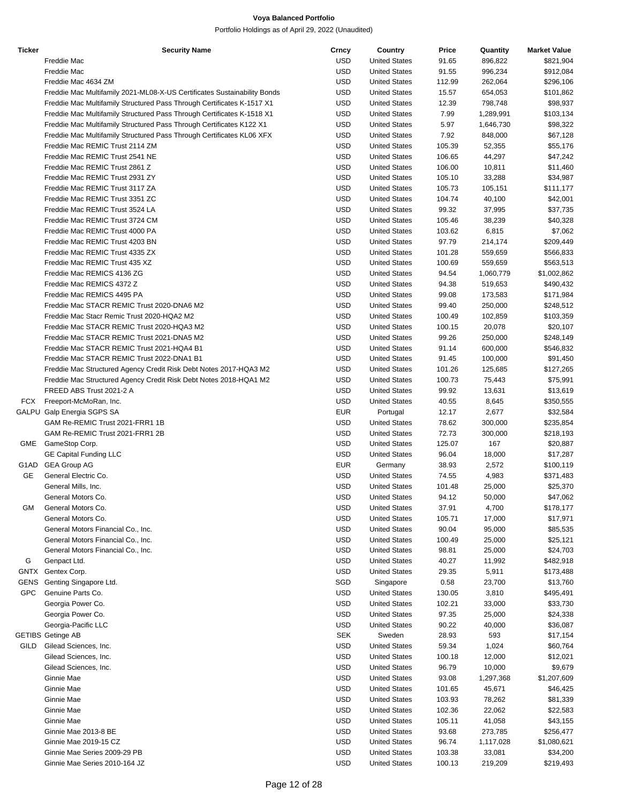| <b>Ticker</b> | <b>Security Name</b>                                                     | Crncy      | Country              | Price  | Quantity  | <b>Market Value</b> |
|---------------|--------------------------------------------------------------------------|------------|----------------------|--------|-----------|---------------------|
|               | Freddie Mac                                                              | <b>USD</b> | <b>United States</b> | 91.65  | 896,822   | \$821,904           |
|               | Freddie Mac                                                              | <b>USD</b> | <b>United States</b> | 91.55  | 996,234   | \$912,084           |
|               | Freddie Mac 4634 ZM                                                      | <b>USD</b> | <b>United States</b> | 112.99 | 262,064   | \$296,106           |
|               | Freddie Mac Multifamily 2021-ML08-X-US Certificates Sustainability Bonds | <b>USD</b> | <b>United States</b> | 15.57  | 654,053   | \$101,862           |
|               | Freddie Mac Multifamily Structured Pass Through Certificates K-1517 X1   | USD        | <b>United States</b> | 12.39  | 798,748   | \$98,937            |
|               | Freddie Mac Multifamily Structured Pass Through Certificates K-1518 X1   | USD        | <b>United States</b> | 7.99   | 1,289,991 | \$103,134           |
|               | Freddie Mac Multifamily Structured Pass Through Certificates K122 X1     | <b>USD</b> | <b>United States</b> | 5.97   | 1,646,730 | \$98,322            |
|               | Freddie Mac Multifamily Structured Pass Through Certificates KL06 XFX    | <b>USD</b> | <b>United States</b> | 7.92   | 848,000   | \$67,128            |
|               | Freddie Mac REMIC Trust 2114 ZM                                          | <b>USD</b> | <b>United States</b> | 105.39 | 52,355    | \$55,176            |
|               | Freddie Mac REMIC Trust 2541 NE                                          | USD        | <b>United States</b> | 106.65 | 44,297    | \$47,242            |
|               | Freddie Mac REMIC Trust 2861 Z                                           | <b>USD</b> | <b>United States</b> | 106.00 | 10,811    | \$11,460            |
|               |                                                                          | <b>USD</b> | <b>United States</b> |        |           |                     |
|               | Freddie Mac REMIC Trust 2931 ZY                                          |            |                      | 105.10 | 33,288    | \$34,987            |
|               | Freddie Mac REMIC Trust 3117 ZA                                          | <b>USD</b> | <b>United States</b> | 105.73 | 105,151   | \$111,177           |
|               | Freddie Mac REMIC Trust 3351 ZC                                          | <b>USD</b> | <b>United States</b> | 104.74 | 40,100    | \$42,001            |
|               | Freddie Mac REMIC Trust 3524 LA                                          | <b>USD</b> | <b>United States</b> | 99.32  | 37,995    | \$37,735            |
|               | Freddie Mac REMIC Trust 3724 CM                                          | <b>USD</b> | <b>United States</b> | 105.46 | 38,239    | \$40,328            |
|               | Freddie Mac REMIC Trust 4000 PA                                          | <b>USD</b> | <b>United States</b> | 103.62 | 6,815     | \$7,062             |
|               | Freddie Mac REMIC Trust 4203 BN                                          | <b>USD</b> | <b>United States</b> | 97.79  | 214,174   | \$209,449           |
|               | Freddie Mac REMIC Trust 4335 ZX                                          | <b>USD</b> | <b>United States</b> | 101.28 | 559,659   | \$566,833           |
|               | Freddie Mac REMIC Trust 435 XZ                                           | <b>USD</b> | <b>United States</b> | 100.69 | 559,659   | \$563,513           |
|               | Freddie Mac REMICS 4136 ZG                                               | <b>USD</b> | <b>United States</b> | 94.54  | 1,060,779 | \$1,002,862         |
|               | Freddie Mac REMICS 4372 Z                                                | <b>USD</b> | <b>United States</b> | 94.38  | 519,653   | \$490,432           |
|               | Freddie Mac REMICS 4495 PA                                               | <b>USD</b> | <b>United States</b> | 99.08  | 173,583   | \$171,984           |
|               | Freddie Mac STACR REMIC Trust 2020-DNA6 M2                               | <b>USD</b> | <b>United States</b> | 99.40  | 250,000   | \$248,512           |
|               | Freddie Mac Stacr Remic Trust 2020-HQA2 M2                               | <b>USD</b> | <b>United States</b> | 100.49 | 102,859   | \$103,359           |
|               | Freddie Mac STACR REMIC Trust 2020-HQA3 M2                               | <b>USD</b> | <b>United States</b> | 100.15 | 20,078    | \$20,107            |
|               | Freddie Mac STACR REMIC Trust 2021-DNA5 M2                               | <b>USD</b> | <b>United States</b> | 99.26  | 250,000   | \$248,149           |
|               | Freddie Mac STACR REMIC Trust 2021-HQA4 B1                               | <b>USD</b> | <b>United States</b> | 91.14  | 600,000   | \$546,832           |
|               | Freddie Mac STACR REMIC Trust 2022-DNA1 B1                               | <b>USD</b> | <b>United States</b> | 91.45  | 100,000   | \$91,450            |
|               | Freddie Mac Structured Agency Credit Risk Debt Notes 2017-HQA3 M2        | <b>USD</b> | <b>United States</b> | 101.26 | 125,685   | \$127,265           |
|               | Freddie Mac Structured Agency Credit Risk Debt Notes 2018-HQA1 M2        | <b>USD</b> | <b>United States</b> | 100.73 | 75,443    | \$75,991            |
|               | FREED ABS Trust 2021-2 A                                                 | <b>USD</b> | <b>United States</b> | 99.92  | 13,631    | \$13,619            |
| FCX           | Freeport-McMoRan, Inc.                                                   | <b>USD</b> | <b>United States</b> | 40.55  | 8,645     | \$350,555           |
|               |                                                                          | <b>EUR</b> |                      |        |           |                     |
|               | GALPU Galp Energia SGPS SA                                               |            | Portugal             | 12.17  | 2,677     | \$32,584            |
|               | GAM Re-REMIC Trust 2021-FRR1 1B                                          | USD        | <b>United States</b> | 78.62  | 300,000   | \$235,854           |
|               | GAM Re-REMIC Trust 2021-FRR1 2B                                          | <b>USD</b> | <b>United States</b> | 72.73  | 300,000   | \$218,193           |
| GME           | GameStop Corp.                                                           | <b>USD</b> | <b>United States</b> | 125.07 | 167       | \$20,887            |
|               | <b>GE Capital Funding LLC</b>                                            | USD        | <b>United States</b> | 96.04  | 18,000    | \$17,287            |
| G1AD          | <b>GEA Group AG</b>                                                      | <b>EUR</b> | Germany              | 38.93  | 2,572     | \$100,119           |
| GE            | General Electric Co.                                                     | <b>USD</b> | <b>United States</b> | 74.55  | 4,983     | \$371,483           |
|               | General Mills, Inc.                                                      | <b>USD</b> | <b>United States</b> | 101.48 | 25,000    | \$25,370            |
|               | General Motors Co.                                                       | USD        | <b>United States</b> | 94.12  | 50,000    | \$47,062            |
| GM            | General Motors Co.                                                       | <b>USD</b> | <b>United States</b> | 37.91  | 4,700     | \$178,177           |
|               | General Motors Co.                                                       | <b>USD</b> | <b>United States</b> | 105.71 | 17,000    | \$17,971            |
|               | General Motors Financial Co., Inc.                                       | <b>USD</b> | <b>United States</b> | 90.04  | 95,000    | \$85,535            |
|               | General Motors Financial Co., Inc.                                       | <b>USD</b> | <b>United States</b> | 100.49 | 25,000    | \$25,121            |
|               | General Motors Financial Co., Inc.                                       | <b>USD</b> | <b>United States</b> | 98.81  | 25,000    | \$24,703            |
| G             | Genpact Ltd.                                                             | <b>USD</b> | <b>United States</b> | 40.27  | 11,992    | \$482,918           |
| <b>GNTX</b>   | Gentex Corp.                                                             | <b>USD</b> | <b>United States</b> | 29.35  | 5,911     | \$173,488           |
| GENS          | Genting Singapore Ltd.                                                   | SGD        | Singapore            | 0.58   | 23,700    | \$13,760            |
| <b>GPC</b>    | Genuine Parts Co.                                                        | <b>USD</b> | <b>United States</b> | 130.05 | 3,810     | \$495,491           |
|               | Georgia Power Co.                                                        | <b>USD</b> | <b>United States</b> | 102.21 | 33,000    | \$33,730            |
|               | Georgia Power Co.                                                        | <b>USD</b> | <b>United States</b> | 97.35  | 25,000    | \$24,338            |
|               | Georgia-Pacific LLC                                                      | <b>USD</b> | <b>United States</b> | 90.22  | 40,000    | \$36,087            |
|               | <b>GETIBS Getinge AB</b>                                                 | <b>SEK</b> | Sweden               | 28.93  | 593       | \$17,154            |
| GILD          | Gilead Sciences, Inc.                                                    | <b>USD</b> | <b>United States</b> | 59.34  | 1,024     | \$60,764            |
|               |                                                                          | <b>USD</b> | <b>United States</b> |        |           |                     |
|               | Gilead Sciences, Inc.                                                    |            |                      | 100.18 | 12,000    | \$12,021            |
|               | Gilead Sciences, Inc.                                                    | <b>USD</b> | <b>United States</b> | 96.79  | 10,000    | \$9,679             |
|               | Ginnie Mae                                                               | <b>USD</b> | <b>United States</b> | 93.08  | 1,297,368 | \$1,207,609         |
|               | Ginnie Mae                                                               | <b>USD</b> | <b>United States</b> | 101.65 | 45,671    | \$46,425            |
|               | Ginnie Mae                                                               | <b>USD</b> | <b>United States</b> | 103.93 | 78,262    | \$81,339            |
|               | Ginnie Mae                                                               | <b>USD</b> | <b>United States</b> | 102.36 | 22,062    | \$22,583            |
|               | Ginnie Mae                                                               | <b>USD</b> | <b>United States</b> | 105.11 | 41,058    | \$43,155            |
|               | Ginnie Mae 2013-8 BE                                                     | <b>USD</b> | <b>United States</b> | 93.68  | 273,785   | \$256,477           |
|               | Ginnie Mae 2019-15 CZ                                                    | <b>USD</b> | <b>United States</b> | 96.74  | 1,117,028 | \$1,080,621         |
|               | Ginnie Mae Series 2009-29 PB                                             | <b>USD</b> | <b>United States</b> | 103.38 | 33,081    | \$34,200            |
|               | Ginnie Mae Series 2010-164 JZ                                            | <b>USD</b> | <b>United States</b> | 100.13 | 219,209   | \$219,493           |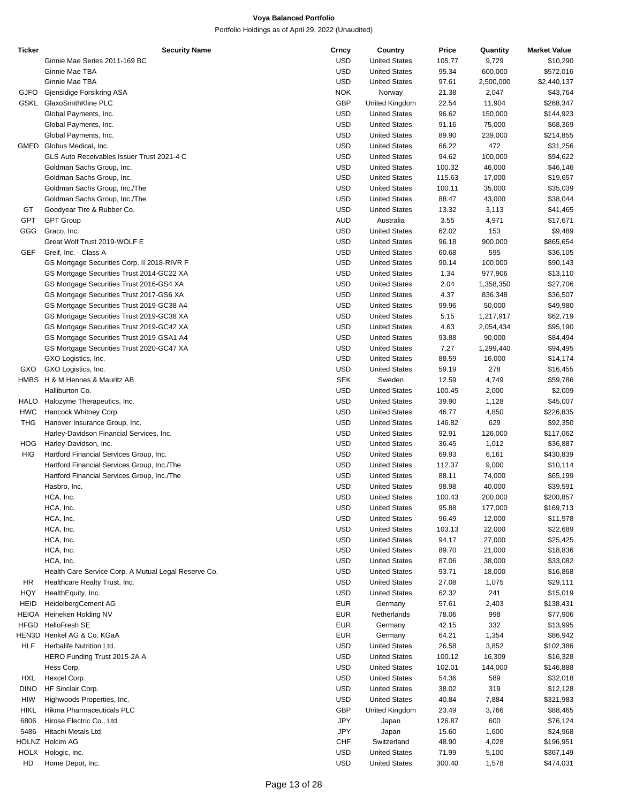| <b>Ticker</b> | <b>Security Name</b>                                 | Crncy      | Country              | Price  | Quantity  | <b>Market Value</b> |
|---------------|------------------------------------------------------|------------|----------------------|--------|-----------|---------------------|
|               | Ginnie Mae Series 2011-169 BC                        | <b>USD</b> | <b>United States</b> | 105.77 | 9,729     | \$10,290            |
|               | Ginnie Mae TBA                                       | <b>USD</b> | <b>United States</b> | 95.34  | 600,000   | \$572,016           |
|               | Ginnie Mae TBA                                       | <b>USD</b> | <b>United States</b> | 97.61  | 2,500,000 | \$2,440,137         |
| <b>GJFO</b>   | Gjensidige Forsikring ASA                            | <b>NOK</b> | Norway               | 21.38  | 2,047     | \$43,764            |
| <b>GSKL</b>   | GlaxoSmithKline PLC                                  | <b>GBP</b> | United Kingdom       | 22.54  | 11,904    | \$268,347           |
|               | Global Payments, Inc.                                | <b>USD</b> | <b>United States</b> | 96.62  | 150,000   | \$144,923           |
|               | Global Payments, Inc.                                | <b>USD</b> | <b>United States</b> | 91.16  | 75,000    | \$68,369            |
|               |                                                      | USD        | <b>United States</b> | 89.90  | 239,000   | \$214,855           |
|               | Global Payments, Inc.                                |            |                      |        |           |                     |
| GMED          | Globus Medical, Inc.                                 | <b>USD</b> | <b>United States</b> | 66.22  | 472       | \$31,256            |
|               | GLS Auto Receivables Issuer Trust 2021-4 C           | USD        | <b>United States</b> | 94.62  | 100,000   | \$94,622            |
|               | Goldman Sachs Group, Inc.                            | <b>USD</b> | <b>United States</b> | 100.32 | 46,000    | \$46,146            |
|               | Goldman Sachs Group, Inc.                            | <b>USD</b> | <b>United States</b> | 115.63 | 17,000    | \$19,657            |
|               | Goldman Sachs Group, Inc./The                        | <b>USD</b> | <b>United States</b> | 100.11 | 35,000    | \$35,039            |
|               | Goldman Sachs Group, Inc./The                        | USD        | <b>United States</b> | 88.47  | 43,000    | \$38,044            |
| GT            | Goodyear Tire & Rubber Co.                           | <b>USD</b> | <b>United States</b> | 13.32  | 3,113     | \$41,465            |
| <b>GPT</b>    | <b>GPT Group</b>                                     | <b>AUD</b> | Australia            | 3.55   | 4,971     | \$17,671            |
| <b>GGG</b>    | Graco, Inc.                                          | <b>USD</b> | <b>United States</b> | 62.02  | 153       | \$9,489             |
|               |                                                      |            |                      |        |           |                     |
|               | Great Wolf Trust 2019-WOLF E                         | USD        | <b>United States</b> | 96.18  | 900,000   | \$865,654           |
| GEF           | Greif, Inc. - Class A                                | <b>USD</b> | <b>United States</b> | 60.68  | 595       | \$36,105            |
|               | GS Mortgage Securities Corp. II 2018-RIVR F          | <b>USD</b> | <b>United States</b> | 90.14  | 100,000   | \$90,143            |
|               | GS Mortgage Securities Trust 2014-GC22 XA            | <b>USD</b> | <b>United States</b> | 1.34   | 977,906   | \$13,110            |
|               | GS Mortgage Securities Trust 2016-GS4 XA             | USD        | <b>United States</b> | 2.04   | 1,358,350 | \$27,706            |
|               | GS Mortgage Securities Trust 2017-GS6 XA             | <b>USD</b> | <b>United States</b> | 4.37   | 836,348   | \$36,507            |
|               | GS Mortgage Securities Trust 2019-GC38 A4            | USD        | <b>United States</b> | 99.96  | 50,000    | \$49,980            |
|               | GS Mortgage Securities Trust 2019-GC38 XA            | <b>USD</b> | <b>United States</b> | 5.15   | 1,217,917 | \$62,719            |
|               | GS Mortgage Securities Trust 2019-GC42 XA            | USD        | <b>United States</b> | 4.63   | 2,054,434 | \$95,190            |
|               |                                                      | <b>USD</b> |                      |        |           |                     |
|               | GS Mortgage Securities Trust 2019-GSA1 A4            |            | <b>United States</b> | 93.88  | 90,000    | \$84,494            |
|               | GS Mortgage Securities Trust 2020-GC47 XA            | <b>USD</b> | <b>United States</b> | 7.27   | 1,299,440 | \$94,495            |
|               | GXO Logistics, Inc.                                  | <b>USD</b> | <b>United States</b> | 88.59  | 16,000    | \$14,174            |
| GXO           | GXO Logistics, Inc.                                  | USD        | <b>United States</b> | 59.19  | 278       | \$16,455            |
| HMBS          | H & M Hennes & Mauritz AB                            | <b>SEK</b> | Sweden               | 12.59  | 4,749     | \$59,786            |
|               | Halliburton Co.                                      | USD        | <b>United States</b> | 100.45 | 2,000     | \$2,009             |
| HALO          | Halozyme Therapeutics, Inc.                          | <b>USD</b> | <b>United States</b> | 39.90  | 1,128     | \$45,007            |
| <b>HWC</b>    | Hancock Whitney Corp.                                | USD        | <b>United States</b> | 46.77  | 4,850     | \$226,835           |
| THG           | Hanover Insurance Group, Inc.                        | <b>USD</b> | <b>United States</b> | 146.82 | 629       | \$92,350            |
|               |                                                      | <b>USD</b> |                      |        |           |                     |
|               | Harley-Davidson Financial Services, Inc.             |            | <b>United States</b> | 92.91  | 126,000   | \$117,062           |
| HOG           | Harley-Davidson, Inc.                                | <b>USD</b> | <b>United States</b> | 36.45  | 1,012     | \$36,887            |
| <b>HIG</b>    | Hartford Financial Services Group, Inc.              | USD        | <b>United States</b> | 69.93  | 6,161     | \$430,839           |
|               | Hartford Financial Services Group, Inc./The          | <b>USD</b> | <b>United States</b> | 112.37 | 9,000     | \$10,114            |
|               | Hartford Financial Services Group, Inc./The          | USD        | <b>United States</b> | 88.11  | 74,000    | \$65,199            |
|               | Hasbro, Inc.                                         | <b>USD</b> | <b>United States</b> | 98.98  | 40,000    | \$39,591            |
|               | HCA, Inc.                                            | <b>USD</b> | <b>United States</b> | 100.43 | 200.000   | \$200,857           |
|               | HCA, Inc.                                            | USD        | <b>United States</b> | 95.88  | 177,000   | \$169,713           |
|               | HCA, Inc.                                            | USD        | <b>United States</b> | 96.49  | 12,000    | \$11,578            |
|               | HCA, Inc.                                            | USD        | <b>United States</b> | 103.13 | 22,000    | \$22,689            |
|               |                                                      | USD        |                      |        |           | \$25,425            |
|               | HCA, Inc.                                            |            | <b>United States</b> | 94.17  | 27,000    |                     |
|               | HCA, Inc.                                            | USD        | <b>United States</b> | 89.70  | 21,000    | \$18,836            |
|               | HCA, Inc.                                            | USD        | <b>United States</b> | 87.06  | 38,000    | \$33,082            |
|               | Health Care Service Corp. A Mutual Legal Reserve Co. | USD        | <b>United States</b> | 93.71  | 18,000    | \$16,868            |
| HR            | Healthcare Realty Trust, Inc.                        | USD        | <b>United States</b> | 27.08  | 1,075     | \$29,111            |
| HQY           | HealthEquity, Inc.                                   | USD        | <b>United States</b> | 62.32  | 241       | \$15,019            |
| <b>HEID</b>   | HeidelbergCement AG                                  | <b>EUR</b> | Germany              | 57.61  | 2,403     | \$138,431           |
|               | HEIOA Heineken Holding NV                            | EUR        | Netherlands          | 78.06  | 998       | \$77,906            |
| <b>HFGD</b>   | <b>HelloFresh SE</b>                                 | <b>EUR</b> | Germany              | 42.15  | 332       | \$13,995            |
|               | HEN3D Henkel AG & Co. KGaA                           | <b>EUR</b> | Germany              | 64.21  | 1,354     | \$86,942            |
|               |                                                      |            |                      |        |           |                     |
| HLF           | Herbalife Nutrition Ltd.                             | USD        | <b>United States</b> | 26.58  | 3,852     | \$102,386           |
|               | HERO Funding Trust 2015-2A A                         | USD        | <b>United States</b> | 100.12 | 16,309    | \$16,328            |
|               | Hess Corp.                                           | USD        | <b>United States</b> | 102.01 | 144,000   | \$146,888           |
| HXL           | Hexcel Corp.                                         | USD        | <b>United States</b> | 54.36  | 589       | \$32,018            |
| <b>DINO</b>   | HF Sinclair Corp.                                    | USD        | <b>United States</b> | 38.02  | 319       | \$12,128            |
| HIW           | Highwoods Properties, Inc.                           | USD        | <b>United States</b> | 40.84  | 7,884     | \$321,983           |
| <b>HIKL</b>   | Hikma Pharmaceuticals PLC                            | <b>GBP</b> | United Kingdom       | 23.49  | 3,766     | \$88,465            |
| 6806          | Hirose Electric Co., Ltd.                            | JPY        | Japan                | 126.87 | 600       | \$76,124            |
| 5486          | Hitachi Metals Ltd.                                  | JPY        | Japan                | 15.60  | 1,600     | \$24,968            |
|               | HOLNZ Holcim AG                                      | <b>CHF</b> | Switzerland          | 48.90  |           |                     |
|               |                                                      |            |                      |        | 4,028     | \$196,951           |
|               | HOLX Hologic, Inc.                                   | USD        | <b>United States</b> | 71.99  | 5,100     | \$367,149           |
| HD            | Home Depot, Inc.                                     | USD        | <b>United States</b> | 300.40 | 1,578     | \$474,031           |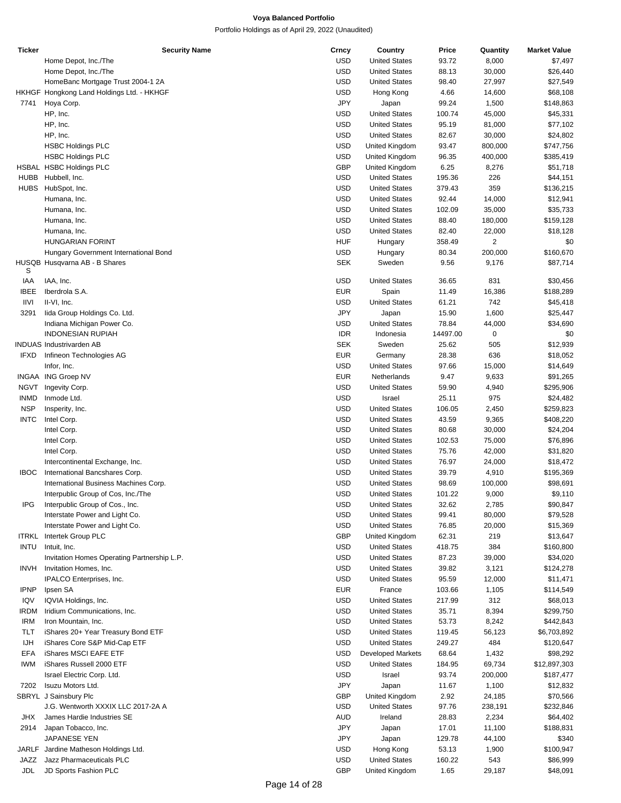| <b>Ticker</b> | <b>Security Name</b>                        | Crncy      | Country                  | Price    | Quantity       | <b>Market Value</b> |
|---------------|---------------------------------------------|------------|--------------------------|----------|----------------|---------------------|
|               | Home Depot, Inc./The                        | <b>USD</b> | <b>United States</b>     | 93.72    | 8,000          | \$7,497             |
|               | Home Depot, Inc./The                        | <b>USD</b> | <b>United States</b>     | 88.13    | 30,000         | \$26,440            |
|               | HomeBanc Mortgage Trust 2004-1 2A           | <b>USD</b> | <b>United States</b>     | 98.40    | 27,997         | \$27,549            |
|               | HKHGF Hongkong Land Holdings Ltd. - HKHGF   | <b>USD</b> | Hong Kong                | 4.66     | 14,600         | \$68,108            |
|               | Hoya Corp.                                  | JPY        |                          | 99.24    |                |                     |
| 7741          |                                             |            | Japan                    |          | 1,500          | \$148,863           |
|               | HP, Inc.                                    | <b>USD</b> | <b>United States</b>     | 100.74   | 45,000         | \$45,331            |
|               | HP, Inc.                                    | <b>USD</b> | <b>United States</b>     | 95.19    | 81,000         | \$77,102            |
|               | HP, Inc.                                    | <b>USD</b> | <b>United States</b>     | 82.67    | 30,000         | \$24,802            |
|               | <b>HSBC Holdings PLC</b>                    | <b>USD</b> | United Kingdom           | 93.47    | 800,000        | \$747,756           |
|               | <b>HSBC Holdings PLC</b>                    | <b>USD</b> | United Kingdom           | 96.35    | 400,000        | \$385,419           |
|               | HSBAL HSBC Holdings PLC                     | <b>GBP</b> | United Kingdom           | 6.25     | 8,276          | \$51,718            |
|               |                                             | <b>USD</b> | <b>United States</b>     |          | 226            |                     |
| HUBB          | Hubbell, Inc.                               |            |                          | 195.36   |                | \$44,151            |
|               | HUBS HubSpot, Inc.                          | <b>USD</b> | <b>United States</b>     | 379.43   | 359            | \$136,215           |
|               | Humana, Inc.                                | <b>USD</b> | <b>United States</b>     | 92.44    | 14,000         | \$12,941            |
|               | Humana, Inc.                                | <b>USD</b> | <b>United States</b>     | 102.09   | 35,000         | \$35,733            |
|               | Humana, Inc.                                | <b>USD</b> | <b>United States</b>     | 88.40    | 180,000        | \$159,128           |
|               | Humana, Inc.                                | <b>USD</b> | <b>United States</b>     | 82.40    | 22,000         | \$18,128            |
|               | <b>HUNGARIAN FORINT</b>                     | <b>HUF</b> | Hungary                  | 358.49   | $\overline{2}$ | \$0                 |
|               |                                             | <b>USD</b> |                          |          |                |                     |
|               | Hungary Government International Bond       |            | Hungary                  | 80.34    | 200,000        | \$160,670           |
|               | HUSQB Husqvarna AB - B Shares               | <b>SEK</b> | Sweden                   | 9.56     | 9,176          | \$87,714            |
| S             |                                             |            |                          |          |                |                     |
| IAA           | IAA, Inc.                                   | <b>USD</b> | <b>United States</b>     | 36.65    | 831            | \$30,456            |
| <b>IBEE</b>   | Iberdrola S.A.                              | <b>EUR</b> | Spain                    | 11.49    | 16,386         | \$188,289           |
| <b>IIVI</b>   | II-VI, Inc.                                 | <b>USD</b> | <b>United States</b>     | 61.21    | 742            | \$45,418            |
| 3291          | lida Group Holdings Co. Ltd.                | JPY        | Japan                    | 15.90    | 1,600          | \$25,447            |
|               | Indiana Michigan Power Co.                  | <b>USD</b> | <b>United States</b>     | 78.84    | 44,000         | \$34,690            |
|               | <b>INDONESIAN RUPIAH</b>                    | <b>IDR</b> | Indonesia                | 14497.00 | 0              | \$0                 |
|               |                                             |            |                          |          |                |                     |
|               | <b>INDUAS Industrivarden AB</b>             | <b>SEK</b> | Sweden                   | 25.62    | 505            | \$12,939            |
| <b>IFXD</b>   | Infineon Technologies AG                    | <b>EUR</b> | Germany                  | 28.38    | 636            | \$18,052            |
|               | Infor, Inc.                                 | <b>USD</b> | <b>United States</b>     | 97.66    | 15,000         | \$14,649            |
|               | INGAA ING Groep NV                          | <b>EUR</b> | Netherlands              | 9.47     | 9,633          | \$91,265            |
| NGVT          | Ingevity Corp.                              | <b>USD</b> | <b>United States</b>     | 59.90    | 4,940          | \$295,906           |
| <b>INMD</b>   | Inmode Ltd.                                 | <b>USD</b> | Israel                   | 25.11    | 975            | \$24,482            |
| <b>NSP</b>    | Insperity, Inc.                             | <b>USD</b> | <b>United States</b>     | 106.05   | 2,450          | \$259,823           |
|               |                                             |            |                          |          |                |                     |
| <b>INTC</b>   | Intel Corp.                                 | <b>USD</b> | <b>United States</b>     | 43.59    | 9,365          | \$408,220           |
|               | Intel Corp.                                 | <b>USD</b> | <b>United States</b>     | 80.68    | 30,000         | \$24,204            |
|               | Intel Corp.                                 | <b>USD</b> | <b>United States</b>     | 102.53   | 75,000         | \$76,896            |
|               | Intel Corp.                                 | <b>USD</b> | <b>United States</b>     | 75.76    | 42,000         | \$31,820            |
|               | Intercontinental Exchange, Inc.             | <b>USD</b> | <b>United States</b>     | 76.97    | 24,000         | \$18,472            |
| <b>IBOC</b>   | International Bancshares Corp.              | <b>USD</b> | <b>United States</b>     | 39.79    | 4,910          | \$195,369           |
|               | International Business Machines Corp.       | <b>USD</b> | <b>United States</b>     | 98.69    | 100,000        | \$98,691            |
|               |                                             |            |                          |          |                |                     |
|               | Interpublic Group of Cos, Inc./The          | <b>USD</b> | <b>United States</b>     | 101.22   | 9,000          | \$9,110             |
| IPG           | Interpublic Group of Cos., Inc.             | USD        | <b>United States</b>     | 32.62    | 2,785          | \$90,847            |
|               | Interstate Power and Light Co.              | <b>USD</b> | <b>United States</b>     | 99.41    | 80,000         | \$79,528            |
|               | Interstate Power and Light Co.              | <b>USD</b> | <b>United States</b>     | 76.85    | 20,000         | \$15,369            |
|               | <b>ITRKL</b> Intertek Group PLC             | GBP        | United Kingdom           | 62.31    | 219            | \$13,647            |
| <b>INTU</b>   | Intuit, Inc.                                | <b>USD</b> | <b>United States</b>     | 418.75   | 384            | \$160,800           |
|               | Invitation Homes Operating Partnership L.P. | <b>USD</b> | <b>United States</b>     | 87.23    | 39,000         | \$34,020            |
|               |                                             |            |                          |          |                |                     |
| <b>INVH</b>   | Invitation Homes, Inc.                      | <b>USD</b> | <b>United States</b>     | 39.82    | 3,121          | \$124,278           |
|               | IPALCO Enterprises, Inc.                    | <b>USD</b> | <b>United States</b>     | 95.59    | 12,000         | \$11,471            |
| <b>IPNP</b>   | Ipsen SA                                    | <b>EUR</b> | France                   | 103.66   | 1,105          | \$114,549           |
| IQV           | IQVIA Holdings, Inc.                        | <b>USD</b> | <b>United States</b>     | 217.99   | 312            | \$68,013            |
| <b>IRDM</b>   | Iridium Communications, Inc.                | <b>USD</b> | <b>United States</b>     | 35.71    | 8,394          | \$299,750           |
| IRM           | Iron Mountain, Inc.                         | <b>USD</b> | <b>United States</b>     | 53.73    | 8,242          | \$442,843           |
|               |                                             |            |                          |          |                |                     |
| TLT           | iShares 20+ Year Treasury Bond ETF          | <b>USD</b> | <b>United States</b>     | 119.45   | 56,123         | \$6,703,892         |
| <b>IJH</b>    | iShares Core S&P Mid-Cap ETF                | <b>USD</b> | <b>United States</b>     | 249.27   | 484            | \$120,647           |
| EFA           | iShares MSCI EAFE ETF                       | <b>USD</b> | <b>Developed Markets</b> | 68.64    | 1,432          | \$98,292            |
| <b>IWM</b>    | iShares Russell 2000 ETF                    | <b>USD</b> | <b>United States</b>     | 184.95   | 69,734         | \$12,897,303        |
|               | Israel Electric Corp. Ltd.                  | <b>USD</b> | Israel                   | 93.74    | 200,000        | \$187,477           |
| 7202          | Isuzu Motors Ltd.                           | JPY        | Japan                    | 11.67    | 1,100          | \$12,832            |
|               | SBRYL J Sainsbury Plc                       | GBP        | United Kingdom           | 2.92     | 24,185         |                     |
|               |                                             |            |                          |          |                | \$70,566            |
|               | J.G. Wentworth XXXIX LLC 2017-2A A          | <b>USD</b> | <b>United States</b>     | 97.76    | 238,191        | \$232,846           |
| <b>JHX</b>    | James Hardie Industries SE                  | <b>AUD</b> | Ireland                  | 28.83    | 2,234          | \$64,402            |
| 2914          | Japan Tobacco, Inc.                         | JPY        | Japan                    | 17.01    | 11,100         | \$188,831           |
|               | JAPANESE YEN                                | JPY        | Japan                    | 129.78   | 44,100         | \$340               |
|               | JARLF Jardine Matheson Holdings Ltd.        | <b>USD</b> | Hong Kong                | 53.13    | 1,900          | \$100,947           |
| JAZZ          | Jazz Pharmaceuticals PLC                    | <b>USD</b> | <b>United States</b>     | 160.22   | 543            | \$86,999            |
|               |                                             |            |                          |          |                |                     |
| <b>JDL</b>    | JD Sports Fashion PLC                       | GBP        | United Kingdom           | 1.65     | 29,187         | \$48,091            |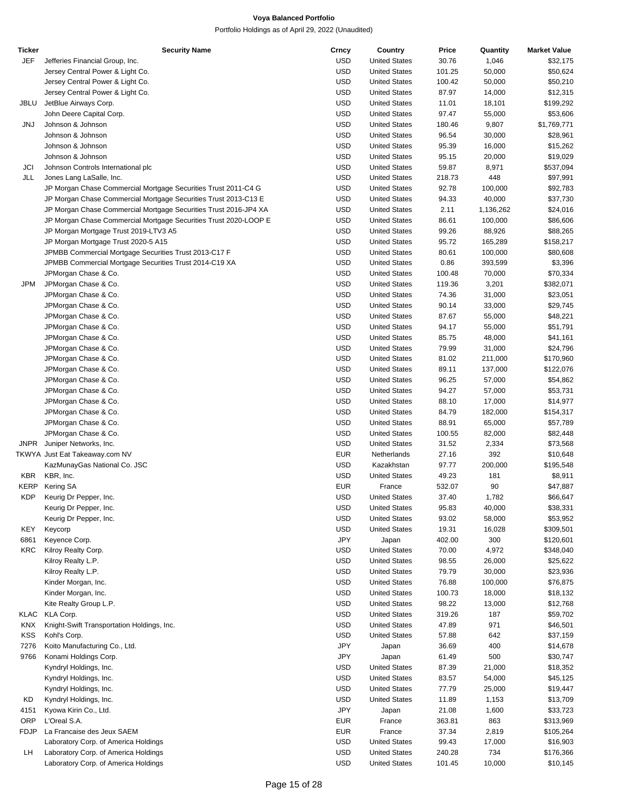| Ticker      | <b>Security Name</b>                                             | Crncy      | Country              | Price  | Quantity  | <b>Market Value</b> |
|-------------|------------------------------------------------------------------|------------|----------------------|--------|-----------|---------------------|
| JEF         | Jefferies Financial Group, Inc.                                  | USD        | <b>United States</b> | 30.76  | 1,046     | \$32,175            |
|             | Jersey Central Power & Light Co.                                 | USD        | <b>United States</b> | 101.25 | 50,000    | \$50,624            |
|             | Jersey Central Power & Light Co.                                 | <b>USD</b> | <b>United States</b> | 100.42 | 50,000    | \$50,210            |
|             | Jersey Central Power & Light Co.                                 | <b>USD</b> | <b>United States</b> | 87.97  | 14,000    | \$12,315            |
| JBLU        | JetBlue Airways Corp.                                            | USD        | <b>United States</b> | 11.01  | 18,101    | \$199,292           |
|             | John Deere Capital Corp.                                         | <b>USD</b> | <b>United States</b> | 97.47  | 55,000    | \$53,606            |
| <b>JNJ</b>  | Johnson & Johnson                                                | <b>USD</b> | <b>United States</b> | 180.46 | 9,807     | \$1,769,771         |
|             | Johnson & Johnson                                                | <b>USD</b> | <b>United States</b> | 96.54  | 30,000    | \$28,961            |
|             | Johnson & Johnson                                                | USD        | <b>United States</b> | 95.39  | 16,000    | \$15,262            |
|             | Johnson & Johnson                                                | <b>USD</b> | <b>United States</b> | 95.15  | 20,000    | \$19,029            |
| JCI         | Johnson Controls International plc                               | <b>USD</b> | <b>United States</b> | 59.87  | 8,971     | \$537,094           |
| JLL         | Jones Lang LaSalle, Inc.                                         | <b>USD</b> | <b>United States</b> | 218.73 | 448       | \$97,991            |
|             | JP Morgan Chase Commercial Mortgage Securities Trust 2011-C4 G   | USD        | <b>United States</b> | 92.78  | 100,000   | \$92,783            |
|             | JP Morgan Chase Commercial Mortgage Securities Trust 2013-C13 E  | <b>USD</b> | <b>United States</b> | 94.33  | 40,000    | \$37,730            |
|             | JP Morgan Chase Commercial Mortgage Securities Trust 2016-JP4 XA | <b>USD</b> | <b>United States</b> | 2.11   | 1,136,262 | \$24,016            |
|             | JP Morgan Chase Commercial Mortgage Securities Trust 2020-LOOP E | <b>USD</b> | <b>United States</b> | 86.61  | 100,000   | \$86,606            |
|             | JP Morgan Mortgage Trust 2019-LTV3 A5                            | USD        | <b>United States</b> | 99.26  | 88,926    | \$88,265            |
|             | JP Morgan Mortgage Trust 2020-5 A15                              | USD        | <b>United States</b> | 95.72  | 165,289   | \$158,217           |
|             | JPMBB Commercial Mortgage Securities Trust 2013-C17 F            | <b>USD</b> | <b>United States</b> | 80.61  | 100,000   | \$80,608            |
|             | JPMBB Commercial Mortgage Securities Trust 2014-C19 XA           | <b>USD</b> | <b>United States</b> | 0.86   | 393,599   | \$3,396             |
|             | JPMorgan Chase & Co.                                             | USD        | <b>United States</b> | 100.48 | 70,000    | \$70,334            |
| JPM         | JPMorgan Chase & Co.                                             | <b>USD</b> | <b>United States</b> | 119.36 | 3,201     | \$382,071           |
|             | JPMorgan Chase & Co.                                             | <b>USD</b> | <b>United States</b> | 74.36  | 31,000    | \$23,051            |
|             | JPMorgan Chase & Co.                                             | <b>USD</b> | <b>United States</b> | 90.14  | 33,000    | \$29,745            |
|             | JPMorgan Chase & Co.                                             | USD        | <b>United States</b> | 87.67  | 55,000    | \$48,221            |
|             | JPMorgan Chase & Co.                                             | USD        | <b>United States</b> | 94.17  | 55,000    | \$51,791            |
|             | JPMorgan Chase & Co.                                             | <b>USD</b> | <b>United States</b> | 85.75  | 48,000    | \$41,161            |
|             | JPMorgan Chase & Co.                                             | <b>USD</b> | <b>United States</b> | 79.99  | 31,000    | \$24,796            |
|             | JPMorgan Chase & Co.                                             | USD        | <b>United States</b> | 81.02  | 211,000   | \$170,960           |
|             | JPMorgan Chase & Co.                                             | <b>USD</b> | <b>United States</b> | 89.11  | 137,000   | \$122,076           |
|             | JPMorgan Chase & Co.                                             | <b>USD</b> | <b>United States</b> | 96.25  | 57,000    | \$54,862            |
|             | JPMorgan Chase & Co.                                             | <b>USD</b> | <b>United States</b> | 94.27  | 57,000    | \$53,731            |
|             | JPMorgan Chase & Co.                                             | USD        | <b>United States</b> | 88.10  | 17,000    | \$14,977            |
|             | JPMorgan Chase & Co.                                             | USD        | <b>United States</b> | 84.79  | 182,000   | \$154,317           |
|             | JPMorgan Chase & Co.                                             | <b>USD</b> | <b>United States</b> | 88.91  | 65,000    | \$57,789            |
|             | JPMorgan Chase & Co.                                             | <b>USD</b> | <b>United States</b> | 100.55 | 82,000    | \$82,448            |
| <b>JNPR</b> | Juniper Networks, Inc.                                           | USD        | <b>United States</b> | 31.52  | 2,334     | \$73,568            |
|             | TKWYA Just Eat Takeaway.com NV                                   | <b>EUR</b> | Netherlands          | 27.16  | 392       | \$10,648            |
|             | KazMunayGas National Co. JSC                                     | <b>USD</b> | Kazakhstan           | 97.77  | 200,000   | \$195,548           |
| KBR         | KBR, Inc.                                                        | <b>USD</b> | <b>United States</b> | 49.23  | 181       | \$8,911             |
| KERP        | Kering SA                                                        | <b>EUR</b> | France               | 532.07 | 90        | \$47,887            |
| <b>KDP</b>  | Keurig Dr Pepper, Inc.                                           | <b>USD</b> | <b>United States</b> | 37.40  | 1,782     | \$66,647            |
|             | Keurig Dr Pepper, Inc.                                           | USD        | <b>United States</b> | 95.83  | 40,000    | \$38,331            |
|             | Keurig Dr Pepper, Inc.                                           | <b>USD</b> | <b>United States</b> | 93.02  | 58,000    | \$53,952            |
| KEY         | Keycorp                                                          | USD        | <b>United States</b> | 19.31  | 16,028    | \$309,501           |
| 6861        | Keyence Corp.                                                    | <b>JPY</b> | Japan                | 402.00 | 300       | \$120,601           |
| KRC         | Kilroy Realty Corp.                                              | USD        | <b>United States</b> | 70.00  | 4,972     | \$348,040           |
|             | Kilroy Realty L.P.                                               | <b>USD</b> | <b>United States</b> | 98.55  | 26,000    | \$25,622            |
|             | Kilroy Realty L.P.                                               | USD        | <b>United States</b> | 79.79  | 30,000    | \$23,936            |
|             | Kinder Morgan, Inc.                                              | <b>USD</b> | <b>United States</b> | 76.88  | 100,000   | \$76,875            |
|             | Kinder Morgan, Inc.                                              | <b>USD</b> | <b>United States</b> | 100.73 | 18,000    | \$18,132            |
|             | Kite Realty Group L.P.                                           | <b>USD</b> | <b>United States</b> | 98.22  | 13,000    | \$12,768            |
| KLAC        | KLA Corp.                                                        | USD        | <b>United States</b> | 319.26 | 187       | \$59,702            |
| <b>KNX</b>  | Knight-Swift Transportation Holdings, Inc.                       | <b>USD</b> | <b>United States</b> | 47.89  | 971       | \$46,501            |
| KSS         | Kohl's Corp.                                                     | <b>USD</b> | <b>United States</b> | 57.88  | 642       | \$37,159            |
| 7276        | Koito Manufacturing Co., Ltd.                                    | JPY        | Japan                | 36.69  | 400       | \$14,678            |
| 9766        | Konami Holdings Corp.                                            | <b>JPY</b> | Japan                | 61.49  | 500       | \$30,747            |
|             | Kyndryl Holdings, Inc.                                           | USD        | <b>United States</b> | 87.39  | 21,000    | \$18,352            |
|             | Kyndryl Holdings, Inc.                                           | <b>USD</b> | <b>United States</b> | 83.57  | 54,000    | \$45,125            |
|             | Kyndryl Holdings, Inc.                                           | <b>USD</b> | <b>United States</b> | 77.79  | 25,000    | \$19,447            |
| KD          | Kyndryl Holdings, Inc.                                           | USD        | <b>United States</b> | 11.89  | 1,153     | \$13,709            |
| 4151        | Kyowa Kirin Co., Ltd.                                            | <b>JPY</b> | Japan                | 21.08  | 1,600     | \$33,723            |
| ORP         | L'Oreal S.A.                                                     | EUR        | France               | 363.81 | 863       | \$313,969           |
| FDJP        | La Francaise des Jeux SAEM                                       | <b>EUR</b> | France               | 37.34  | 2,819     | \$105,264           |
|             | Laboratory Corp. of America Holdings                             | USD        | <b>United States</b> | 99.43  | 17,000    | \$16,903            |
| LН          | Laboratory Corp. of America Holdings                             | <b>USD</b> | <b>United States</b> | 240.28 | 734       | \$176,366           |
|             | Laboratory Corp. of America Holdings                             | <b>USD</b> | <b>United States</b> | 101.45 | 10,000    | \$10,145            |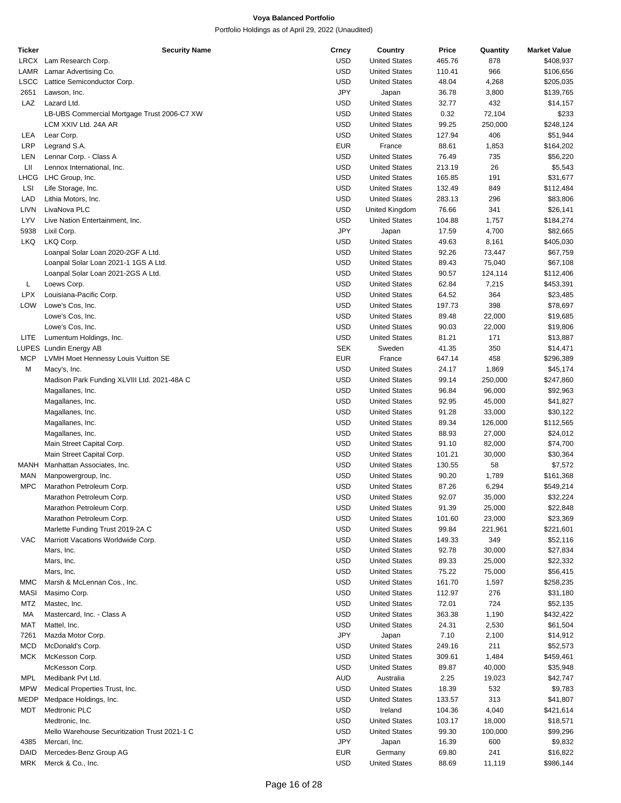| <b>Ticker</b> | <b>Security Name</b>                          | Crncy      | Country              | Price  | Quantity | <b>Market Value</b> |
|---------------|-----------------------------------------------|------------|----------------------|--------|----------|---------------------|
| LRCX          | Lam Research Corp.                            | <b>USD</b> | <b>United States</b> | 465.76 | 878      | \$408,937           |
| LAMR          | Lamar Advertising Co.                         | <b>USD</b> | <b>United States</b> | 110.41 | 966      | \$106,656           |
| LSCC          | Lattice Semiconductor Corp.                   | <b>USD</b> | <b>United States</b> | 48.04  | 4,268    | \$205,035           |
| 2651          | Lawson, Inc.                                  | JPY        | Japan                | 36.78  | 3,800    | \$139,765           |
| LAZ           | Lazard Ltd.                                   | USD        | <b>United States</b> | 32.77  | 432      | \$14,157            |
|               | LB-UBS Commercial Mortgage Trust 2006-C7 XW   | <b>USD</b> | <b>United States</b> | 0.32   | 72,104   | \$233               |
|               | LCM XXIV Ltd. 24A AR                          | <b>USD</b> | <b>United States</b> | 99.25  | 250,000  | \$248,124           |
| LEA           | Lear Corp.                                    | <b>USD</b> | <b>United States</b> | 127.94 | 406      | \$51,944            |
|               |                                               |            |                      |        |          |                     |
| LRP           | Legrand S.A.                                  | <b>EUR</b> | France               | 88.61  | 1,853    | \$164,202           |
| LEN           | Lennar Corp. - Class A                        | <b>USD</b> | <b>United States</b> | 76.49  | 735      | \$56,220            |
| LII           | Lennox International, Inc.                    | <b>USD</b> | <b>United States</b> | 213.19 | 26       | \$5,543             |
| LHCG          | LHC Group, Inc.                               | <b>USD</b> | <b>United States</b> | 165.85 | 191      | \$31,677            |
| LSI           | Life Storage, Inc.                            | <b>USD</b> | <b>United States</b> | 132.49 | 849      | \$112,484           |
| LAD           | Lithia Motors, Inc.                           | <b>USD</b> | <b>United States</b> | 283.13 | 296      | \$83,806            |
| LIVN          | LivaNova PLC                                  | <b>USD</b> | United Kingdom       | 76.66  | 341      | \$26,141            |
| LYV           | Live Nation Entertainment, Inc.               | <b>USD</b> | <b>United States</b> | 104.88 | 1,757    | \$184,274           |
| 5938          | Lixil Corp.                                   | <b>JPY</b> | Japan                | 17.59  | 4,700    | \$82,665            |
| LKQ           | LKQ Corp.                                     | <b>USD</b> | <b>United States</b> | 49.63  | 8,161    | \$405,030           |
|               | Loanpal Solar Loan 2020-2GF A Ltd.            | <b>USD</b> | <b>United States</b> | 92.26  | 73,447   | \$67,759            |
|               | Loanpal Solar Loan 2021-1 1GS A Ltd.          | <b>USD</b> | <b>United States</b> | 89.43  | 75,040   | \$67,108            |
|               |                                               |            |                      |        |          |                     |
|               | Loanpal Solar Loan 2021-2GS A Ltd.            | <b>USD</b> | <b>United States</b> | 90.57  | 124,114  | \$112,406           |
| L             | Loews Corp.                                   | <b>USD</b> | <b>United States</b> | 62.84  | 7,215    | \$453,391           |
| <b>LPX</b>    | Louisiana-Pacific Corp.                       | <b>USD</b> | <b>United States</b> | 64.52  | 364      | \$23,485            |
| LOW           | Lowe's Cos, Inc.                              | <b>USD</b> | <b>United States</b> | 197.73 | 398      | \$78,697            |
|               | Lowe's Cos, Inc.                              | <b>USD</b> | <b>United States</b> | 89.48  | 22,000   | \$19,685            |
|               | Lowe's Cos, Inc.                              | <b>USD</b> | <b>United States</b> | 90.03  | 22,000   | \$19,806            |
| LITE          | Lumentum Holdings, Inc.                       | <b>USD</b> | <b>United States</b> | 81.21  | 171      | \$13,887            |
|               | LUPES Lundin Energy AB                        | <b>SEK</b> | Sweden               | 41.35  | 350      | \$14,471            |
| <b>MCP</b>    | LVMH Moet Hennessy Louis Vuitton SE           | <b>EUR</b> | France               | 647.14 | 458      | \$296,389           |
| М             | Macy's, Inc.                                  | <b>USD</b> | <b>United States</b> | 24.17  | 1,869    | \$45,174            |
|               | Madison Park Funding XLVIII Ltd. 2021-48A C   | <b>USD</b> | <b>United States</b> | 99.14  | 250,000  | \$247,860           |
|               | Magallanes, Inc.                              | <b>USD</b> | <b>United States</b> | 96.84  | 96,000   | \$92,963            |
|               | Magallanes, Inc.                              | <b>USD</b> | <b>United States</b> | 92.95  | 45,000   | \$41,827            |
|               |                                               |            |                      |        |          |                     |
|               | Magallanes, Inc.                              | <b>USD</b> | <b>United States</b> | 91.28  | 33,000   | \$30,122            |
|               | Magallanes, Inc.                              | <b>USD</b> | <b>United States</b> | 89.34  | 126,000  | \$112,565           |
|               | Magallanes, Inc.                              | <b>USD</b> | <b>United States</b> | 88.93  | 27,000   | \$24,012            |
|               | Main Street Capital Corp.                     | <b>USD</b> | <b>United States</b> | 91.10  | 82,000   | \$74,700            |
|               | Main Street Capital Corp.                     | <b>USD</b> | <b>United States</b> | 101.21 | 30,000   | \$30,364            |
| MANH          | Manhattan Associates, Inc.                    | <b>USD</b> | <b>United States</b> | 130.55 | 58       | \$7,572             |
| MAN           | Manpowergroup, Inc.                           | <b>USD</b> | <b>United States</b> | 90.20  | 1,789    | \$161,368           |
| <b>MPC</b>    | Marathon Petroleum Corp.                      | <b>USD</b> | <b>United States</b> | 87.26  | 6,294    | \$549,214           |
|               | Marathon Petroleum Corp.                      | <b>USD</b> | <b>United States</b> | 92.07  | 35,000   | \$32,224            |
|               | Marathon Petroleum Corp.                      | <b>USD</b> | <b>United States</b> | 91.39  | 25,000   | \$22,848            |
|               | Marathon Petroleum Corp.                      | <b>USD</b> | <b>United States</b> | 101.60 | 23,000   | \$23,369            |
|               | Marlette Funding Trust 2019-2A C              | <b>USD</b> | <b>United States</b> | 99.84  | 221,961  | \$221,601           |
|               |                                               |            | <b>United States</b> |        |          |                     |
| VAC           | Marriott Vacations Worldwide Corp.            | <b>USD</b> |                      | 149.33 | 349      | \$52,116            |
|               | Mars, Inc.                                    | <b>USD</b> | <b>United States</b> | 92.78  | 30,000   | \$27,834            |
|               | Mars, Inc.                                    | <b>USD</b> | <b>United States</b> | 89.33  | 25,000   | \$22,332            |
|               | Mars, Inc.                                    | USD        | <b>United States</b> | 75.22  | 75,000   | \$56,415            |
| MMC           | Marsh & McLennan Cos., Inc.                   | <b>USD</b> | <b>United States</b> | 161.70 | 1,597    | \$258,235           |
| MASI          | Masimo Corp.                                  | <b>USD</b> | <b>United States</b> | 112.97 | 276      | \$31,180            |
| MTZ           | Mastec, Inc.                                  | <b>USD</b> | <b>United States</b> | 72.01  | 724      | \$52,135            |
| МA            | Mastercard, Inc. - Class A                    | USD        | <b>United States</b> | 363.38 | 1,190    | \$432,422           |
| MAT           | Mattel, Inc.                                  | <b>USD</b> | <b>United States</b> | 24.31  | 2,530    | \$61,504            |
| 7261          | Mazda Motor Corp.                             | <b>JPY</b> | Japan                | 7.10   | 2,100    | \$14,912            |
| <b>MCD</b>    | McDonald's Corp.                              | USD        | <b>United States</b> | 249.16 | 211      | \$52,573            |
| MCK           | McKesson Corp.                                | USD        | <b>United States</b> | 309.61 |          | \$459,461           |
|               |                                               |            |                      |        | 1,484    |                     |
|               | McKesson Corp.                                | <b>USD</b> | <b>United States</b> | 89.87  | 40,000   | \$35,948            |
| <b>MPL</b>    | Medibank Pvt Ltd.                             | AUD        | Australia            | 2.25   | 19,023   | \$42,747            |
| MPW           | Medical Properties Trust, Inc.                | <b>USD</b> | <b>United States</b> | 18.39  | 532      | \$9,783             |
| MEDP          | Medpace Holdings, Inc.                        | USD        | <b>United States</b> | 133.57 | 313      | \$41,807            |
| MDT           | Medtronic PLC                                 | <b>USD</b> | Ireland              | 104.36 | 4,040    | \$421,614           |
|               | Medtronic, Inc.                               | <b>USD</b> | <b>United States</b> | 103.17 | 18,000   | \$18,571            |
|               | Mello Warehouse Securitization Trust 2021-1 C | <b>USD</b> | <b>United States</b> | 99.30  | 100,000  | \$99,296            |
| 4385          | Mercari, Inc.                                 | <b>JPY</b> | Japan                | 16.39  | 600      | \$9,832             |
| DAID          | Mercedes-Benz Group AG                        | <b>EUR</b> | Germany              | 69.80  | 241      | \$16,822            |
| MRK           | Merck & Co., Inc.                             | <b>USD</b> | <b>United States</b> | 88.69  | 11,119   | \$986,144           |
|               |                                               |            |                      |        |          |                     |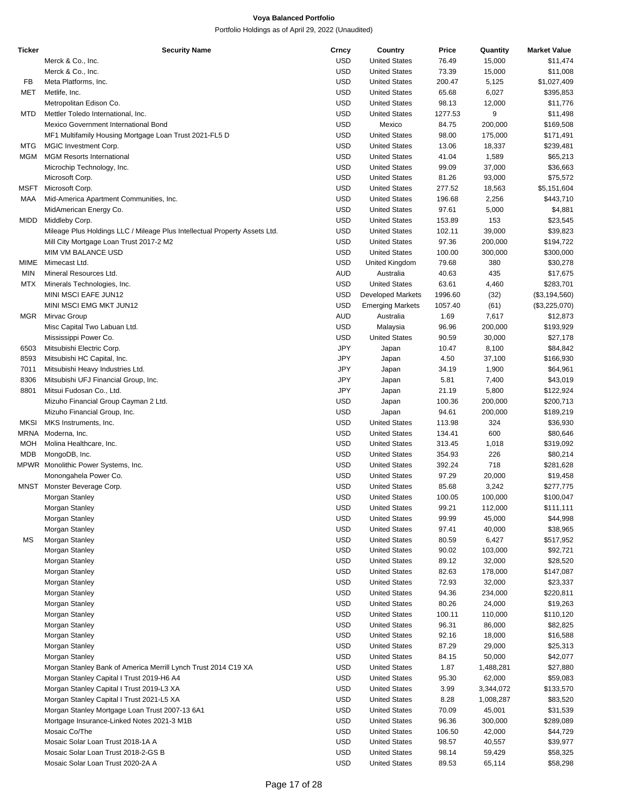| <b>Ticker</b> | <b>Security Name</b>                                                       | Crncy      | Country                  | Price   | Quantity  | <b>Market Value</b> |
|---------------|----------------------------------------------------------------------------|------------|--------------------------|---------|-----------|---------------------|
|               | Merck & Co., Inc.                                                          | <b>USD</b> | <b>United States</b>     | 76.49   | 15,000    | \$11,474            |
|               | Merck & Co., Inc.                                                          | <b>USD</b> | <b>United States</b>     | 73.39   | 15,000    | \$11,008            |
| FB            | Meta Platforms, Inc.                                                       | <b>USD</b> | <b>United States</b>     | 200.47  | 5,125     | \$1,027,409         |
| MET           | Metlife, Inc.                                                              | <b>USD</b> | <b>United States</b>     | 65.68   | 6,027     | \$395,853           |
|               | Metropolitan Edison Co.                                                    | <b>USD</b> | <b>United States</b>     | 98.13   | 12,000    | \$11,776            |
| MTD           | Mettler Toledo International, Inc.                                         | <b>USD</b> | <b>United States</b>     | 1277.53 | 9         | \$11,498            |
|               | Mexico Government International Bond                                       | <b>USD</b> | Mexico                   | 84.75   | 200,000   | \$169,508           |
|               | MF1 Multifamily Housing Mortgage Loan Trust 2021-FL5 D                     | <b>USD</b> | <b>United States</b>     | 98.00   | 175,000   | \$171,491           |
| MTG           | MGIC Investment Corp.                                                      | <b>USD</b> | <b>United States</b>     | 13.06   | 18,337    |                     |
|               | <b>MGM Resorts International</b>                                           |            |                          |         |           | \$239,481           |
| MGM           |                                                                            | <b>USD</b> | <b>United States</b>     | 41.04   | 1,589     | \$65,213            |
|               | Microchip Technology, Inc.                                                 | <b>USD</b> | <b>United States</b>     | 99.09   | 37,000    | \$36,663            |
|               | Microsoft Corp.                                                            | <b>USD</b> | <b>United States</b>     | 81.26   | 93,000    | \$75,572            |
| MSFT          | Microsoft Corp.                                                            | <b>USD</b> | <b>United States</b>     | 277.52  | 18,563    | \$5,151,604         |
| MAA           | Mid-America Apartment Communities, Inc.                                    | <b>USD</b> | <b>United States</b>     | 196.68  | 2,256     | \$443,710           |
|               | MidAmerican Energy Co.                                                     | <b>USD</b> | <b>United States</b>     | 97.61   | 5,000     | \$4,881             |
| MIDD          | Middleby Corp.                                                             | <b>USD</b> | <b>United States</b>     | 153.89  | 153       | \$23,545            |
|               | Mileage Plus Holdings LLC / Mileage Plus Intellectual Property Assets Ltd. | <b>USD</b> | <b>United States</b>     | 102.11  | 39,000    | \$39,823            |
|               | Mill City Mortgage Loan Trust 2017-2 M2                                    | <b>USD</b> | <b>United States</b>     | 97.36   | 200,000   | \$194,722           |
|               | MIM VM BALANCE USD                                                         | <b>USD</b> | <b>United States</b>     | 100.00  | 300,000   | \$300,000           |
|               | MIME Mimecast Ltd.                                                         | <b>USD</b> | United Kingdom           | 79.68   | 380       | \$30,278            |
| MIN           | Mineral Resources Ltd.                                                     | AUD        | Australia                | 40.63   | 435       | \$17,675            |
| MTX           | Minerals Technologies, Inc.                                                | <b>USD</b> | <b>United States</b>     | 63.61   | 4,460     | \$283,701           |
|               | MINI MSCI EAFE JUN12                                                       | <b>USD</b> | <b>Developed Markets</b> | 1996.60 | (32)      | (\$3,194,560)       |
|               | MINI MSCI EMG MKT JUN12                                                    | <b>USD</b> | <b>Emerging Markets</b>  | 1057.40 | (61)      | (\$3,225,070)       |
| MGR           | Mirvac Group                                                               | AUD        | Australia                | 1.69    | 7,617     | \$12,873            |
|               | Misc Capital Two Labuan Ltd.                                               | <b>USD</b> | Malaysia                 | 96.96   | 200,000   | \$193,929           |
|               | Mississippi Power Co.                                                      | <b>USD</b> | <b>United States</b>     | 90.59   | 30,000    | \$27,178            |
| 6503          | Mitsubishi Electric Corp.                                                  | <b>JPY</b> | Japan                    | 10.47   | 8,100     | \$84,842            |
| 8593          | Mitsubishi HC Capital, Inc.                                                | <b>JPY</b> | Japan                    | 4.50    | 37,100    | \$166,930           |
| 7011          | Mitsubishi Heavy Industries Ltd.                                           | JPY        | Japan                    | 34.19   | 1,900     | \$64,961            |
| 8306          | Mitsubishi UFJ Financial Group, Inc.                                       | JPY        |                          | 5.81    | 7,400     | \$43,019            |
|               |                                                                            |            | Japan                    |         |           |                     |
| 8801          | Mitsui Fudosan Co., Ltd.                                                   | <b>JPY</b> | Japan                    | 21.19   | 5,800     | \$122,924           |
|               | Mizuho Financial Group Cayman 2 Ltd.                                       | <b>USD</b> | Japan                    | 100.36  | 200,000   | \$200,713           |
|               | Mizuho Financial Group, Inc.                                               | <b>USD</b> | Japan                    | 94.61   | 200,000   | \$189,219           |
| <b>MKSI</b>   | MKS Instruments, Inc.                                                      | <b>USD</b> | <b>United States</b>     | 113.98  | 324       | \$36,930            |
|               | MRNA Moderna, Inc.                                                         | <b>USD</b> | <b>United States</b>     | 134.41  | 600       | \$80,646            |
| MOH           | Molina Healthcare, Inc.                                                    | <b>USD</b> | <b>United States</b>     | 313.45  | 1,018     | \$319,092           |
| MDB           | MongoDB, Inc.                                                              | <b>USD</b> | <b>United States</b>     | 354.93  | 226       | \$80,214            |
|               | MPWR Monolithic Power Systems, Inc.                                        | <b>USD</b> | <b>United States</b>     | 392.24  | 718       | \$281,628           |
|               | Monongahela Power Co.                                                      | <b>USD</b> | <b>United States</b>     | 97.29   | 20,000    | \$19,458            |
| MNST          | Monster Beverage Corp.                                                     | <b>USD</b> | <b>United States</b>     | 85.68   | 3,242     | \$277,775           |
|               | Morgan Stanley                                                             | <b>USD</b> | <b>United States</b>     | 100.05  | 100,000   | \$100,047           |
|               | Morgan Stanley                                                             | USD        | <b>United States</b>     | 99.21   | 112,000   | \$111,111           |
|               | Morgan Stanley                                                             | <b>USD</b> | <b>United States</b>     | 99.99   | 45,000    | \$44,998            |
|               | Morgan Stanley                                                             | <b>USD</b> | <b>United States</b>     | 97.41   | 40,000    | \$38,965            |
| МS            | <b>Morgan Stanley</b>                                                      | <b>USD</b> | <b>United States</b>     | 80.59   | 6,427     | \$517,952           |
|               | Morgan Stanley                                                             | <b>USD</b> | <b>United States</b>     | 90.02   | 103,000   | \$92,721            |
|               | Morgan Stanley                                                             | <b>USD</b> | <b>United States</b>     | 89.12   | 32,000    | \$28,520            |
|               | Morgan Stanley                                                             | <b>USD</b> | <b>United States</b>     | 82.63   | 178,000   | \$147,087           |
|               | Morgan Stanley                                                             | <b>USD</b> | <b>United States</b>     | 72.93   | 32,000    | \$23,337            |
|               | Morgan Stanley                                                             | <b>USD</b> | <b>United States</b>     | 94.36   | 234,000   | \$220,811           |
|               | Morgan Stanley                                                             | <b>USD</b> | <b>United States</b>     | 80.26   | 24,000    | \$19,263            |
|               | Morgan Stanley                                                             | <b>USD</b> | <b>United States</b>     | 100.11  | 110,000   | \$110,120           |
|               | Morgan Stanley                                                             | <b>USD</b> | <b>United States</b>     |         | 86,000    | \$82,825            |
|               |                                                                            |            |                          | 96.31   |           |                     |
|               | Morgan Stanley                                                             | <b>USD</b> | <b>United States</b>     | 92.16   | 18,000    | \$16,588            |
|               | Morgan Stanley                                                             | <b>USD</b> | <b>United States</b>     | 87.29   | 29,000    | \$25,313            |
|               | Morgan Stanley                                                             | <b>USD</b> | <b>United States</b>     | 84.15   | 50,000    | \$42,077            |
|               | Morgan Stanley Bank of America Merrill Lynch Trust 2014 C19 XA             | <b>USD</b> | <b>United States</b>     | 1.87    | 1,488,281 | \$27,880            |
|               | Morgan Stanley Capital I Trust 2019-H6 A4                                  | <b>USD</b> | <b>United States</b>     | 95.30   | 62,000    | \$59,083            |
|               | Morgan Stanley Capital I Trust 2019-L3 XA                                  | <b>USD</b> | <b>United States</b>     | 3.99    | 3,344,072 | \$133,570           |
|               | Morgan Stanley Capital I Trust 2021-L5 XA                                  | <b>USD</b> | <b>United States</b>     | 8.28    | 1,008,287 | \$83,520            |
|               | Morgan Stanley Mortgage Loan Trust 2007-13 6A1                             | <b>USD</b> | <b>United States</b>     | 70.09   | 45,001    | \$31,539            |
|               | Mortgage Insurance-Linked Notes 2021-3 M1B                                 | <b>USD</b> | <b>United States</b>     | 96.36   | 300,000   | \$289,089           |
|               | Mosaic Co/The                                                              | <b>USD</b> | <b>United States</b>     | 106.50  | 42,000    | \$44,729            |
|               | Mosaic Solar Loan Trust 2018-1A A                                          | <b>USD</b> | <b>United States</b>     | 98.57   | 40,557    | \$39,977            |
|               | Mosaic Solar Loan Trust 2018-2-GS B                                        | <b>USD</b> | <b>United States</b>     | 98.14   | 59,429    | \$58,325            |
|               | Mosaic Solar Loan Trust 2020-2A A                                          | <b>USD</b> | <b>United States</b>     | 89.53   | 65,114    | \$58,298            |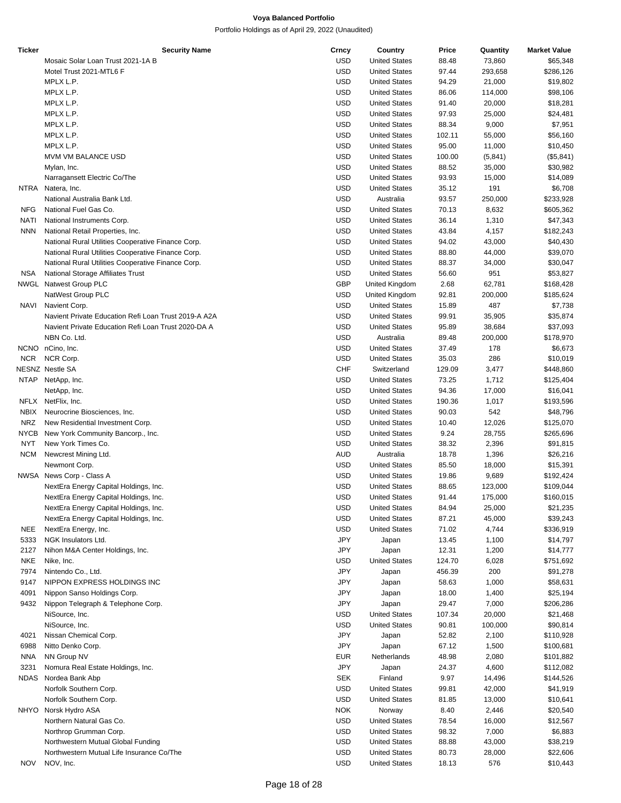| Ticker     | <b>Security Name</b>                                 | Crncy      | Country              | Price  | Quantity | <b>Market Value</b> |
|------------|------------------------------------------------------|------------|----------------------|--------|----------|---------------------|
|            | Mosaic Solar Loan Trust 2021-1A B                    | <b>USD</b> | <b>United States</b> | 88.48  | 73,860   | \$65,348            |
|            | Motel Trust 2021-MTL6 F                              | USD        | <b>United States</b> | 97.44  | 293,658  | \$286,126           |
|            | MPLX L.P.                                            | USD        | <b>United States</b> | 94.29  | 21,000   | \$19,802            |
|            | MPLX L.P.                                            | <b>USD</b> | <b>United States</b> | 86.06  | 114,000  | \$98,106            |
|            | MPLX L.P.                                            | <b>USD</b> | <b>United States</b> | 91.40  | 20,000   | \$18,281            |
|            | MPLX L.P.                                            | USD        | <b>United States</b> | 97.93  | 25,000   | \$24,481            |
|            | MPLX L.P.                                            | USD        | <b>United States</b> | 88.34  | 9,000    | \$7,951             |
|            | MPLX L.P.                                            | <b>USD</b> | <b>United States</b> | 102.11 | 55,000   | \$56,160            |
|            | MPLX L.P.                                            | <b>USD</b> | <b>United States</b> | 95.00  | 11,000   | \$10,450            |
|            | MVM VM BALANCE USD                                   |            |                      |        |          |                     |
|            |                                                      | USD        | <b>United States</b> | 100.00 | (5,841)  | (\$5,841)           |
|            | Mylan, Inc.                                          | USD        | <b>United States</b> | 88.52  | 35,000   | \$30,982            |
|            | Narragansett Electric Co/The                         | <b>USD</b> | <b>United States</b> | 93.93  | 15,000   | \$14,089            |
| NTRA       | Natera, Inc.                                         | <b>USD</b> | <b>United States</b> | 35.12  | 191      | \$6,708             |
|            | National Australia Bank Ltd.                         | USD        | Australia            | 93.57  | 250,000  | \$233,928           |
| <b>NFG</b> | National Fuel Gas Co.                                | USD        | <b>United States</b> | 70.13  | 8,632    | \$605,362           |
| NATI       | National Instruments Corp.                           | <b>USD</b> | <b>United States</b> | 36.14  | 1,310    | \$47,343            |
| <b>NNN</b> | National Retail Properties, Inc.                     | <b>USD</b> | <b>United States</b> | 43.84  | 4,157    | \$182,243           |
|            | National Rural Utilities Cooperative Finance Corp.   | USD        | <b>United States</b> | 94.02  | 43,000   | \$40,430            |
|            | National Rural Utilities Cooperative Finance Corp.   | USD        | <b>United States</b> | 88.80  | 44,000   | \$39,070            |
|            | National Rural Utilities Cooperative Finance Corp.   | <b>USD</b> | <b>United States</b> | 88.37  | 34,000   | \$30,047            |
| <b>NSA</b> | National Storage Affiliates Trust                    | <b>USD</b> | <b>United States</b> | 56.60  | 951      | \$53,827            |
|            | NWGL Natwest Group PLC                               | <b>GBP</b> | United Kingdom       | 2.68   | 62,781   | \$168,428           |
|            | NatWest Group PLC                                    | USD        | United Kingdom       | 92.81  | 200,000  | \$185,624           |
| NAVI       | Navient Corp.                                        | <b>USD</b> | <b>United States</b> | 15.89  | 487      | \$7,738             |
|            | Navient Private Education Refi Loan Trust 2019-A A2A | <b>USD</b> | <b>United States</b> | 99.91  | 35,905   | \$35,874            |
|            | Navient Private Education Refi Loan Trust 2020-DA A  | USD        | <b>United States</b> | 95.89  | 38,684   | \$37,093            |
|            | NBN Co. Ltd.                                         | USD        | Australia            | 89.48  | 200,000  | \$178,970           |
|            | NCNO nCino, Inc.                                     | USD        | <b>United States</b> | 37.49  | 178      | \$6,673             |
|            |                                                      | <b>USD</b> |                      |        |          |                     |
| <b>NCR</b> | NCR Corp.                                            |            | <b>United States</b> | 35.03  | 286      | \$10,019            |
|            | NESNZ Nestle SA                                      | <b>CHF</b> | Switzerland          | 129.09 | 3,477    | \$448,860           |
|            | NTAP NetApp, Inc.                                    | USD        | <b>United States</b> | 73.25  | 1,712    | \$125,404           |
|            | NetApp, Inc.                                         | <b>USD</b> | <b>United States</b> | 94.36  | 17,000   | \$16,041            |
|            | NFLX NetFlix, Inc.                                   | <b>USD</b> | <b>United States</b> | 190.36 | 1,017    | \$193,596           |
| NBIX       | Neurocrine Biosciences, Inc.                         | USD        | <b>United States</b> | 90.03  | 542      | \$48,796            |
| NRZ        | New Residential Investment Corp.                     | USD        | <b>United States</b> | 10.40  | 12,026   | \$125,070           |
| NYCB       | New York Community Bancorp., Inc.                    | <b>USD</b> | <b>United States</b> | 9.24   | 28,755   | \$265,696           |
| NYT        | New York Times Co.                                   | <b>USD</b> | <b>United States</b> | 38.32  | 2,396    | \$91,815            |
| <b>NCM</b> | Newcrest Mining Ltd.                                 | AUD        | Australia            | 18.78  | 1,396    | \$26,216            |
|            | Newmont Corp.                                        | USD        | <b>United States</b> | 85.50  | 18,000   | \$15,391            |
|            | NWSA News Corp - Class A                             | USD        | <b>United States</b> | 19.86  | 9,689    | \$192,424           |
|            | NextEra Energy Capital Holdings, Inc.                | <b>USD</b> | <b>United States</b> | 88.65  | 123,000  | \$109,044           |
|            | NextEra Energy Capital Holdings, Inc.                | USD        | <b>United States</b> | 91.44  | 175,000  | \$160,015           |
|            | NextEra Energy Capital Holdings, Inc.                | <b>USD</b> | <b>United States</b> | 84.94  | 25,000   | \$21,235            |
|            | NextEra Energy Capital Holdings, Inc.                | <b>USD</b> | <b>United States</b> | 87.21  | 45,000   | \$39,243            |
| NEE        | NextEra Energy, Inc.                                 | <b>USD</b> | <b>United States</b> | 71.02  | 4,744    | \$336,919           |
| 5333       | NGK Insulators Ltd.                                  | JPY        | Japan                | 13.45  | 1,100    | \$14,797            |
| 2127       | Nihon M&A Center Holdings, Inc.                      | JPY        | Japan                | 12.31  | 1,200    | \$14,777            |
| <b>NKE</b> | Nike, Inc.                                           | <b>USD</b> | <b>United States</b> | 124.70 | 6,028    | \$751,692           |
| 7974       | Nintendo Co., Ltd.                                   | JPY        | Japan                | 456.39 | 200      | \$91,278            |
| 9147       | NIPPON EXPRESS HOLDINGS INC                          | JPY        | Japan                | 58.63  | 1,000    | \$58,631            |
| 4091       |                                                      | JPY        |                      |        |          |                     |
|            | Nippon Sanso Holdings Corp.                          |            | Japan                | 18.00  | 1,400    | \$25,194            |
| 9432       | Nippon Telegraph & Telephone Corp.                   | JPY        | Japan                | 29.47  | 7,000    | \$206,286           |
|            | NiSource, Inc.                                       | <b>USD</b> | <b>United States</b> | 107.34 | 20,000   | \$21,468            |
|            | NiSource, Inc.                                       | USD        | <b>United States</b> | 90.81  | 100,000  | \$90,814            |
| 4021       | Nissan Chemical Corp.                                | JPY        | Japan                | 52.82  | 2,100    | \$110,928           |
| 6988       | Nitto Denko Corp.                                    | JPY        | Japan                | 67.12  | 1,500    | \$100,681           |
| NNA        | NN Group NV                                          | <b>EUR</b> | Netherlands          | 48.98  | 2,080    | \$101,882           |
| 3231       | Nomura Real Estate Holdings, Inc.                    | JPY        | Japan                | 24.37  | 4,600    | \$112,082           |
| NDAS       | Nordea Bank Abp                                      | <b>SEK</b> | Finland              | 9.97   | 14,496   | \$144,526           |
|            | Norfolk Southern Corp.                               | <b>USD</b> | <b>United States</b> | 99.81  | 42,000   | \$41,919            |
|            | Norfolk Southern Corp.                               | <b>USD</b> | <b>United States</b> | 81.85  | 13,000   | \$10,641            |
|            | NHYO Norsk Hydro ASA                                 | <b>NOK</b> | Norway               | 8.40   | 2,446    | \$20,540            |
|            | Northern Natural Gas Co.                             | USD        | <b>United States</b> | 78.54  | 16,000   | \$12,567            |
|            | Northrop Grumman Corp.                               | <b>USD</b> | <b>United States</b> | 98.32  | 7,000    | \$6,883             |
|            | Northwestern Mutual Global Funding                   | <b>USD</b> | <b>United States</b> | 88.88  | 43,000   | \$38,219            |
|            | Northwestern Mutual Life Insurance Co/The            | USD        | <b>United States</b> | 80.73  | 28,000   | \$22,606            |
| <b>NOV</b> | NOV, Inc.                                            | <b>USD</b> | <b>United States</b> | 18.13  | 576      | \$10,443            |
|            |                                                      |            |                      |        |          |                     |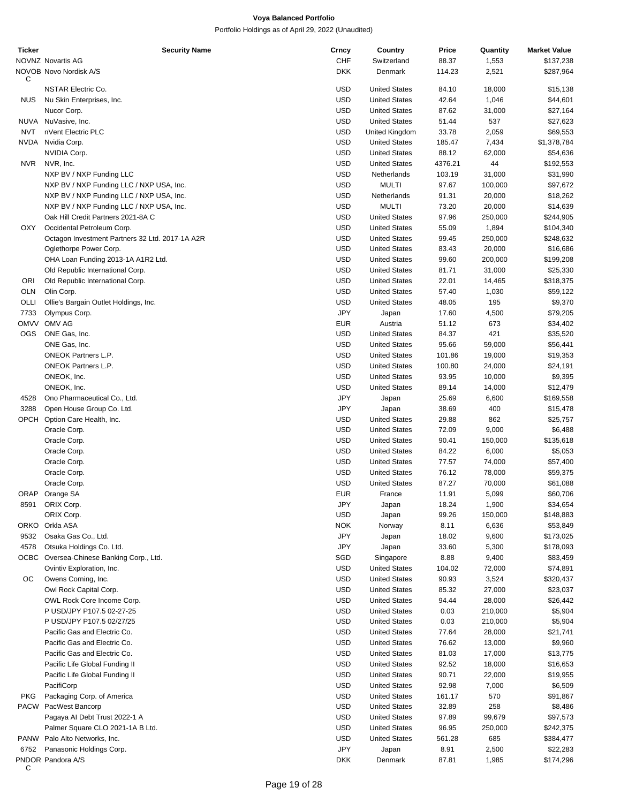| <b>Ticker</b> | <b>Security Name</b>                            | Crncy      | Country              | Price   | Quantity         | <b>Market Value</b> |
|---------------|-------------------------------------------------|------------|----------------------|---------|------------------|---------------------|
|               | <b>NOVNZ Novartis AG</b>                        | CHF        | Switzerland          | 88.37   | 1,553            | \$137,238           |
| C             | NOVOB Novo Nordisk A/S                          | DKK        | Denmark              | 114.23  | 2,521            | \$287,964           |
|               | NSTAR Electric Co.                              | <b>USD</b> | <b>United States</b> | 84.10   | 18,000           | \$15,138            |
| <b>NUS</b>    | Nu Skin Enterprises, Inc.                       | <b>USD</b> | <b>United States</b> | 42.64   | 1,046            | \$44,601            |
|               | Nucor Corp.                                     | <b>USD</b> | <b>United States</b> | 87.62   | 31,000           | \$27,164            |
|               | NUVA NuVasive, Inc.                             | <b>USD</b> | <b>United States</b> | 51.44   | 537              | \$27,623            |
| <b>NVT</b>    | nVent Electric PLC                              | <b>USD</b> | United Kingdom       | 33.78   | 2,059            | \$69,553            |
|               | NVDA Nvidia Corp.                               | <b>USD</b> | <b>United States</b> | 185.47  | 7,434            | \$1,378,784         |
|               | NVIDIA Corp.                                    | <b>USD</b> | <b>United States</b> | 88.12   | 62,000           | \$54,636            |
| <b>NVR</b>    | NVR, Inc.                                       | <b>USD</b> | <b>United States</b> | 4376.21 | 44               | \$192,553           |
|               | NXP BV / NXP Funding LLC                        | <b>USD</b> | Netherlands          | 103.19  | 31,000           | \$31,990            |
|               | NXP BV / NXP Funding LLC / NXP USA, Inc.        | <b>USD</b> | <b>MULTI</b>         | 97.67   | 100,000          | \$97,672            |
|               | NXP BV / NXP Funding LLC / NXP USA, Inc.        | <b>USD</b> | Netherlands          | 91.31   | 20,000           | \$18,262            |
|               | NXP BV / NXP Funding LLC / NXP USA, Inc.        | <b>USD</b> | <b>MULTI</b>         | 73.20   | 20,000           | \$14,639            |
|               | Oak Hill Credit Partners 2021-8A C              | <b>USD</b> | <b>United States</b> | 97.96   | 250,000          |                     |
|               |                                                 |            |                      |         |                  | \$244,905           |
| OXY           | Occidental Petroleum Corp.                      | <b>USD</b> | <b>United States</b> | 55.09   | 1,894            | \$104,340           |
|               | Octagon Investment Partners 32 Ltd. 2017-1A A2R | <b>USD</b> | <b>United States</b> | 99.45   | 250,000          | \$248,632           |
|               | Oglethorpe Power Corp.                          | <b>USD</b> | <b>United States</b> | 83.43   | 20,000           | \$16,686            |
|               | OHA Loan Funding 2013-1A A1R2 Ltd.              | <b>USD</b> | <b>United States</b> | 99.60   | 200,000          | \$199,208           |
|               | Old Republic International Corp.                | <b>USD</b> | <b>United States</b> | 81.71   | 31,000           | \$25,330            |
| ORI           | Old Republic International Corp.                | <b>USD</b> | <b>United States</b> | 22.01   | 14,465           | \$318,375           |
| OLN           | Olin Corp.                                      | <b>USD</b> | <b>United States</b> | 57.40   | 1,030            | \$59,122            |
| OLLI          | Ollie's Bargain Outlet Holdings, Inc.           | <b>USD</b> | <b>United States</b> | 48.05   | 195              | \$9,370             |
| 7733          | Olympus Corp.                                   | <b>JPY</b> | Japan                | 17.60   | 4,500            | \$79,205            |
| <b>OMVV</b>   | OMV AG                                          | EUR        | Austria              | 51.12   | 673              | \$34,402            |
| <b>OGS</b>    | ONE Gas, Inc.                                   | <b>USD</b> | <b>United States</b> | 84.37   | 421              | \$35,520            |
|               | ONE Gas, Inc.                                   | <b>USD</b> | <b>United States</b> | 95.66   | 59,000           | \$56,441            |
|               | <b>ONEOK Partners L.P.</b>                      | <b>USD</b> | <b>United States</b> | 101.86  | 19,000           | \$19,353            |
|               | <b>ONEOK Partners L.P.</b>                      | <b>USD</b> | <b>United States</b> | 100.80  | 24,000           | \$24,191            |
|               | ONEOK, Inc.                                     | <b>USD</b> | <b>United States</b> | 93.95   | 10,000           | \$9,395             |
|               | ONEOK, Inc.                                     | <b>USD</b> | <b>United States</b> | 89.14   | 14,000           | \$12,479            |
| 4528          | Ono Pharmaceutical Co., Ltd.                    | <b>JPY</b> | Japan                | 25.69   | 6,600            | \$169,558           |
| 3288          | Open House Group Co. Ltd.                       | JPY        | Japan                | 38.69   | 400              | \$15,478            |
| OPCH          | Option Care Health, Inc.                        | USD        | <b>United States</b> | 29.88   | 862              | \$25,757            |
|               | Oracle Corp.                                    | <b>USD</b> | <b>United States</b> | 72.09   | 9,000            | \$6,488             |
|               | Oracle Corp.                                    | <b>USD</b> | <b>United States</b> | 90.41   | 150,000          | \$135,618           |
|               | Oracle Corp.                                    | <b>USD</b> | <b>United States</b> | 84.22   | 6,000            | \$5,053             |
|               | Oracle Corp.                                    | <b>USD</b> | <b>United States</b> | 77.57   | 74,000           | \$57,400            |
|               |                                                 |            |                      |         |                  |                     |
|               | Oracle Corp.<br>Oracle Corp.                    | <b>USD</b> | <b>United States</b> | 76.12   | 78,000<br>70,000 | \$59,375            |
|               |                                                 | <b>USD</b> | <b>United States</b> | 87.27   |                  | \$61,088            |
|               | ORAP Orange SA                                  | <b>EUR</b> | France               | 11.91   | 5,099            | \$60,706            |
| 8591          | ORIX Corp.                                      | JPY        | Japan                | 18.24   | 1,900            | \$34,654            |
|               | ORIX Corp.                                      | USD        | Japan                | 99.26   | 150,000          | \$148,883           |
|               | ORKO Orkla ASA                                  | <b>NOK</b> | Norway               | 8.11    | 6,636            | \$53,849            |
| 9532          | Osaka Gas Co., Ltd.                             | <b>JPY</b> | Japan                | 18.02   | 9,600            | \$173,025           |
| 4578          | Otsuka Holdings Co. Ltd.                        | JPY        | Japan                | 33.60   | 5,300            | \$178,093           |
|               | OCBC Oversea-Chinese Banking Corp., Ltd.        | SGD        | Singapore            | 8.88    | 9,400            | \$83,459            |
|               | Ovintiv Exploration, Inc.                       | <b>USD</b> | <b>United States</b> | 104.02  | 72,000           | \$74,891            |
| OС            | Owens Corning, Inc.                             | <b>USD</b> | <b>United States</b> | 90.93   | 3,524            | \$320,437           |
|               | Owl Rock Capital Corp.                          | <b>USD</b> | <b>United States</b> | 85.32   | 27,000           | \$23,037            |
|               | OWL Rock Core Income Corp.                      | <b>USD</b> | <b>United States</b> | 94.44   | 28,000           | \$26,442            |
|               | P USD/JPY P107.5 02-27-25                       | <b>USD</b> | <b>United States</b> | 0.03    | 210,000          | \$5,904             |
|               | P USD/JPY P107.5 02/27/25                       | <b>USD</b> | <b>United States</b> | 0.03    | 210,000          | \$5,904             |
|               | Pacific Gas and Electric Co.                    | <b>USD</b> | <b>United States</b> | 77.64   | 28,000           | \$21,741            |
|               | Pacific Gas and Electric Co.                    | <b>USD</b> | <b>United States</b> | 76.62   | 13,000           | \$9,960             |
|               | Pacific Gas and Electric Co.                    | <b>USD</b> | <b>United States</b> | 81.03   | 17,000           | \$13,775            |
|               | Pacific Life Global Funding II                  | <b>USD</b> | <b>United States</b> | 92.52   | 18,000           | \$16,653            |
|               | Pacific Life Global Funding II                  | <b>USD</b> | <b>United States</b> | 90.71   | 22,000           | \$19,955            |
|               | PacifiCorp                                      | <b>USD</b> | <b>United States</b> | 92.98   | 7,000            | \$6,509             |
| <b>PKG</b>    | Packaging Corp. of America                      | <b>USD</b> | <b>United States</b> | 161.17  | 570              | \$91,867            |
| PACW          | PacWest Bancorp                                 | <b>USD</b> | <b>United States</b> | 32.89   | 258              | \$8,486             |
|               | Pagaya Al Debt Trust 2022-1 A                   | <b>USD</b> | <b>United States</b> | 97.89   | 99,679           | \$97,573            |
|               |                                                 |            |                      |         |                  |                     |
|               | Palmer Square CLO 2021-1A B Ltd.                | <b>USD</b> | <b>United States</b> | 96.95   | 250,000          | \$242,375           |
|               | PANW Palo Alto Networks, Inc.                   | <b>USD</b> | <b>United States</b> | 561.28  | 685              | \$384,477           |
| 6752          | Panasonic Holdings Corp.                        | <b>JPY</b> | Japan                | 8.91    | 2,500            | \$22,283            |
| C             | PNDOR Pandora A/S                               | DKK        | Denmark              | 87.81   | 1,985            | \$174,296           |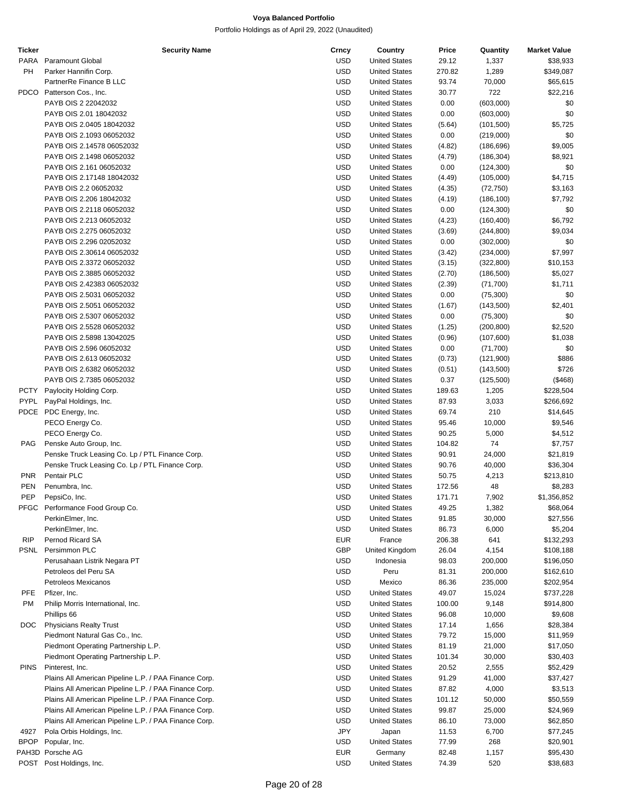| <b>Ticker</b> | <b>Security Name</b>                                  | Crncy      | Country              | Price  | Quantity   | <b>Market Value</b> |
|---------------|-------------------------------------------------------|------------|----------------------|--------|------------|---------------------|
| <b>PARA</b>   | <b>Paramount Global</b>                               | <b>USD</b> | <b>United States</b> | 29.12  | 1,337      | \$38,933            |
| PH            | Parker Hannifin Corp.                                 | <b>USD</b> | <b>United States</b> | 270.82 | 1,289      | \$349,087           |
|               | PartnerRe Finance B LLC                               | <b>USD</b> | <b>United States</b> | 93.74  | 70,000     | \$65,615            |
| <b>PDCO</b>   | Patterson Cos., Inc.                                  | <b>USD</b> | <b>United States</b> | 30.77  | 722        | \$22,216            |
|               | PAYB OIS 2 22042032                                   | <b>USD</b> | <b>United States</b> | 0.00   | (603,000)  | \$0                 |
|               | PAYB OIS 2.01 18042032                                | <b>USD</b> | <b>United States</b> | 0.00   | (603,000)  | \$0                 |
|               | PAYB OIS 2.0405 18042032                              | <b>USD</b> | <b>United States</b> |        |            |                     |
|               |                                                       |            |                      | (5.64) | (101, 500) | \$5,725             |
|               | PAYB OIS 2.1093 06052032                              | <b>USD</b> | <b>United States</b> | 0.00   | (219,000)  | \$0                 |
|               | PAYB OIS 2.14578 06052032                             | <b>USD</b> | <b>United States</b> | (4.82) | (186, 696) | \$9,005             |
|               | PAYB OIS 2.1498 06052032                              | <b>USD</b> | <b>United States</b> | (4.79) | (186, 304) | \$8,921             |
|               | PAYB OIS 2.161 06052032                               | <b>USD</b> | <b>United States</b> | 0.00   | (124, 300) | \$0                 |
|               | PAYB OIS 2.17148 18042032                             | <b>USD</b> | <b>United States</b> | (4.49) | (105,000)  | \$4,715             |
|               | PAYB OIS 2.2 06052032                                 | <b>USD</b> | <b>United States</b> | (4.35) | (72, 750)  | \$3,163             |
|               | PAYB OIS 2.206 18042032                               | <b>USD</b> | <b>United States</b> | (4.19) | (186, 100) | \$7,792             |
|               | PAYB OIS 2.2118 06052032                              | <b>USD</b> | <b>United States</b> | 0.00   | (124, 300) | \$0                 |
|               | PAYB OIS 2.213 06052032                               | <b>USD</b> | <b>United States</b> | (4.23) | (160, 400) | \$6,792             |
|               | PAYB OIS 2.275 06052032                               | <b>USD</b> | <b>United States</b> | (3.69) | (244, 800) | \$9,034             |
|               | PAYB OIS 2.296 02052032                               | <b>USD</b> | <b>United States</b> | 0.00   | (302,000)  | \$0                 |
|               | PAYB OIS 2.30614 06052032                             | <b>USD</b> | <b>United States</b> | (3.42) | (234,000)  | \$7,997             |
|               | PAYB OIS 2.3372 06052032                              | <b>USD</b> | <b>United States</b> | (3.15) | (322, 800) | \$10,153            |
|               | PAYB OIS 2.3885 06052032                              | <b>USD</b> | <b>United States</b> | (2.70) | (186, 500) | \$5,027             |
|               |                                                       | <b>USD</b> | <b>United States</b> |        |            |                     |
|               | PAYB OIS 2.42383 06052032                             |            |                      | (2.39) | (71, 700)  | \$1,711             |
|               | PAYB OIS 2.5031 06052032                              | <b>USD</b> | <b>United States</b> | 0.00   | (75, 300)  | \$0                 |
|               | PAYB OIS 2.5051 06052032                              | <b>USD</b> | <b>United States</b> | (1.67) | (143,500)  | \$2,401             |
|               | PAYB OIS 2.5307 06052032                              | <b>USD</b> | <b>United States</b> | 0.00   | (75, 300)  | \$0                 |
|               | PAYB OIS 2.5528 06052032                              | <b>USD</b> | <b>United States</b> | (1.25) | (200, 800) | \$2,520             |
|               | PAYB OIS 2.5898 13042025                              | <b>USD</b> | <b>United States</b> | (0.96) | (107,600)  | \$1,038             |
|               | PAYB OIS 2.596 06052032                               | <b>USD</b> | <b>United States</b> | 0.00   | (71,700)   | \$0                 |
|               | PAYB OIS 2.613 06052032                               | <b>USD</b> | <b>United States</b> | (0.73) | (121,900)  | \$886               |
|               | PAYB OIS 2.6382 06052032                              | <b>USD</b> | <b>United States</b> | (0.51) | (143,500)  | \$726               |
|               | PAYB OIS 2.7385 06052032                              | <b>USD</b> | <b>United States</b> | 0.37   | (125,500)  | (\$468)             |
| PCTY          | Paylocity Holding Corp.                               | <b>USD</b> | <b>United States</b> | 189.63 | 1,205      | \$228,504           |
| PYPL          | PayPal Holdings, Inc.                                 | <b>USD</b> | <b>United States</b> | 87.93  | 3,033      | \$266,692           |
|               | PDCE PDC Energy, Inc.                                 | <b>USD</b> | <b>United States</b> | 69.74  | 210        | \$14,645            |
|               | PECO Energy Co.                                       | <b>USD</b> | <b>United States</b> | 95.46  | 10,000     | \$9,546             |
|               | PECO Energy Co.                                       | <b>USD</b> | <b>United States</b> | 90.25  | 5,000      | \$4,512             |
|               |                                                       |            |                      |        |            |                     |
| <b>PAG</b>    | Penske Auto Group, Inc.                               | <b>USD</b> | <b>United States</b> | 104.82 | 74         | \$7,757             |
|               | Penske Truck Leasing Co. Lp / PTL Finance Corp.       | <b>USD</b> | <b>United States</b> | 90.91  | 24,000     | \$21,819            |
|               | Penske Truck Leasing Co. Lp / PTL Finance Corp.       | <b>USD</b> | <b>United States</b> | 90.76  | 40,000     | \$36,304            |
| <b>PNR</b>    | Pentair PLC                                           | <b>USD</b> | <b>United States</b> | 50.75  | 4,213      | \$213,810           |
| <b>PEN</b>    | Penumbra, Inc.                                        | <b>USD</b> | <b>United States</b> | 172.56 | 48         | \$8,283             |
| PEP           | PepsiCo, Inc.                                         | <b>USD</b> | <b>United States</b> | 171.71 | 7,902      | \$1,356,852         |
|               | PFGC Performance Food Group Co.                       | <b>USD</b> | <b>United States</b> | 49.25  | 1,382      | \$68,064            |
|               | PerkinElmer, Inc.                                     | <b>USD</b> | <b>United States</b> | 91.85  | 30,000     | \$27,556            |
|               | PerkinElmer, Inc.                                     | <b>USD</b> | <b>United States</b> | 86.73  | 6,000      | \$5,204             |
| <b>RIP</b>    | Pernod Ricard SA                                      | <b>EUR</b> | France               | 206.38 | 641        | \$132,293           |
| PSNL          | Persimmon PLC                                         | <b>GBP</b> | United Kingdom       | 26.04  | 4,154      | \$108,188           |
|               | Perusahaan Listrik Negara PT                          | <b>USD</b> | Indonesia            | 98.03  | 200,000    | \$196,050           |
|               | Petroleos del Peru SA                                 | <b>USD</b> | Peru                 | 81.31  | 200,000    | \$162,610           |
|               | Petroleos Mexicanos                                   | <b>USD</b> | Mexico               | 86.36  | 235,000    | \$202,954           |
| PFE           | Pfizer, Inc.                                          | <b>USD</b> | <b>United States</b> | 49.07  | 15,024     | \$737,228           |
| PM            |                                                       | <b>USD</b> | <b>United States</b> |        |            |                     |
|               | Philip Morris International, Inc.                     |            |                      | 100.00 | 9,148      | \$914,800           |
|               | Phillips 66                                           | <b>USD</b> | <b>United States</b> | 96.08  | 10,000     | \$9,608             |
| DOC           | <b>Physicians Realty Trust</b>                        | <b>USD</b> | <b>United States</b> | 17.14  | 1,656      | \$28,384            |
|               | Piedmont Natural Gas Co., Inc.                        | <b>USD</b> | <b>United States</b> | 79.72  | 15,000     | \$11,959            |
|               | Piedmont Operating Partnership L.P.                   | <b>USD</b> | <b>United States</b> | 81.19  | 21,000     | \$17,050            |
|               | Piedmont Operating Partnership L.P.                   | <b>USD</b> | <b>United States</b> | 101.34 | 30,000     | \$30,403            |
| <b>PINS</b>   | Pinterest, Inc.                                       | <b>USD</b> | <b>United States</b> | 20.52  | 2,555      | \$52,429            |
|               | Plains All American Pipeline L.P. / PAA Finance Corp. | <b>USD</b> | <b>United States</b> | 91.29  | 41,000     | \$37,427            |
|               | Plains All American Pipeline L.P. / PAA Finance Corp. | <b>USD</b> | <b>United States</b> | 87.82  | 4,000      | \$3,513             |
|               | Plains All American Pipeline L.P. / PAA Finance Corp. | <b>USD</b> | <b>United States</b> | 101.12 | 50,000     | \$50,559            |
|               | Plains All American Pipeline L.P. / PAA Finance Corp. | <b>USD</b> | <b>United States</b> | 99.87  | 25,000     | \$24,969            |
|               | Plains All American Pipeline L.P. / PAA Finance Corp. | <b>USD</b> | <b>United States</b> | 86.10  | 73,000     | \$62,850            |
| 4927          | Pola Orbis Holdings, Inc.                             | <b>JPY</b> | Japan                | 11.53  | 6,700      | \$77,245            |
| <b>BPOP</b>   | Popular, Inc.                                         | USD        | <b>United States</b> | 77.99  | 268        | \$20,901            |
|               | PAH3D Porsche AG                                      | <b>EUR</b> |                      |        |            |                     |
|               |                                                       |            | Germany              | 82.48  | 1,157      | \$95,430            |
|               | POST Post Holdings, Inc.                              | <b>USD</b> | <b>United States</b> | 74.39  | 520        | \$38,683            |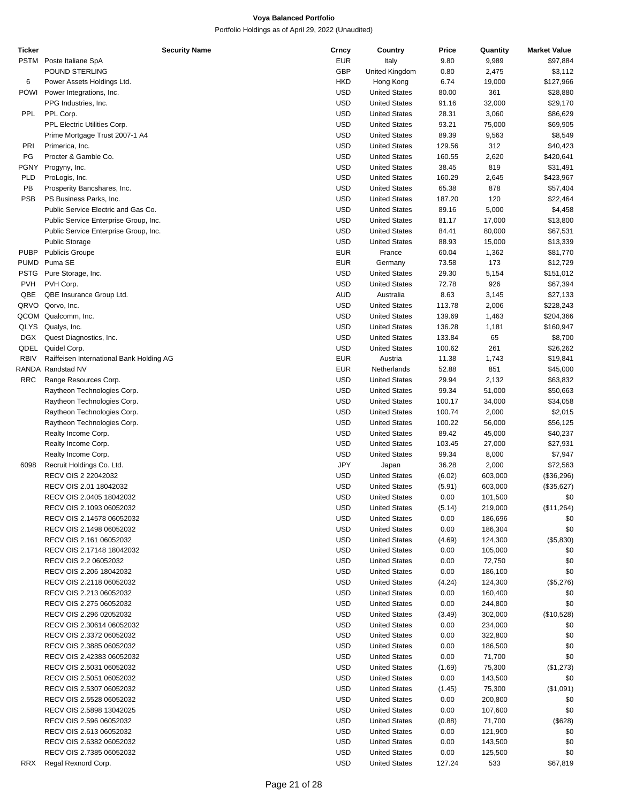| Ticker      | <b>Security Name</b>                     | Crncy      | Country              | Price  | Quantity | <b>Market Value</b> |
|-------------|------------------------------------------|------------|----------------------|--------|----------|---------------------|
| PSTM        | Poste Italiane SpA                       | <b>EUR</b> | Italy                | 9.80   | 9,989    | \$97,884            |
|             | POUND STERLING                           | GBP        | United Kingdom       | 0.80   | 2,475    | \$3,112             |
|             |                                          |            |                      |        |          |                     |
| 6           | Power Assets Holdings Ltd.               | <b>HKD</b> | Hong Kong            | 6.74   | 19,000   | \$127,966           |
| POWI        | Power Integrations, Inc.                 | <b>USD</b> | <b>United States</b> | 80.00  | 361      | \$28,880            |
|             | PPG Industries, Inc.                     | <b>USD</b> | <b>United States</b> | 91.16  | 32,000   | \$29,170            |
| <b>PPL</b>  | PPL Corp.                                | <b>USD</b> | <b>United States</b> | 28.31  | 3,060    | \$86,629            |
|             | PPL Electric Utilities Corp.             | <b>USD</b> | <b>United States</b> | 93.21  | 75,000   | \$69,905            |
|             |                                          |            |                      |        |          |                     |
|             | Prime Mortgage Trust 2007-1 A4           | <b>USD</b> | <b>United States</b> | 89.39  | 9,563    | \$8,549             |
| PRI         | Primerica, Inc.                          | <b>USD</b> | <b>United States</b> | 129.56 | 312      | \$40,423            |
| PG          | Procter & Gamble Co.                     | <b>USD</b> | <b>United States</b> | 160.55 | 2,620    | \$420,641           |
| PGNY        | Progyny, Inc.                            | <b>USD</b> | <b>United States</b> | 38.45  | 819      | \$31,491            |
|             |                                          |            |                      |        |          |                     |
| PLD         | ProLogis, Inc.                           | <b>USD</b> | <b>United States</b> | 160.29 | 2,645    | \$423,967           |
| PB          | Prosperity Bancshares, Inc.              | <b>USD</b> | <b>United States</b> | 65.38  | 878      | \$57,404            |
| <b>PSB</b>  | PS Business Parks, Inc.                  | <b>USD</b> | <b>United States</b> | 187.20 | 120      | \$22,464            |
|             | Public Service Electric and Gas Co.      | <b>USD</b> | <b>United States</b> | 89.16  | 5,000    | \$4,458             |
|             |                                          | <b>USD</b> | <b>United States</b> |        |          |                     |
|             | Public Service Enterprise Group, Inc.    |            |                      | 81.17  | 17,000   | \$13,800            |
|             | Public Service Enterprise Group, Inc.    | <b>USD</b> | <b>United States</b> | 84.41  | 80,000   | \$67,531            |
|             | <b>Public Storage</b>                    | <b>USD</b> | <b>United States</b> | 88.93  | 15,000   | \$13,339            |
| <b>PUBP</b> | <b>Publicis Groupe</b>                   | <b>EUR</b> | France               | 60.04  | 1,362    | \$81,770            |
| PUMD        | Puma SE                                  | <b>EUR</b> | Germany              | 73.58  | 173      | \$12,729            |
|             |                                          |            |                      |        |          |                     |
|             | PSTG Pure Storage, Inc.                  | <b>USD</b> | <b>United States</b> | 29.30  | 5,154    | \$151,012           |
| <b>PVH</b>  | PVH Corp.                                | <b>USD</b> | <b>United States</b> | 72.78  | 926      | \$67,394            |
| QBE         | QBE Insurance Group Ltd.                 | <b>AUD</b> | Australia            | 8.63   | 3,145    | \$27,133            |
|             | QRVO Qorvo, Inc.                         | <b>USD</b> | <b>United States</b> | 113.78 | 2,006    | \$228,243           |
|             |                                          |            |                      |        |          |                     |
|             | QCOM Qualcomm, Inc.                      | <b>USD</b> | <b>United States</b> | 139.69 | 1,463    | \$204,366           |
| <b>QLYS</b> | Qualys, Inc.                             | <b>USD</b> | <b>United States</b> | 136.28 | 1,181    | \$160,947           |
| <b>DGX</b>  | Quest Diagnostics, Inc.                  | <b>USD</b> | <b>United States</b> | 133.84 | 65       | \$8,700             |
|             |                                          | <b>USD</b> |                      | 100.62 | 261      |                     |
| QDEL        | Quidel Corp.                             |            | <b>United States</b> |        |          | \$26,262            |
| <b>RBIV</b> | Raiffeisen International Bank Holding AG | <b>EUR</b> | Austria              | 11.38  | 1,743    | \$19,841            |
|             | RANDA Randstad NV                        | <b>EUR</b> | Netherlands          | 52.88  | 851      | \$45,000            |
| <b>RRC</b>  | Range Resources Corp.                    | <b>USD</b> | <b>United States</b> | 29.94  | 2,132    | \$63,832            |
|             |                                          | <b>USD</b> | <b>United States</b> | 99.34  |          |                     |
|             | Raytheon Technologies Corp.              |            |                      |        | 51,000   | \$50,663            |
|             | Raytheon Technologies Corp.              | <b>USD</b> | <b>United States</b> | 100.17 | 34,000   | \$34,058            |
|             | Raytheon Technologies Corp.              | <b>USD</b> | <b>United States</b> | 100.74 | 2,000    | \$2,015             |
|             | Raytheon Technologies Corp.              | <b>USD</b> | <b>United States</b> | 100.22 | 56,000   | \$56,125            |
|             | Realty Income Corp.                      | <b>USD</b> | <b>United States</b> | 89.42  | 45,000   | \$40,237            |
|             |                                          |            |                      |        |          |                     |
|             | Realty Income Corp.                      | <b>USD</b> | <b>United States</b> | 103.45 | 27,000   | \$27,931            |
|             | Realty Income Corp.                      | <b>USD</b> | <b>United States</b> | 99.34  | 8,000    | \$7,947             |
| 6098        | Recruit Holdings Co. Ltd.                | <b>JPY</b> | Japan                | 36.28  | 2,000    | \$72,563            |
|             | RECV OIS 2 22042032                      | <b>USD</b> | <b>United States</b> | (6.02) | 603,000  | (\$36,296)          |
|             |                                          |            |                      |        |          |                     |
|             | RECV OIS 2.01 18042032                   | <b>USD</b> | <b>United States</b> | (5.91) | 603,000  | (\$35,627)          |
|             | RECV OIS 2.0405 18042032                 | <b>USD</b> | <b>United States</b> | 0.00   | 101,500  | \$0                 |
|             | RECV OIS 2.1093 06052032                 | USD        | <b>United States</b> | (5.14) | 219,000  | (\$11,264)          |
|             | RECV OIS 2.14578 06052032                | <b>USD</b> | <b>United States</b> | 0.00   | 186,696  | \$0                 |
|             |                                          |            |                      |        |          |                     |
|             | RECV OIS 2.1498 06052032                 | USD        | <b>United States</b> | 0.00   | 186,304  | \$0                 |
|             | RECV OIS 2.161 06052032                  | <b>USD</b> | <b>United States</b> | (4.69) | 124,300  | (\$5,830)           |
|             | RECV OIS 2.17148 18042032                | <b>USD</b> | <b>United States</b> | 0.00   | 105,000  | \$0                 |
|             | RECV OIS 2.2 06052032                    | <b>USD</b> | <b>United States</b> | 0.00   | 72,750   | \$0                 |
|             | RECV OIS 2.206 18042032                  | <b>USD</b> |                      |        |          |                     |
|             |                                          |            | <b>United States</b> | 0.00   | 186,100  | \$0                 |
|             | RECV OIS 2.2118 06052032                 | <b>USD</b> | <b>United States</b> | (4.24) | 124,300  | (\$5,276)           |
|             | RECV OIS 2.213 06052032                  | <b>USD</b> | <b>United States</b> | 0.00   | 160,400  | \$0                 |
|             | RECV OIS 2.275 06052032                  | <b>USD</b> | <b>United States</b> | 0.00   | 244,800  | \$0                 |
|             |                                          |            |                      |        |          |                     |
|             | RECV OIS 2.296 02052032                  | USD        | <b>United States</b> | (3.49) | 302,000  | (\$10,528)          |
|             | RECV OIS 2.30614 06052032                | <b>USD</b> | <b>United States</b> | 0.00   | 234,000  | \$0                 |
|             | RECV OIS 2.3372 06052032                 | <b>USD</b> | <b>United States</b> | 0.00   | 322,800  | \$0                 |
|             | RECV OIS 2.3885 06052032                 | <b>USD</b> | <b>United States</b> | 0.00   | 186,500  | \$0                 |
|             |                                          |            |                      |        |          |                     |
|             | RECV OIS 2.42383 06052032                | USD        | <b>United States</b> | 0.00   | 71,700   | \$0                 |
|             | RECV OIS 2.5031 06052032                 | <b>USD</b> | <b>United States</b> | (1.69) | 75,300   | (\$1,273)           |
|             | RECV OIS 2.5051 06052032                 | <b>USD</b> | <b>United States</b> | 0.00   | 143,500  | \$0                 |
|             | RECV OIS 2.5307 06052032                 | USD        | <b>United States</b> | (1.45) | 75,300   | (\$1,091)           |
|             |                                          |            |                      |        |          |                     |
|             | RECV OIS 2.5528 06052032                 | USD        | <b>United States</b> | 0.00   | 200,800  | \$0                 |
|             | RECV OIS 2.5898 13042025                 | USD        | <b>United States</b> | 0.00   | 107,600  | \$0                 |
|             | RECV OIS 2.596 06052032                  | <b>USD</b> | <b>United States</b> | (0.88) | 71,700   | (\$628)             |
|             | RECV OIS 2.613 06052032                  | <b>USD</b> | <b>United States</b> | 0.00   | 121,900  | \$0                 |
|             | RECV OIS 2.6382 06052032                 | USD        | <b>United States</b> | 0.00   |          | \$0                 |
|             |                                          |            |                      |        | 143,500  |                     |
|             | RECV OIS 2.7385 06052032                 | <b>USD</b> | <b>United States</b> | 0.00   | 125,500  | \$0                 |
| <b>RRX</b>  | Regal Rexnord Corp.                      | <b>USD</b> | <b>United States</b> | 127.24 | 533      | \$67,819            |
|             |                                          |            |                      |        |          |                     |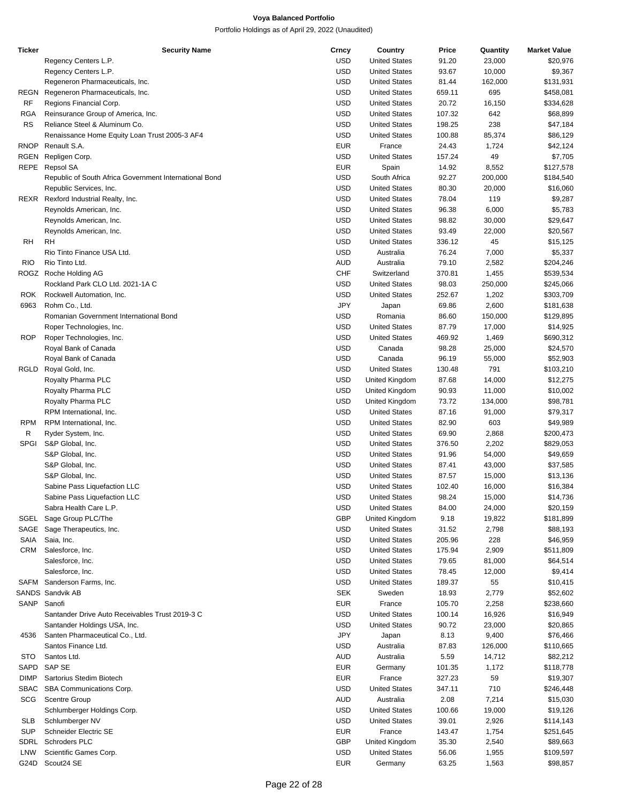| <b>Ticker</b> | <b>Security Name</b>                                   | Crncy      | Country              | Price  | Quantity | <b>Market Value</b> |
|---------------|--------------------------------------------------------|------------|----------------------|--------|----------|---------------------|
|               | Regency Centers L.P.                                   | <b>USD</b> | <b>United States</b> | 91.20  | 23,000   | \$20,976            |
|               | Regency Centers L.P.                                   | <b>USD</b> | <b>United States</b> | 93.67  | 10,000   | \$9,367             |
|               | Regeneron Pharmaceuticals, Inc.                        | <b>USD</b> | <b>United States</b> | 81.44  | 162,000  | \$131,931           |
| REGN          | Regeneron Pharmaceuticals, Inc.                        | USD        | <b>United States</b> | 659.11 | 695      | \$458,081           |
|               |                                                        |            |                      |        |          |                     |
| RF            | Regions Financial Corp.                                | <b>USD</b> | <b>United States</b> | 20.72  | 16,150   | \$334,628           |
| RGA           | Reinsurance Group of America, Inc.                     | <b>USD</b> | <b>United States</b> | 107.32 | 642      | \$68,899            |
| RS            | Reliance Steel & Aluminum Co.                          | USD        | <b>United States</b> | 198.25 | 238      | \$47,184            |
|               | Renaissance Home Equity Loan Trust 2005-3 AF4          | USD        | <b>United States</b> | 100.88 | 85,374   | \$86,129            |
| RNOP          | Renault S.A.                                           | <b>EUR</b> | France               | 24.43  | 1,724    | \$42,124            |
| RGEN          | Repligen Corp.                                         | USD        | <b>United States</b> | 157.24 | 49       | \$7,705             |
| REPE          | Repsol SA                                              | <b>EUR</b> | Spain                | 14.92  | 8,552    | \$127,578           |
|               | Republic of South Africa Government International Bond | USD        | South Africa         | 92.27  | 200,000  | \$184,540           |
|               |                                                        |            |                      |        |          |                     |
|               | Republic Services, Inc.                                | USD        | <b>United States</b> | 80.30  | 20,000   | \$16,060            |
| REXR          | Rexford Industrial Realty, Inc.                        | <b>USD</b> | <b>United States</b> | 78.04  | 119      | \$9,287             |
|               | Reynolds American, Inc.                                | <b>USD</b> | <b>United States</b> | 96.38  | 6,000    | \$5,783             |
|               | Reynolds American, Inc.                                | <b>USD</b> | <b>United States</b> | 98.82  | 30,000   | \$29,647            |
|               | Reynolds American, Inc.                                | <b>USD</b> | <b>United States</b> | 93.49  | 22,000   | \$20,567            |
| RH            | RH                                                     | USD        | <b>United States</b> | 336.12 | 45       | \$15,125            |
|               | Rio Tinto Finance USA Ltd.                             | USD        | Australia            | 76.24  | 7,000    | \$5,337             |
| <b>RIO</b>    | Rio Tinto Ltd.                                         | AUD        | Australia            | 79.10  | 2,582    | \$204,246           |
|               |                                                        |            |                      |        |          |                     |
|               | ROGZ Roche Holding AG                                  | <b>CHF</b> | Switzerland          | 370.81 | 1,455    | \$539,534           |
|               | Rockland Park CLO Ltd. 2021-1A C                       | USD        | <b>United States</b> | 98.03  | 250,000  | \$245,066           |
| ROK           | Rockwell Automation, Inc.                              | <b>USD</b> | <b>United States</b> | 252.67 | 1,202    | \$303,709           |
| 6963          | Rohm Co., Ltd.                                         | <b>JPY</b> | Japan                | 69.86  | 2,600    | \$181,638           |
|               | Romanian Government International Bond                 | USD        | Romania              | 86.60  | 150,000  | \$129,895           |
|               | Roper Technologies, Inc.                               | <b>USD</b> | <b>United States</b> | 87.79  | 17,000   | \$14,925            |
| <b>ROP</b>    | Roper Technologies, Inc.                               | <b>USD</b> | <b>United States</b> | 469.92 | 1,469    | \$690,312           |
|               | Royal Bank of Canada                                   | USD        | Canada               | 98.28  | 25,000   | \$24,570            |
|               |                                                        |            |                      |        |          |                     |
|               | Royal Bank of Canada                                   | <b>USD</b> | Canada               | 96.19  | 55,000   | \$52,903            |
| RGLD          | Royal Gold, Inc.                                       | <b>USD</b> | <b>United States</b> | 130.48 | 791      | \$103,210           |
|               | Royalty Pharma PLC                                     | <b>USD</b> | United Kingdom       | 87.68  | 14,000   | \$12,275            |
|               | Royalty Pharma PLC                                     | <b>USD</b> | United Kingdom       | 90.93  | 11,000   | \$10,002            |
|               | Royalty Pharma PLC                                     | <b>USD</b> | United Kingdom       | 73.72  | 134,000  | \$98,781            |
|               | RPM International, Inc.                                | <b>USD</b> | <b>United States</b> | 87.16  | 91,000   | \$79,317            |
| <b>RPM</b>    | RPM International, Inc.                                | USD        | <b>United States</b> | 82.90  | 603      | \$49,989            |
| R             | Ryder System, Inc.                                     | USD        | <b>United States</b> | 69.90  | 2,868    | \$200,473           |
|               |                                                        |            |                      |        |          |                     |
| <b>SPGI</b>   | S&P Global, Inc.                                       | <b>USD</b> | <b>United States</b> | 376.50 | 2,202    | \$829,053           |
|               | S&P Global, Inc.                                       | <b>USD</b> | <b>United States</b> | 91.96  | 54,000   | \$49,659            |
|               | S&P Global, Inc.                                       | <b>USD</b> | <b>United States</b> | 87.41  | 43,000   | \$37,585            |
|               | S&P Global, Inc.                                       | USD        | <b>United States</b> | 87.57  | 15,000   | \$13,136            |
|               | Sabine Pass Liquefaction LLC                           | USD        | <b>United States</b> | 102.40 | 16,000   | \$16,384            |
|               | Sabine Pass Liquefaction LLC                           | USD        | <b>United States</b> | 98.24  | 15,000   | \$14,736            |
|               | Sabra Health Care L.P.                                 | USD        | <b>United States</b> | 84.00  | 24,000   | \$20,159            |
|               | SGEL Sage Group PLC/The                                | <b>GBP</b> | United Kingdom       | 9.18   | 19,822   | \$181,899           |
|               |                                                        |            |                      |        |          |                     |
| SAGE          | Sage Therapeutics, Inc.                                | <b>USD</b> | <b>United States</b> | 31.52  | 2,798    | \$88,193            |
| SAIA          | Saia, Inc.                                             | <b>USD</b> | <b>United States</b> | 205.96 | 228      | \$46,959            |
| CRM           | Salesforce, Inc.                                       | <b>USD</b> | <b>United States</b> | 175.94 | 2,909    | \$511,809           |
|               | Salesforce, Inc.                                       | <b>USD</b> | <b>United States</b> | 79.65  | 81,000   | \$64,514            |
|               | Salesforce, Inc.                                       | <b>USD</b> | <b>United States</b> | 78.45  | 12,000   | \$9,414             |
| SAFM          | Sanderson Farms, Inc.                                  | USD        | <b>United States</b> | 189.37 | 55       | \$10,415            |
|               | SANDS Sandvik AB                                       | <b>SEK</b> | Sweden               | 18.93  | 2,779    | \$52,602            |
| SANP          | Sanofi                                                 | <b>EUR</b> | France               | 105.70 | 2,258    | \$238,660           |
|               |                                                        |            |                      |        |          |                     |
|               | Santander Drive Auto Receivables Trust 2019-3 C        | USD        | <b>United States</b> | 100.14 | 16,926   | \$16,949            |
|               | Santander Holdings USA, Inc.                           | USD        | <b>United States</b> | 90.72  | 23,000   | \$20,865            |
| 4536          | Santen Pharmaceutical Co., Ltd.                        | <b>JPY</b> | Japan                | 8.13   | 9,400    | \$76,466            |
|               | Santos Finance Ltd.                                    | USD        | Australia            | 87.83  | 126,000  | \$110,665           |
| STO           | Santos Ltd.                                            | AUD        | Australia            | 5.59   | 14,712   | \$82,212            |
| SAPD          | SAP SE                                                 | <b>EUR</b> | Germany              | 101.35 | 1,172    | \$118,778           |
| <b>DIMP</b>   | Sartorius Stedim Biotech                               | <b>EUR</b> | France               | 327.23 | 59       | \$19,307            |
| SBAC          | SBA Communications Corp.                               | USD        | <b>United States</b> | 347.11 | 710      | \$246,448           |
|               |                                                        |            |                      |        |          |                     |
| SCG           | <b>Scentre Group</b>                                   | AUD        | Australia            | 2.08   | 7,214    | \$15,030            |
|               | Schlumberger Holdings Corp.                            | <b>USD</b> | <b>United States</b> | 100.66 | 19,000   | \$19,126            |
| <b>SLB</b>    | Schlumberger NV                                        | <b>USD</b> | <b>United States</b> | 39.01  | 2,926    | \$114,143           |
| <b>SUP</b>    | Schneider Electric SE                                  | <b>EUR</b> | France               | 143.47 | 1,754    | \$251,645           |
| SDRL          | Schroders PLC                                          | GBP        | United Kingdom       | 35.30  | 2,540    | \$89,663            |
| LNW           | Scientific Games Corp.                                 | <b>USD</b> | <b>United States</b> | 56.06  | 1,955    | \$109,597           |
| G24D          | Scout24 SE                                             | <b>EUR</b> | Germany              | 63.25  | 1,563    | \$98,857            |
|               |                                                        |            |                      |        |          |                     |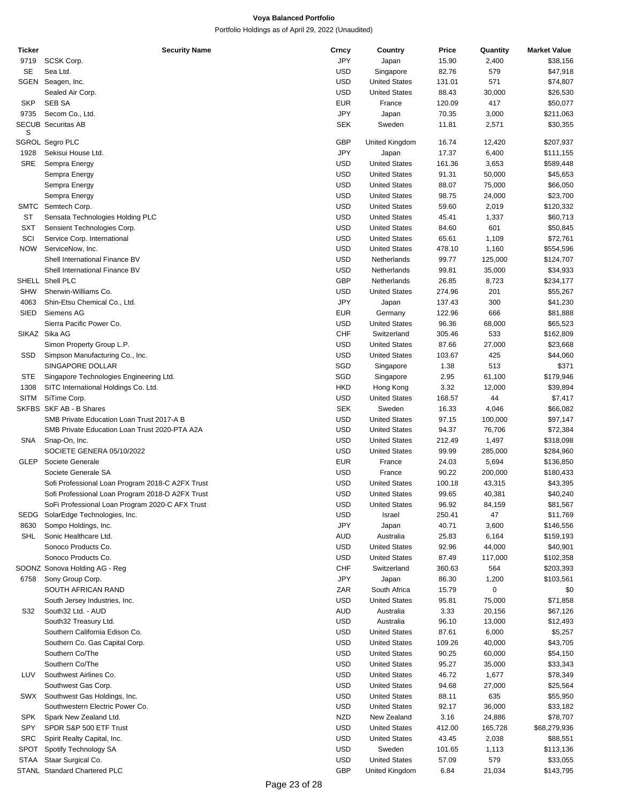| Ticker      | <b>Security Name</b>                             | Crncy      | Country              | Price  | Quantity | <b>Market Value</b> |
|-------------|--------------------------------------------------|------------|----------------------|--------|----------|---------------------|
| 9719        | SCSK Corp.                                       | <b>JPY</b> | Japan                | 15.90  | 2,400    | \$38,156            |
| <b>SE</b>   | Sea Ltd.                                         | <b>USD</b> | Singapore            | 82.76  | 579      | \$47,918            |
| <b>SGEN</b> | Seagen, Inc.                                     | <b>USD</b> | <b>United States</b> | 131.01 | 571      | \$74,807            |
|             | Sealed Air Corp.                                 | <b>USD</b> | <b>United States</b> | 88.43  | 30,000   | \$26,530            |
| <b>SKP</b>  | <b>SEB SA</b>                                    | <b>EUR</b> | France               | 120.09 | 417      | \$50,077            |
| 9735        | Secom Co., Ltd.                                  | <b>JPY</b> | Japan                | 70.35  | 3,000    | \$211,063           |
|             | <b>SECUB Securitas AB</b>                        | <b>SEK</b> | Sweden               | 11.81  | 2,571    | \$30,355            |
| S           |                                                  |            |                      |        |          |                     |
|             | <b>SGROL Segro PLC</b>                           | <b>GBP</b> | United Kingdom       | 16.74  | 12,420   | \$207,937           |
| 1928        | Sekisui House Ltd.                               | <b>JPY</b> | Japan                | 17.37  | 6,400    | \$111,155           |
| SRE         | Sempra Energy                                    | <b>USD</b> | <b>United States</b> | 161.36 | 3,653    | \$589,448           |
|             | Sempra Energy                                    | <b>USD</b> | <b>United States</b> | 91.31  | 50,000   | \$45,653            |
|             | Sempra Energy                                    | <b>USD</b> | <b>United States</b> | 88.07  | 75,000   | \$66,050            |
|             | Sempra Energy                                    | <b>USD</b> | <b>United States</b> | 98.75  | 24,000   | \$23,700            |
|             |                                                  |            |                      |        |          |                     |
| <b>SMTC</b> | Semtech Corp.                                    | <b>USD</b> | <b>United States</b> | 59.60  | 2,019    | \$120,332           |
| ST          | Sensata Technologies Holding PLC                 | <b>USD</b> | <b>United States</b> | 45.41  | 1,337    | \$60,713            |
| SXT         | Sensient Technologies Corp.                      | <b>USD</b> | <b>United States</b> | 84.60  | 601      | \$50,845            |
| SCI         | Service Corp. International                      | <b>USD</b> | <b>United States</b> | 65.61  | 1,109    | \$72,761            |
| <b>NOW</b>  | ServiceNow, Inc.                                 | <b>USD</b> | <b>United States</b> | 478.10 | 1,160    | \$554,596           |
|             | Shell International Finance BV                   | <b>USD</b> | Netherlands          | 99.77  | 125,000  | \$124,707           |
|             | Shell International Finance BV                   | <b>USD</b> | Netherlands          | 99.81  | 35,000   | \$34,933            |
|             | SHELL Shell PLC                                  | <b>GBP</b> | Netherlands          | 26.85  | 8,723    | \$234,177           |
| <b>SHW</b>  | Sherwin-Williams Co.                             | <b>USD</b> | <b>United States</b> | 274.96 | 201      | \$55,267            |
| 4063        | Shin-Etsu Chemical Co., Ltd.                     | <b>JPY</b> | Japan                | 137.43 | 300      | \$41,230            |
| <b>SIED</b> | Siemens AG                                       | <b>EUR</b> | Germany              | 122.96 | 666      | \$81,888            |
|             | Sierra Pacific Power Co.                         | USD        | <b>United States</b> | 96.36  | 68,000   | \$65,523            |
|             | SIKAZ Sika AG                                    | CHF        | Switzerland          | 305.46 | 533      | \$162,809           |
|             | Simon Property Group L.P.                        | <b>USD</b> | <b>United States</b> | 87.66  | 27,000   | \$23,668            |
| SSD         | Simpson Manufacturing Co., Inc.                  | <b>USD</b> | <b>United States</b> | 103.67 | 425      | \$44,060            |
|             | SINGAPORE DOLLAR                                 | SGD        | Singapore            | 1.38   | 513      | \$371               |
| STE         | Singapore Technologies Engineering Ltd.          | SGD        | Singapore            | 2.95   | 61,100   | \$179,946           |
| 1308        | SITC International Holdings Co. Ltd.             | <b>HKD</b> | Hong Kong            | 3.32   | 12,000   | \$39,894            |
|             |                                                  |            |                      |        |          |                     |
| <b>SITM</b> | SiTime Corp.                                     | <b>USD</b> | <b>United States</b> | 168.57 | 44       | \$7,417             |
|             | SKFBS SKF AB - B Shares                          | <b>SEK</b> | Sweden               | 16.33  | 4,046    | \$66,082            |
|             | SMB Private Education Loan Trust 2017-A B        | <b>USD</b> | <b>United States</b> | 97.15  | 100,000  | \$97,147            |
|             | SMB Private Education Loan Trust 2020-PTA A2A    | <b>USD</b> | <b>United States</b> | 94.37  | 76,706   | \$72,384            |
| SNA         | Snap-On, Inc.                                    | <b>USD</b> | <b>United States</b> | 212.49 | 1,497    | \$318,098           |
|             | SOCIETE GENERA 05/10/2022                        | <b>USD</b> | <b>United States</b> | 99.99  | 285,000  | \$284,960           |
| GLEP        | Societe Generale                                 | <b>EUR</b> | France               | 24.03  | 5,694    | \$136,850           |
|             | Societe Generale SA                              | <b>USD</b> | France               | 90.22  | 200,000  | \$180,433           |
|             | Sofi Professional Loan Program 2018-C A2FX Trust | <b>USD</b> | <b>United States</b> | 100.18 | 43,315   | \$43,395            |
|             | Sofi Professional Loan Program 2018-D A2FX Trust | <b>USD</b> | <b>United States</b> | 99.65  | 40,381   | \$40,240            |
|             | SoFi Professional Loan Program 2020-C AFX Trust  | USD        | <b>United States</b> | 96.92  | 84,159   | \$81,567            |
| SEDG        | SolarEdge Technologies, Inc.                     | USD        | Israel               | 250.41 | 47       | \$11,769            |
| 8630        | Sompo Holdings, Inc.                             | JPY        | Japan                | 40.71  | 3,600    | \$146,556           |
| SHL         | Sonic Healthcare Ltd.                            | AUD        | Australia            | 25.83  | 6,164    | \$159,193           |
|             | Sonoco Products Co.                              | USD        | <b>United States</b> | 92.96  | 44,000   | \$40,901            |
|             | Sonoco Products Co.                              | USD        | <b>United States</b> | 87.49  | 117,000  | \$102,358           |
|             | SOONZ Sonova Holding AG - Reg                    | <b>CHF</b> | Switzerland          | 360.63 | 564      | \$203,393           |
| 6758        | Sony Group Corp.                                 | JPY        | Japan                | 86.30  | 1,200    | \$103,561           |
|             | SOUTH AFRICAN RAND                               | ZAR        | South Africa         | 15.79  | 0        |                     |
|             |                                                  |            |                      |        |          | \$0                 |
|             | South Jersey Industries, Inc.                    | USD        | <b>United States</b> | 95.81  | 75,000   | \$71,858            |
| S32         | South32 Ltd. - AUD                               | AUD        | Australia            | 3.33   | 20,156   | \$67,126            |
|             | South32 Treasury Ltd.                            | USD        | Australia            | 96.10  | 13,000   | \$12,493            |
|             | Southern California Edison Co.                   | USD        | <b>United States</b> | 87.61  | 6,000    | \$5,257             |
|             | Southern Co. Gas Capital Corp.                   | USD        | <b>United States</b> | 109.26 | 40,000   | \$43,705            |
|             | Southern Co/The                                  | USD        | <b>United States</b> | 90.25  | 60,000   | \$54,150            |
|             | Southern Co/The                                  | USD        | <b>United States</b> | 95.27  | 35,000   | \$33,343            |
| LUV         | Southwest Airlines Co.                           | USD        | <b>United States</b> | 46.72  | 1,677    | \$78,349            |
|             | Southwest Gas Corp.                              | USD        | <b>United States</b> | 94.68  | 27,000   | \$25,564            |
| SWX         | Southwest Gas Holdings, Inc.                     | USD        | <b>United States</b> | 88.11  | 635      | \$55,950            |
|             | Southwestern Electric Power Co.                  | USD        | <b>United States</b> | 92.17  | 36,000   | \$33,182            |
| SPK         | Spark New Zealand Ltd.                           | <b>NZD</b> | New Zealand          | 3.16   | 24,886   | \$78,707            |
| SPY         | SPDR S&P 500 ETF Trust                           | USD        | <b>United States</b> | 412.00 | 165,728  | \$68,279,936        |
| <b>SRC</b>  | Spirit Realty Capital, Inc.                      | USD        | <b>United States</b> | 43.45  | 2,038    | \$88,551            |
| <b>SPOT</b> | Spotify Technology SA                            | USD        | Sweden               | 101.65 | 1,113    | \$113,136           |
| <b>STAA</b> | Staar Surgical Co.                               | USD        | <b>United States</b> | 57.09  | 579      | \$33,055            |
|             | STANL Standard Chartered PLC                     | <b>GBP</b> | United Kingdom       | 6.84   | 21,034   | \$143,795           |
|             |                                                  |            |                      |        |          |                     |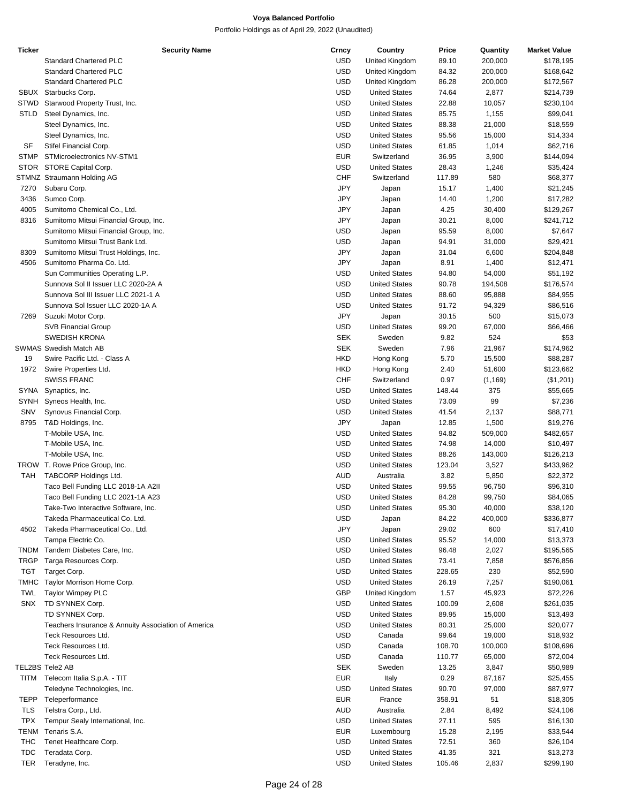| <b>Ticker</b> | <b>Security Name</b>                                | Crncy      | Country              | Price  | Quantity | <b>Market Value</b> |
|---------------|-----------------------------------------------------|------------|----------------------|--------|----------|---------------------|
|               | <b>Standard Chartered PLC</b>                       | <b>USD</b> | United Kingdom       | 89.10  | 200,000  | \$178,195           |
|               | <b>Standard Chartered PLC</b>                       | <b>USD</b> | United Kingdom       | 84.32  | 200,000  | \$168,642           |
|               | <b>Standard Chartered PLC</b>                       | <b>USD</b> | United Kingdom       | 86.28  | 200,000  | \$172,567           |
|               | SBUX Starbucks Corp.                                | <b>USD</b> | <b>United States</b> | 74.64  | 2,877    | \$214,739           |
| <b>STWD</b>   | Starwood Property Trust, Inc.                       | <b>USD</b> | <b>United States</b> | 22.88  | 10,057   | \$230,104           |
| STLD          | Steel Dynamics, Inc.                                | <b>USD</b> | <b>United States</b> | 85.75  | 1,155    | \$99,041            |
|               | Steel Dynamics, Inc.                                | <b>USD</b> | <b>United States</b> | 88.38  | 21,000   | \$18,559            |
|               | Steel Dynamics, Inc.                                | <b>USD</b> | <b>United States</b> | 95.56  | 15,000   | \$14,334            |
| SF            |                                                     | <b>USD</b> |                      |        |          |                     |
|               | Stifel Financial Corp.                              |            | <b>United States</b> | 61.85  | 1,014    | \$62,716            |
| <b>STMP</b>   | STMicroelectronics NV-STM1                          | <b>EUR</b> | Switzerland          | 36.95  | 3,900    | \$144,094           |
| <b>STOR</b>   | STORE Capital Corp.                                 | <b>USD</b> | <b>United States</b> | 28.43  | 1,246    | \$35,424            |
|               | STMNZ Straumann Holding AG                          | <b>CHF</b> | Switzerland          | 117.89 | 580      | \$68,377            |
| 7270          | Subaru Corp.                                        | JPY        | Japan                | 15.17  | 1,400    | \$21,245            |
| 3436          | Sumco Corp.                                         | JPY        | Japan                | 14.40  | 1,200    | \$17,282            |
| 4005          | Sumitomo Chemical Co., Ltd.                         | JPY        | Japan                | 4.25   | 30,400   | \$129,267           |
| 8316          | Sumitomo Mitsui Financial Group, Inc.               | JPY        | Japan                | 30.21  | 8,000    | \$241,712           |
|               | Sumitomo Mitsui Financial Group, Inc.               | <b>USD</b> | Japan                | 95.59  | 8,000    | \$7,647             |
|               | Sumitomo Mitsui Trust Bank Ltd.                     | <b>USD</b> | Japan                | 94.91  | 31,000   | \$29,421            |
| 8309          | Sumitomo Mitsui Trust Holdings, Inc.                | JPY        | Japan                | 31.04  | 6,600    | \$204,848           |
| 4506          | Sumitomo Pharma Co. Ltd.                            | JPY        | Japan                | 8.91   | 1,400    | \$12,471            |
|               | Sun Communities Operating L.P.                      | <b>USD</b> | <b>United States</b> | 94.80  | 54,000   | \$51,192            |
|               |                                                     | <b>USD</b> | <b>United States</b> |        |          |                     |
|               | Sunnova Sol II Issuer LLC 2020-2A A                 |            |                      | 90.78  | 194,508  | \$176,574           |
|               | Sunnova Sol III Issuer LLC 2021-1 A                 | <b>USD</b> | <b>United States</b> | 88.60  | 95,888   | \$84,955            |
|               | Sunnova Sol Issuer LLC 2020-1A A                    | <b>USD</b> | <b>United States</b> | 91.72  | 94,329   | \$86,516            |
| 7269          | Suzuki Motor Corp.                                  | JPY        | Japan                | 30.15  | 500      | \$15,073            |
|               | <b>SVB Financial Group</b>                          | <b>USD</b> | <b>United States</b> | 99.20  | 67,000   | \$66,466            |
|               | <b>SWEDISH KRONA</b>                                | <b>SEK</b> | Sweden               | 9.82   | 524      | \$53                |
|               | <b>SWMAS Swedish Match AB</b>                       | <b>SEK</b> | Sweden               | 7.96   | 21,967   | \$174,962           |
| 19            | Swire Pacific Ltd. - Class A                        | <b>HKD</b> | Hong Kong            | 5.70   | 15,500   | \$88,287            |
| 1972          | Swire Properties Ltd.                               | <b>HKD</b> | Hong Kong            | 2.40   | 51,600   | \$123,662           |
|               | <b>SWISS FRANC</b>                                  | <b>CHF</b> | Switzerland          | 0.97   | (1, 169) | (\$1,201)           |
| SYNA          | Synaptics, Inc.                                     | <b>USD</b> | <b>United States</b> | 148.44 | 375      | \$55,665            |
| SYNH          | Syneos Health, Inc.                                 | <b>USD</b> | <b>United States</b> | 73.09  | 99       | \$7,236             |
| SNV           | Synovus Financial Corp.                             | <b>USD</b> | <b>United States</b> | 41.54  | 2,137    | \$88,771            |
|               | T&D Holdings, Inc.                                  | JPY        |                      |        |          |                     |
| 8795          |                                                     |            | Japan                | 12.85  | 1,500    | \$19,276            |
|               | T-Mobile USA, Inc.                                  | <b>USD</b> | <b>United States</b> | 94.82  | 509,000  | \$482,657           |
|               | T-Mobile USA, Inc.                                  | <b>USD</b> | <b>United States</b> | 74.98  | 14,000   | \$10,497            |
|               | T-Mobile USA, Inc.                                  | <b>USD</b> | <b>United States</b> | 88.26  | 143,000  | \$126,213           |
|               | TROW T. Rowe Price Group, Inc.                      | <b>USD</b> | <b>United States</b> | 123.04 | 3,527    | \$433,962           |
| TAH           | <b>TABCORP Holdings Ltd.</b>                        | <b>AUD</b> | Australia            | 3.82   | 5,850    | \$22,372            |
|               | Taco Bell Funding LLC 2018-1A A2II                  | <b>USD</b> | <b>United States</b> | 99.55  | 96,750   | \$96,310            |
|               | Taco Bell Funding LLC 2021-1A A23                   | <b>USD</b> | <b>United States</b> | 84.28  | 99,750   | \$84,065            |
|               | Take-Two Interactive Software, Inc.                 | <b>USD</b> | <b>United States</b> | 95.30  | 40,000   | \$38,120            |
|               | Takeda Pharmaceutical Co. Ltd.                      | <b>USD</b> | Japan                | 84.22  | 400,000  | \$336,877           |
| 4502          | Takeda Pharmaceutical Co., Ltd.                     | JPY        | Japan                | 29.02  | 600      | \$17,410            |
|               | Tampa Electric Co.                                  | <b>USD</b> | <b>United States</b> | 95.52  | 14,000   | \$13,373            |
| <b>TNDM</b>   | Tandem Diabetes Care, Inc.                          | <b>USD</b> | <b>United States</b> | 96.48  | 2,027    | \$195,565           |
|               |                                                     | <b>USD</b> | <b>United States</b> |        |          |                     |
| <b>TRGP</b>   | Targa Resources Corp.                               |            |                      | 73.41  | 7,858    | \$576,856           |
| <b>TGT</b>    | Target Corp.                                        | <b>USD</b> | <b>United States</b> | 228.65 | 230      | \$52,590            |
| TMHC          | Taylor Morrison Home Corp.                          | <b>USD</b> | <b>United States</b> | 26.19  | 7,257    | \$190,061           |
| <b>TWL</b>    | Taylor Wimpey PLC                                   | <b>GBP</b> | United Kingdom       | 1.57   | 45,923   | \$72,226            |
| <b>SNX</b>    | TD SYNNEX Corp.                                     | <b>USD</b> | <b>United States</b> | 100.09 | 2,608    | \$261,035           |
|               | TD SYNNEX Corp.                                     | <b>USD</b> | <b>United States</b> | 89.95  | 15,000   | \$13,493            |
|               | Teachers Insurance & Annuity Association of America | <b>USD</b> | <b>United States</b> | 80.31  | 25,000   | \$20,077            |
|               | Teck Resources Ltd.                                 | <b>USD</b> | Canada               | 99.64  | 19,000   | \$18,932            |
|               | Teck Resources Ltd.                                 | <b>USD</b> | Canada               | 108.70 | 100,000  | \$108,696           |
|               | Teck Resources Ltd.                                 | <b>USD</b> | Canada               | 110.77 | 65,000   | \$72,004            |
|               | TEL2BS Tele2 AB                                     | <b>SEK</b> | Sweden               | 13.25  | 3,847    | \$50,989            |
| <b>TITM</b>   | Telecom Italia S.p.A. - TIT                         | <b>EUR</b> | Italy                | 0.29   | 87,167   | \$25,455            |
|               |                                                     | <b>USD</b> | <b>United States</b> | 90.70  | 97,000   | \$87,977            |
|               | Teledyne Technologies, Inc.                         |            |                      |        |          |                     |
| <b>TEPP</b>   | Teleperformance                                     | <b>EUR</b> | France               | 358.91 | 51       | \$18,305            |
| <b>TLS</b>    | Telstra Corp., Ltd.                                 | <b>AUD</b> | Australia            | 2.84   | 8,492    | \$24,106            |
| <b>TPX</b>    | Tempur Sealy International, Inc.                    | <b>USD</b> | <b>United States</b> | 27.11  | 595      | \$16,130            |
| TENM          | Tenaris S.A.                                        | <b>EUR</b> | Luxembourg           | 15.28  | 2,195    | \$33,544            |
| THC           | Tenet Healthcare Corp.                              | <b>USD</b> | <b>United States</b> | 72.51  | 360      | \$26,104            |
| <b>TDC</b>    | Teradata Corp.                                      | <b>USD</b> | <b>United States</b> | 41.35  | 321      | \$13,273            |
| <b>TER</b>    | Teradyne, Inc.                                      | <b>USD</b> | <b>United States</b> | 105.46 | 2,837    | \$299,190           |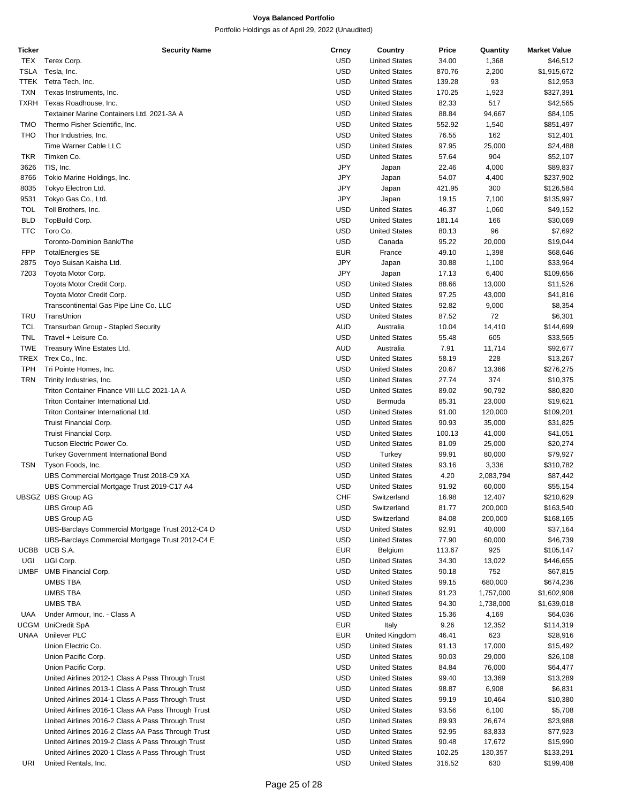| <b>Ticker</b> | <b>Security Name</b>                               | Crncy      | Country              | Price  | Quantity  | <b>Market Value</b> |
|---------------|----------------------------------------------------|------------|----------------------|--------|-----------|---------------------|
| <b>TEX</b>    | Terex Corp.                                        | USD        | <b>United States</b> | 34.00  | 1,368     | \$46,512            |
| TSLA          | Tesla, Inc.                                        | USD        | <b>United States</b> | 870.76 | 2,200     | \$1,915,672         |
| TTEK          | Tetra Tech, Inc.                                   | <b>USD</b> | <b>United States</b> | 139.28 | 93        | \$12,953            |
| <b>TXN</b>    | Texas Instruments, Inc.                            | <b>USD</b> | <b>United States</b> | 170.25 | 1,923     | \$327,391           |
|               | TXRH Texas Roadhouse, Inc.                         | USD        | <b>United States</b> | 82.33  | 517       | \$42,565            |
|               | Textainer Marine Containers Ltd. 2021-3A A         | <b>USD</b> | <b>United States</b> | 88.84  | 94,667    | \$84,105            |
| <b>TMO</b>    | Thermo Fisher Scientific, Inc.                     | <b>USD</b> | <b>United States</b> | 552.92 | 1,540     | \$851,497           |
| THO           | Thor Industries, Inc.                              | <b>USD</b> | <b>United States</b> | 76.55  | 162       | \$12,401            |
|               | Time Warner Cable LLC                              | <b>USD</b> | <b>United States</b> | 97.95  | 25,000    | \$24,488            |
| <b>TKR</b>    | Timken Co.                                         | <b>USD</b> | <b>United States</b> | 57.64  | 904       | \$52,107            |
| 3626          | TIS, Inc.                                          | JPY        |                      | 22.46  | 4,000     | \$89,837            |
|               |                                                    | <b>JPY</b> | Japan                |        |           |                     |
| 8766          | Tokio Marine Holdings, Inc.                        |            | Japan                | 54.07  | 4,400     | \$237,902           |
| 8035          | Tokyo Electron Ltd.                                | JPY        | Japan                | 421.95 | 300       | \$126,584           |
| 9531          | Tokyo Gas Co., Ltd.                                | JPY        | Japan                | 19.15  | 7,100     | \$135,997           |
| TOL           | Toll Brothers, Inc.                                | <b>USD</b> | <b>United States</b> | 46.37  | 1,060     | \$49,152            |
| <b>BLD</b>    | TopBuild Corp.                                     | <b>USD</b> | <b>United States</b> | 181.14 | 166       | \$30,069            |
| TTC           | Toro Co.                                           | <b>USD</b> | <b>United States</b> | 80.13  | 96        | \$7,692             |
|               | Toronto-Dominion Bank/The                          | <b>USD</b> | Canada               | 95.22  | 20,000    | \$19,044            |
| <b>FPP</b>    | <b>TotalEnergies SE</b>                            | <b>EUR</b> | France               | 49.10  | 1,398     | \$68,646            |
| 2875          | Toyo Suisan Kaisha Ltd.                            | <b>JPY</b> | Japan                | 30.88  | 1,100     | \$33,964            |
| 7203          | Toyota Motor Corp.                                 | <b>JPY</b> | Japan                | 17.13  | 6,400     | \$109,656           |
|               | Toyota Motor Credit Corp.                          | USD        | <b>United States</b> | 88.66  | 13,000    | \$11,526            |
|               | Toyota Motor Credit Corp.                          | <b>USD</b> | <b>United States</b> | 97.25  | 43,000    | \$41,816            |
|               | Transcontinental Gas Pipe Line Co. LLC             | <b>USD</b> | <b>United States</b> | 92.82  | 9,000     | \$8,354             |
| TRU           | TransUnion                                         | USD        | <b>United States</b> | 87.52  | 72        | \$6,301             |
| TCL           | Transurban Group - Stapled Security                | AUD        | Australia            | 10.04  | 14,410    | \$144,699           |
| TNL           | Travel + Leisure Co.                               | <b>USD</b> | <b>United States</b> | 55.48  | 605       | \$33,565            |
| <b>TWE</b>    | Treasury Wine Estates Ltd.                         | <b>AUD</b> | Australia            | 7.91   | 11,714    | \$92,677            |
|               | TREX Trex Co., Inc.                                | USD        | <b>United States</b> | 58.19  | 228       | \$13,267            |
| <b>TPH</b>    | Tri Pointe Homes, Inc.                             | <b>USD</b> | <b>United States</b> | 20.67  | 13,366    | \$276,275           |
| TRN           | Trinity Industries, Inc.                           | <b>USD</b> | <b>United States</b> | 27.74  | 374       | \$10,375            |
|               |                                                    |            |                      |        |           |                     |
|               | Triton Container Finance VIII LLC 2021-1A A        | <b>USD</b> | <b>United States</b> | 89.02  | 90,792    | \$80,820            |
|               | Triton Container International Ltd.                | USD        | Bermuda              | 85.31  | 23,000    | \$19,621            |
|               | Triton Container International Ltd.                | USD        | <b>United States</b> | 91.00  | 120,000   | \$109,201           |
|               | Truist Financial Corp.                             | <b>USD</b> | <b>United States</b> | 90.93  | 35,000    | \$31,825            |
|               | Truist Financial Corp.                             | <b>USD</b> | <b>United States</b> | 100.13 | 41,000    | \$41,051            |
|               | Tucson Electric Power Co.                          | USD        | <b>United States</b> | 81.09  | 25,000    | \$20,274            |
|               | Turkey Government International Bond               | <b>USD</b> | Turkey               | 99.91  | 80,000    | \$79,927            |
| TSN           | Tyson Foods, Inc.                                  | <b>USD</b> | <b>United States</b> | 93.16  | 3,336     | \$310,782           |
|               | UBS Commercial Mortgage Trust 2018-C9 XA           | <b>USD</b> | <b>United States</b> | 4.20   | 2,083,794 | \$87,442            |
|               | UBS Commercial Mortgage Trust 2019-C17 A4          | USD        | <b>United States</b> | 91.92  | 60,000    | \$55,154            |
|               | <b>UBSGZ UBS Group AG</b>                          | <b>CHF</b> | Switzerland          | 16.98  | 12,407    | \$210,629           |
|               | <b>UBS Group AG</b>                                | USD        | Switzerland          | 81.77  | 200,000   | \$163,540           |
|               | <b>UBS Group AG</b>                                | <b>USD</b> | Switzerland          | 84.08  | 200,000   | \$168,165           |
|               | UBS-Barclays Commercial Mortgage Trust 2012-C4 D   | USD        | <b>United States</b> | 92.91  | 40,000    | \$37,164            |
|               | UBS-Barclays Commercial Mortgage Trust 2012-C4 E   | <b>USD</b> | <b>United States</b> | 77.90  | 60,000    | \$46,739            |
|               | UCBB UCB S.A.                                      | <b>EUR</b> | Belgium              | 113.67 | 925       | \$105,147           |
| UGI           | UGI Corp.                                          | USD        | <b>United States</b> | 34.30  | 13,022    | \$446,655           |
| UMBF          | <b>UMB Financial Corp.</b>                         | USD        | <b>United States</b> | 90.18  | 752       | \$67,815            |
|               | UMBS TBA                                           | <b>USD</b> | <b>United States</b> | 99.15  | 680,000   | \$674,236           |
|               | UMBS TBA                                           | <b>USD</b> | <b>United States</b> | 91.23  | 1,757,000 | \$1,602,908         |
|               | UMBS TBA                                           | <b>USD</b> | <b>United States</b> | 94.30  | 1,738,000 | \$1,639,018         |
| UAA           | Under Armour, Inc. - Class A                       | USD        | <b>United States</b> | 15.36  | 4,169     | \$64,036            |
|               | <b>UCGM</b> UniCredit SpA                          | <b>EUR</b> | Italy                | 9.26   | 12,352    | \$114,319           |
| UNAA          | Unilever PLC                                       | <b>EUR</b> | United Kingdom       | 46.41  | 623       | \$28,916            |
|               |                                                    | <b>USD</b> |                      |        |           |                     |
|               | Union Electric Co.                                 |            | <b>United States</b> | 91.13  | 17,000    | \$15,492            |
|               | Union Pacific Corp.                                | USD        | <b>United States</b> | 90.03  | 29,000    | \$26,108            |
|               | Union Pacific Corp.                                | USD        | <b>United States</b> | 84.84  | 76,000    | \$64,477            |
|               | United Airlines 2012-1 Class A Pass Through Trust  | USD        | <b>United States</b> | 99.40  | 13,369    | \$13,289            |
|               | United Airlines 2013-1 Class A Pass Through Trust  | <b>USD</b> | <b>United States</b> | 98.87  | 6,908     | \$6,831             |
|               | United Airlines 2014-1 Class A Pass Through Trust  | USD        | <b>United States</b> | 99.19  | 10,464    | \$10,380            |
|               | United Airlines 2016-1 Class AA Pass Through Trust | USD        | <b>United States</b> | 93.56  | 6,100     | \$5,708             |
|               | United Airlines 2016-2 Class A Pass Through Trust  | USD        | <b>United States</b> | 89.93  | 26,674    | \$23,988            |
|               | United Airlines 2016-2 Class AA Pass Through Trust | USD        | <b>United States</b> | 92.95  | 83,833    | \$77,923            |
|               | United Airlines 2019-2 Class A Pass Through Trust  | USD        | <b>United States</b> | 90.48  | 17,672    | \$15,990            |
|               | United Airlines 2020-1 Class A Pass Through Trust  | <b>USD</b> | <b>United States</b> | 102.25 | 130,357   | \$133,291           |
| URI           | United Rentals, Inc.                               | <b>USD</b> | <b>United States</b> | 316.52 | 630       | \$199,408           |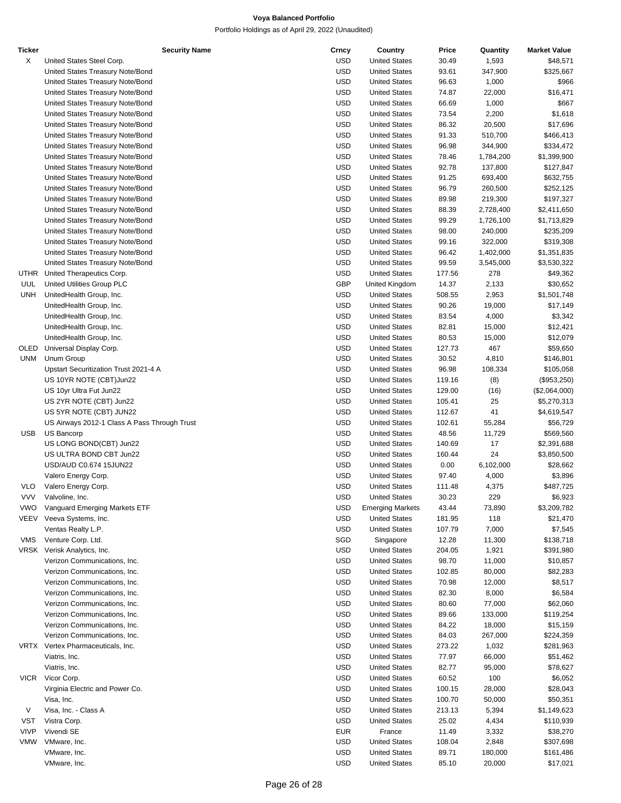| Ticker      | <b>Security Name</b>                                         | Crncy                    | Country                                      | Price           | Quantity         | <b>Market Value</b>  |
|-------------|--------------------------------------------------------------|--------------------------|----------------------------------------------|-----------------|------------------|----------------------|
| Х           | United States Steel Corp.                                    | <b>USD</b>               | <b>United States</b>                         | 30.49           | 1,593            | \$48,571             |
|             | United States Treasury Note/Bond                             | <b>USD</b>               | <b>United States</b>                         | 93.61           | 347,900          | \$325,667            |
|             | United States Treasury Note/Bond                             | <b>USD</b>               | <b>United States</b>                         | 96.63           | 1,000            | \$966                |
|             | United States Treasury Note/Bond                             | <b>USD</b>               | <b>United States</b>                         | 74.87           | 22,000           | \$16,471             |
|             | United States Treasury Note/Bond                             | <b>USD</b>               | <b>United States</b>                         | 66.69           | 1,000            | \$667                |
|             | United States Treasury Note/Bond                             | <b>USD</b>               | <b>United States</b>                         | 73.54           | 2,200            | \$1,618              |
|             | United States Treasury Note/Bond                             | <b>USD</b>               | <b>United States</b>                         | 86.32           | 20,500           | \$17,696             |
|             | United States Treasury Note/Bond                             | <b>USD</b>               | <b>United States</b>                         | 91.33           | 510,700          | \$466,413            |
|             | United States Treasury Note/Bond                             | <b>USD</b>               | <b>United States</b>                         | 96.98           | 344,900          | \$334,472            |
|             | United States Treasury Note/Bond                             | <b>USD</b>               | <b>United States</b>                         | 78.46           | 1,784,200        | \$1,399,900          |
|             | United States Treasury Note/Bond                             | <b>USD</b>               | <b>United States</b>                         | 92.78           | 137,800          | \$127,847            |
|             | United States Treasury Note/Bond                             | <b>USD</b>               | <b>United States</b>                         | 91.25           | 693,400          | \$632,755            |
|             | United States Treasury Note/Bond                             | <b>USD</b>               | <b>United States</b>                         | 96.79           | 260,500          | \$252,125            |
|             | United States Treasury Note/Bond                             | <b>USD</b>               | <b>United States</b>                         | 89.98           | 219,300          | \$197,327            |
|             | United States Treasury Note/Bond                             | <b>USD</b>               | <b>United States</b>                         | 88.39           | 2,728,400        | \$2,411,650          |
|             | United States Treasury Note/Bond                             | <b>USD</b>               | <b>United States</b>                         | 99.29           | 1,726,100        | \$1,713,829          |
|             | United States Treasury Note/Bond                             | <b>USD</b>               | <b>United States</b>                         | 98.00           | 240,000          | \$235,209            |
|             | United States Treasury Note/Bond                             | <b>USD</b>               | <b>United States</b>                         | 99.16           | 322,000          | \$319,308            |
|             | United States Treasury Note/Bond                             | <b>USD</b>               | <b>United States</b>                         | 96.42           | 1,402,000        | \$1,351,835          |
|             | United States Treasury Note/Bond                             | <b>USD</b>               | <b>United States</b>                         | 99.59           | 3,545,000        | \$3,530,322          |
|             | UTHR United Therapeutics Corp.                               | <b>USD</b>               | <b>United States</b>                         | 177.56          | 278              | \$49,362             |
| UUL         | United Utilities Group PLC                                   | GBP                      | United Kingdom                               | 14.37           | 2,133            | \$30,652             |
| UNH         | UnitedHealth Group, Inc.                                     | <b>USD</b>               | <b>United States</b>                         | 508.55          | 2,953            | \$1,501,748          |
|             | UnitedHealth Group, Inc.                                     | <b>USD</b>               | <b>United States</b>                         | 90.26           | 19,000           | \$17,149             |
|             | UnitedHealth Group, Inc.                                     | <b>USD</b>               | <b>United States</b>                         | 83.54           | 4,000            | \$3,342              |
|             | UnitedHealth Group, Inc.                                     | <b>USD</b>               | <b>United States</b>                         | 82.81           | 15,000           | \$12,421             |
|             | UnitedHealth Group, Inc.                                     | <b>USD</b>               | <b>United States</b>                         | 80.53           | 15,000           | \$12,079             |
|             | OLED Universal Display Corp.                                 | <b>USD</b>               | <b>United States</b>                         | 127.73          | 467              | \$59,650             |
| UNM         | Unum Group                                                   | <b>USD</b>               | <b>United States</b>                         | 30.52           | 4,810            | \$146,801            |
|             | Upstart Securitization Trust 2021-4 A                        | <b>USD</b>               | <b>United States</b>                         | 96.98           | 108,334          | \$105,058            |
|             | US 10YR NOTE (CBT) Jun22                                     | <b>USD</b>               | <b>United States</b>                         | 119.16          | (8)              | (\$953,250)          |
|             | US 10yr Ultra Fut Jun22                                      | <b>USD</b>               | <b>United States</b>                         | 129.00          | (16)             | (\$2,064,000)        |
|             | US 2YR NOTE (CBT) Jun22                                      | <b>USD</b>               | <b>United States</b>                         | 105.41          | 25               | \$5,270,313          |
|             | US 5YR NOTE (CBT) JUN22                                      | <b>USD</b>               | <b>United States</b>                         | 112.67          | 41               | \$4,619,547          |
|             | US Airways 2012-1 Class A Pass Through Trust                 | <b>USD</b>               | <b>United States</b>                         | 102.61          | 55,284           | \$56,729             |
| <b>USB</b>  | US Bancorp                                                   | <b>USD</b>               | <b>United States</b>                         | 48.56           | 11,729           | \$569,560            |
|             | US LONG BOND(CBT) Jun22                                      | <b>USD</b>               | <b>United States</b>                         | 140.69          | 17               | \$2,391,688          |
|             | US ULTRA BOND CBT Jun22                                      | <b>USD</b>               | <b>United States</b>                         | 160.44          | 24               | \$3,850,500          |
|             | USD/AUD C0.674 15JUN22                                       | <b>USD</b>               | <b>United States</b>                         | 0.00            | 6,102,000        | \$28,662             |
|             | Valero Energy Corp.                                          | <b>USD</b>               | <b>United States</b>                         | 97.40           | 4,000            | \$3,896              |
| <b>VLO</b>  | Valero Energy Corp.                                          | <b>USD</b>               | <b>United States</b>                         | 111.48          | 4,375            | \$487,725            |
| <b>VVV</b>  | Valvoline, Inc.                                              | <b>USD</b>               | <b>United States</b>                         | 30.23           | 229              | \$6,923              |
| <b>VWO</b>  | Vanguard Emerging Markets ETF                                | <b>USD</b>               | <b>Emerging Markets</b>                      | 43.44           | 73,890           | \$3,209,782          |
| VEEV        | Veeva Systems, Inc.                                          | <b>USD</b>               | <b>United States</b>                         | 181.95          | 118              | \$21,470             |
|             | Ventas Realty L.P.                                           | <b>USD</b>               | <b>United States</b>                         | 107.79          | 7,000            | \$7,545              |
| VMS         | Venture Corp. Ltd.                                           | SGD                      | Singapore                                    | 12.28           | 11,300           | \$138,718            |
|             | VRSK Verisk Analytics, Inc.                                  | <b>USD</b>               | <b>United States</b><br><b>United States</b> | 204.05          | 1,921            | \$391,980            |
|             | Verizon Communications, Inc.<br>Verizon Communications, Inc. | <b>USD</b><br><b>USD</b> | <b>United States</b>                         | 98.70<br>102.85 | 11,000           | \$10,857<br>\$82,283 |
|             | Verizon Communications, Inc.                                 | <b>USD</b>               | <b>United States</b>                         | 70.98           | 80,000<br>12,000 | \$8,517              |
|             | Verizon Communications, Inc.                                 | <b>USD</b>               | <b>United States</b>                         | 82.30           | 8,000            | \$6,584              |
|             | Verizon Communications, Inc.                                 | <b>USD</b>               | <b>United States</b>                         | 80.60           | 77,000           | \$62,060             |
|             | Verizon Communications, Inc.                                 | <b>USD</b>               | <b>United States</b>                         | 89.66           | 133,000          | \$119,254            |
|             | Verizon Communications, Inc.                                 | <b>USD</b>               | <b>United States</b>                         | 84.22           | 18,000           | \$15,159             |
|             | Verizon Communications, Inc.                                 | <b>USD</b>               | <b>United States</b>                         | 84.03           | 267,000          | \$224,359            |
|             | VRTX Vertex Pharmaceuticals, Inc.                            | <b>USD</b>               | <b>United States</b>                         | 273.22          | 1,032            | \$281,963            |
|             | Viatris, Inc.                                                | <b>USD</b>               | <b>United States</b>                         | 77.97           | 66,000           | \$51,462             |
|             | Viatris, Inc.                                                | <b>USD</b>               | <b>United States</b>                         | 82.77           | 95,000           | \$78,627             |
|             | VICR Vicor Corp.                                             | <b>USD</b>               | <b>United States</b>                         | 60.52           | 100              | \$6,052              |
|             | Virginia Electric and Power Co.                              | <b>USD</b>               | <b>United States</b>                         | 100.15          | 28,000           | \$28,043             |
|             | Visa, Inc.                                                   | <b>USD</b>               | <b>United States</b>                         | 100.70          | 50,000           | \$50,351             |
| V           | Visa, Inc. - Class A                                         | <b>USD</b>               | <b>United States</b>                         | 213.13          | 5,394            | \$1,149,623          |
| VST         | Vistra Corp.                                                 | <b>USD</b>               | <b>United States</b>                         | 25.02           | 4,434            | \$110,939            |
| <b>VIVP</b> | Vivendi SE                                                   | EUR                      | France                                       | 11.49           | 3,332            | \$38,270             |
| VMW         | VMware, Inc.                                                 | <b>USD</b>               | <b>United States</b>                         | 108.04          | 2,848            | \$307,698            |
|             | VMware, Inc.                                                 | <b>USD</b>               | <b>United States</b>                         | 89.71           | 180,000          | \$161,486            |
|             | VMware, Inc.                                                 | <b>USD</b>               | <b>United States</b>                         | 85.10           | 20,000           | \$17,021             |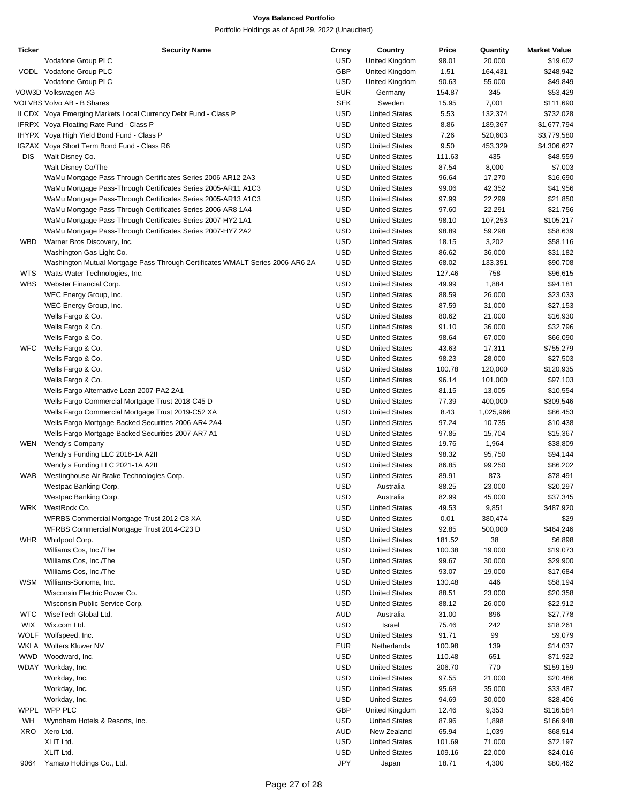| Ticker      | <b>Security Name</b>                                                          | Crncy      | Country              | Price  | Quantity  | <b>Market Value</b> |
|-------------|-------------------------------------------------------------------------------|------------|----------------------|--------|-----------|---------------------|
|             | Vodafone Group PLC                                                            | USD        | United Kingdom       | 98.01  | 20,000    | \$19,602            |
|             | VODL Vodafone Group PLC                                                       | GBP        | United Kingdom       | 1.51   | 164,431   | \$248,942           |
|             | Vodafone Group PLC                                                            | <b>USD</b> | United Kingdom       | 90.63  | 55,000    | \$49,849            |
|             | VOW3D Volkswagen AG                                                           | <b>EUR</b> | Germany              | 154.87 | 345       | \$53,429            |
|             | VOLVBS Volvo AB - B Shares                                                    | <b>SEK</b> | Sweden               | 15.95  | 7,001     | \$111,690           |
|             | ILCDX Voya Emerging Markets Local Currency Debt Fund - Class P                | <b>USD</b> | <b>United States</b> | 5.53   | 132,374   | \$732,028           |
|             |                                                                               | <b>USD</b> | <b>United States</b> |        |           |                     |
|             | IFRPX Voya Floating Rate Fund - Class P                                       |            |                      | 8.86   | 189,367   | \$1,677,794         |
|             | IHYPX Voya High Yield Bond Fund - Class P                                     | <b>USD</b> | <b>United States</b> | 7.26   | 520,603   | \$3,779,580         |
|             | IGZAX Voya Short Term Bond Fund - Class R6                                    | <b>USD</b> | <b>United States</b> | 9.50   | 453,329   | \$4,306,627         |
| <b>DIS</b>  | Walt Disney Co.                                                               | <b>USD</b> | <b>United States</b> | 111.63 | 435       | \$48,559            |
|             | Walt Disney Co/The                                                            | <b>USD</b> | <b>United States</b> | 87.54  | 8,000     | \$7,003             |
|             | WaMu Mortgage Pass Through Certificates Series 2006-AR12 2A3                  | <b>USD</b> | <b>United States</b> | 96.64  | 17,270    | \$16,690            |
|             | WaMu Mortgage Pass-Through Certificates Series 2005-AR11 A1C3                 | <b>USD</b> | <b>United States</b> | 99.06  | 42,352    | \$41,956            |
|             | WaMu Mortgage Pass-Through Certificates Series 2005-AR13 A1C3                 | <b>USD</b> | <b>United States</b> | 97.99  | 22,299    | \$21,850            |
|             | WaMu Mortgage Pass-Through Certificates Series 2006-AR8 1A4                   | <b>USD</b> | <b>United States</b> | 97.60  | 22,291    | \$21,756            |
|             | WaMu Mortgage Pass-Through Certificates Series 2007-HY2 1A1                   | <b>USD</b> | <b>United States</b> | 98.10  | 107,253   | \$105,217           |
|             | WaMu Mortgage Pass-Through Certificates Series 2007-HY7 2A2                   | <b>USD</b> | <b>United States</b> | 98.89  | 59,298    | \$58,639            |
| WBD         | Warner Bros Discovery, Inc.                                                   | <b>USD</b> | <b>United States</b> | 18.15  | 3,202     | \$58,116            |
|             |                                                                               | <b>USD</b> | <b>United States</b> |        |           |                     |
|             | Washington Gas Light Co.                                                      |            |                      | 86.62  | 36,000    | \$31,182            |
|             | Washington Mutual Mortgage Pass-Through Certificates WMALT Series 2006-AR6 2A | <b>USD</b> | <b>United States</b> | 68.02  | 133,351   | \$90,708            |
| WTS         | Watts Water Technologies, Inc.                                                | <b>USD</b> | <b>United States</b> | 127.46 | 758       | \$96,615            |
| <b>WBS</b>  | Webster Financial Corp.                                                       | <b>USD</b> | <b>United States</b> | 49.99  | 1,884     | \$94,181            |
|             | WEC Energy Group, Inc.                                                        | <b>USD</b> | <b>United States</b> | 88.59  | 26,000    | \$23,033            |
|             | WEC Energy Group, Inc.                                                        | <b>USD</b> | <b>United States</b> | 87.59  | 31,000    | \$27,153            |
|             | Wells Fargo & Co.                                                             | <b>USD</b> | <b>United States</b> | 80.62  | 21,000    | \$16,930            |
|             | Wells Fargo & Co.                                                             | <b>USD</b> | <b>United States</b> | 91.10  | 36,000    | \$32,796            |
|             | Wells Fargo & Co.                                                             | <b>USD</b> | <b>United States</b> | 98.64  | 67,000    | \$66,090            |
| <b>WFC</b>  | Wells Fargo & Co.                                                             | <b>USD</b> | <b>United States</b> | 43.63  | 17,311    | \$755,279           |
|             | Wells Fargo & Co.                                                             | <b>USD</b> | <b>United States</b> | 98.23  | 28,000    | \$27,503            |
|             | Wells Fargo & Co.                                                             | <b>USD</b> | <b>United States</b> | 100.78 | 120,000   | \$120,935           |
|             | Wells Fargo & Co.                                                             | <b>USD</b> | <b>United States</b> | 96.14  |           | \$97,103            |
|             |                                                                               |            |                      |        | 101,000   |                     |
|             | Wells Fargo Alternative Loan 2007-PA2 2A1                                     | <b>USD</b> | <b>United States</b> | 81.15  | 13,005    | \$10,554            |
|             | Wells Fargo Commercial Mortgage Trust 2018-C45 D                              | <b>USD</b> | <b>United States</b> | 77.39  | 400,000   | \$309,546           |
|             | Wells Fargo Commercial Mortgage Trust 2019-C52 XA                             | <b>USD</b> | <b>United States</b> | 8.43   | 1,025,966 | \$86,453            |
|             | Wells Fargo Mortgage Backed Securities 2006-AR4 2A4                           | <b>USD</b> | <b>United States</b> | 97.24  | 10,735    | \$10,438            |
|             | Wells Fargo Mortgage Backed Securities 2007-AR7 A1                            | <b>USD</b> | <b>United States</b> | 97.85  | 15,704    | \$15,367            |
| WEN         | Wendy's Company                                                               | <b>USD</b> | <b>United States</b> | 19.76  | 1,964     | \$38,809            |
|             | Wendy's Funding LLC 2018-1A A2II                                              | <b>USD</b> | <b>United States</b> | 98.32  | 95,750    | \$94,144            |
|             | Wendy's Funding LLC 2021-1A A2II                                              | <b>USD</b> | <b>United States</b> | 86.85  | 99,250    | \$86,202            |
| WAB         | Westinghouse Air Brake Technologies Corp.                                     | <b>USD</b> | <b>United States</b> | 89.91  | 873       | \$78,491            |
|             | Westpac Banking Corp.                                                         | <b>USD</b> | Australia            | 88.25  | 23,000    | \$20,297            |
|             | Westpac Banking Corp.                                                         | <b>USD</b> | Australia            | 82.99  | 45,000    | \$37,345            |
| WRK         | WestRock Co.                                                                  | <b>USD</b> | <b>United States</b> | 49.53  | 9,851     | \$487,920           |
|             |                                                                               |            |                      |        |           |                     |
|             | WFRBS Commercial Mortgage Trust 2012-C8 XA                                    | <b>USD</b> | <b>United States</b> | 0.01   | 380,474   | \$29                |
|             | WFRBS Commercial Mortgage Trust 2014-C23 D                                    | <b>USD</b> | <b>United States</b> | 92.85  | 500,000   | \$464,246           |
| <b>WHR</b>  | Whirlpool Corp.                                                               | <b>USD</b> | <b>United States</b> | 181.52 | 38        | \$6,898             |
|             | Williams Cos, Inc./The                                                        | <b>USD</b> | <b>United States</b> | 100.38 | 19,000    | \$19,073            |
|             | Williams Cos, Inc./The                                                        | <b>USD</b> | <b>United States</b> | 99.67  | 30,000    | \$29,900            |
|             | Williams Cos, Inc./The                                                        | <b>USD</b> | <b>United States</b> | 93.07  | 19,000    | \$17,684            |
| WSM         | Williams-Sonoma, Inc.                                                         | <b>USD</b> | <b>United States</b> | 130.48 | 446       | \$58,194            |
|             | Wisconsin Electric Power Co.                                                  | <b>USD</b> | <b>United States</b> | 88.51  | 23,000    | \$20,358            |
|             | Wisconsin Public Service Corp.                                                | <b>USD</b> | <b>United States</b> | 88.12  | 26,000    | \$22,912            |
| <b>WTC</b>  | WiseTech Global Ltd.                                                          | <b>AUD</b> | Australia            | 31.00  | 896       | \$27,778            |
| <b>WIX</b>  | Wix.com Ltd.                                                                  | <b>USD</b> | Israel               | 75.46  | 242       | \$18,261            |
| <b>WOLF</b> | Wolfspeed, Inc.                                                               | <b>USD</b> | <b>United States</b> | 91.71  | 99        | \$9,079             |
|             |                                                                               |            |                      |        |           |                     |
| WKLA        | Wolters Kluwer NV                                                             | <b>EUR</b> | Netherlands          | 100.98 | 139       | \$14,037            |
| <b>WWD</b>  | Woodward, Inc.                                                                | <b>USD</b> | <b>United States</b> | 110.48 | 651       | \$71,922            |
|             | WDAY Workday, Inc.                                                            | <b>USD</b> | <b>United States</b> | 206.70 | 770       | \$159,159           |
|             | Workday, Inc.                                                                 | <b>USD</b> | <b>United States</b> | 97.55  | 21,000    | \$20,486            |
|             | Workday, Inc.                                                                 | <b>USD</b> | <b>United States</b> | 95.68  | 35,000    | \$33,487            |
|             | Workday, Inc.                                                                 | <b>USD</b> | <b>United States</b> | 94.69  | 30,000    | \$28,406            |
| WPPL        | WPP PLC                                                                       | <b>GBP</b> | United Kingdom       | 12.46  | 9,353     | \$116,584           |
| WH          | Wyndham Hotels & Resorts, Inc.                                                | <b>USD</b> | <b>United States</b> | 87.96  | 1,898     | \$166,948           |
| XRO         | Xero Ltd.                                                                     | AUD        | New Zealand          | 65.94  | 1,039     | \$68,514            |
|             | XLIT Ltd.                                                                     | <b>USD</b> | <b>United States</b> | 101.69 | 71,000    | \$72,197            |
|             | XLIT Ltd.                                                                     | <b>USD</b> | <b>United States</b> | 109.16 | 22,000    | \$24,016            |
| 9064        | Yamato Holdings Co., Ltd.                                                     | JPY        | Japan                | 18.71  | 4,300     | \$80,462            |
|             |                                                                               |            |                      |        |           |                     |